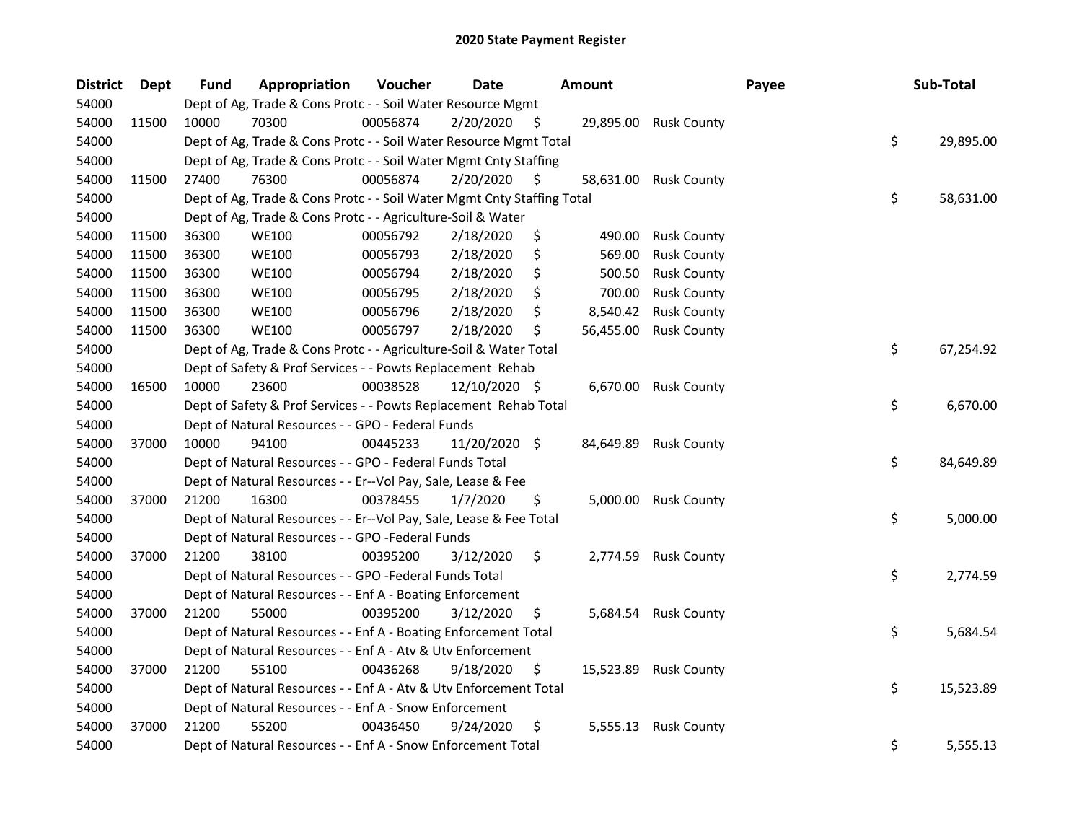| <b>District</b> | Dept  | <b>Fund</b> | Appropriation                                                          | Voucher  | <b>Date</b>   |     | <b>Amount</b> |                       | Payee | Sub-Total       |
|-----------------|-------|-------------|------------------------------------------------------------------------|----------|---------------|-----|---------------|-----------------------|-------|-----------------|
| 54000           |       |             | Dept of Ag, Trade & Cons Protc - - Soil Water Resource Mgmt            |          |               |     |               |                       |       |                 |
| 54000           | 11500 | 10000       | 70300                                                                  | 00056874 | 2/20/2020     | - S |               | 29,895.00 Rusk County |       |                 |
| 54000           |       |             | Dept of Ag, Trade & Cons Protc - - Soil Water Resource Mgmt Total      |          |               |     |               |                       |       | \$<br>29,895.00 |
| 54000           |       |             | Dept of Ag, Trade & Cons Protc - - Soil Water Mgmt Cnty Staffing       |          |               |     |               |                       |       |                 |
| 54000           | 11500 | 27400       | 76300                                                                  | 00056874 | 2/20/2020     | S   |               | 58,631.00 Rusk County |       |                 |
| 54000           |       |             | Dept of Ag, Trade & Cons Protc - - Soil Water Mgmt Cnty Staffing Total |          |               |     |               |                       |       | \$<br>58,631.00 |
| 54000           |       |             | Dept of Ag, Trade & Cons Protc - - Agriculture-Soil & Water            |          |               |     |               |                       |       |                 |
| 54000           | 11500 | 36300       | <b>WE100</b>                                                           | 00056792 | 2/18/2020     | \$  | 490.00        | <b>Rusk County</b>    |       |                 |
| 54000           | 11500 | 36300       | <b>WE100</b>                                                           | 00056793 | 2/18/2020     | \$  | 569.00        | <b>Rusk County</b>    |       |                 |
| 54000           | 11500 | 36300       | <b>WE100</b>                                                           | 00056794 | 2/18/2020     | \$  | 500.50        | <b>Rusk County</b>    |       |                 |
| 54000           | 11500 | 36300       | <b>WE100</b>                                                           | 00056795 | 2/18/2020     | \$  | 700.00        | <b>Rusk County</b>    |       |                 |
| 54000           | 11500 | 36300       | <b>WE100</b>                                                           | 00056796 | 2/18/2020     | \$  | 8,540.42      | <b>Rusk County</b>    |       |                 |
| 54000           | 11500 | 36300       | <b>WE100</b>                                                           | 00056797 | 2/18/2020     | \$  | 56,455.00     | <b>Rusk County</b>    |       |                 |
| 54000           |       |             | Dept of Ag, Trade & Cons Protc - - Agriculture-Soil & Water Total      |          |               |     |               |                       |       | \$<br>67,254.92 |
| 54000           |       |             | Dept of Safety & Prof Services - - Powts Replacement Rehab             |          |               |     |               |                       |       |                 |
| 54000           | 16500 | 10000       | 23600                                                                  | 00038528 | 12/10/2020 \$ |     |               | 6,670.00 Rusk County  |       |                 |
| 54000           |       |             | Dept of Safety & Prof Services - - Powts Replacement Rehab Total       |          |               |     |               |                       |       | \$<br>6,670.00  |
| 54000           |       |             | Dept of Natural Resources - - GPO - Federal Funds                      |          |               |     |               |                       |       |                 |
| 54000           | 37000 | 10000       | 94100                                                                  | 00445233 | 11/20/2020 \$ |     | 84,649.89     | <b>Rusk County</b>    |       |                 |
| 54000           |       |             | Dept of Natural Resources - - GPO - Federal Funds Total                |          |               |     |               |                       |       | \$<br>84,649.89 |
| 54000           |       |             | Dept of Natural Resources - - Er--Vol Pay, Sale, Lease & Fee           |          |               |     |               |                       |       |                 |
| 54000           | 37000 | 21200       | 16300                                                                  | 00378455 | 1/7/2020      | \$  |               | 5,000.00 Rusk County  |       |                 |
| 54000           |       |             | Dept of Natural Resources - - Er--Vol Pay, Sale, Lease & Fee Total     |          |               |     |               |                       |       | \$<br>5,000.00  |
| 54000           |       |             | Dept of Natural Resources - - GPO -Federal Funds                       |          |               |     |               |                       |       |                 |
| 54000           | 37000 | 21200       | 38100                                                                  | 00395200 | 3/12/2020     | \$  |               | 2,774.59 Rusk County  |       |                 |
| 54000           |       |             | Dept of Natural Resources - - GPO -Federal Funds Total                 |          |               |     |               |                       |       | \$<br>2,774.59  |
| 54000           |       |             | Dept of Natural Resources - - Enf A - Boating Enforcement              |          |               |     |               |                       |       |                 |
| 54000           | 37000 | 21200       | 55000                                                                  | 00395200 | 3/12/2020     | \$  | 5,684.54      | <b>Rusk County</b>    |       |                 |
| 54000           |       |             | Dept of Natural Resources - - Enf A - Boating Enforcement Total        |          |               |     |               |                       |       | \$<br>5,684.54  |
| 54000           |       |             | Dept of Natural Resources - - Enf A - Atv & Utv Enforcement            |          |               |     |               |                       |       |                 |
| 54000           | 37000 | 21200       | 55100                                                                  | 00436268 | 9/18/2020     | \$  |               | 15,523.89 Rusk County |       |                 |
| 54000           |       |             | Dept of Natural Resources - - Enf A - Atv & Utv Enforcement Total      |          |               |     |               |                       |       | \$<br>15,523.89 |
| 54000           |       |             | Dept of Natural Resources - - Enf A - Snow Enforcement                 |          |               |     |               |                       |       |                 |
| 54000           | 37000 | 21200       | 55200                                                                  | 00436450 | 9/24/2020     | \$  |               | 5,555.13 Rusk County  |       |                 |
| 54000           |       |             | Dept of Natural Resources - - Enf A - Snow Enforcement Total           |          |               |     |               |                       |       | \$<br>5,555.13  |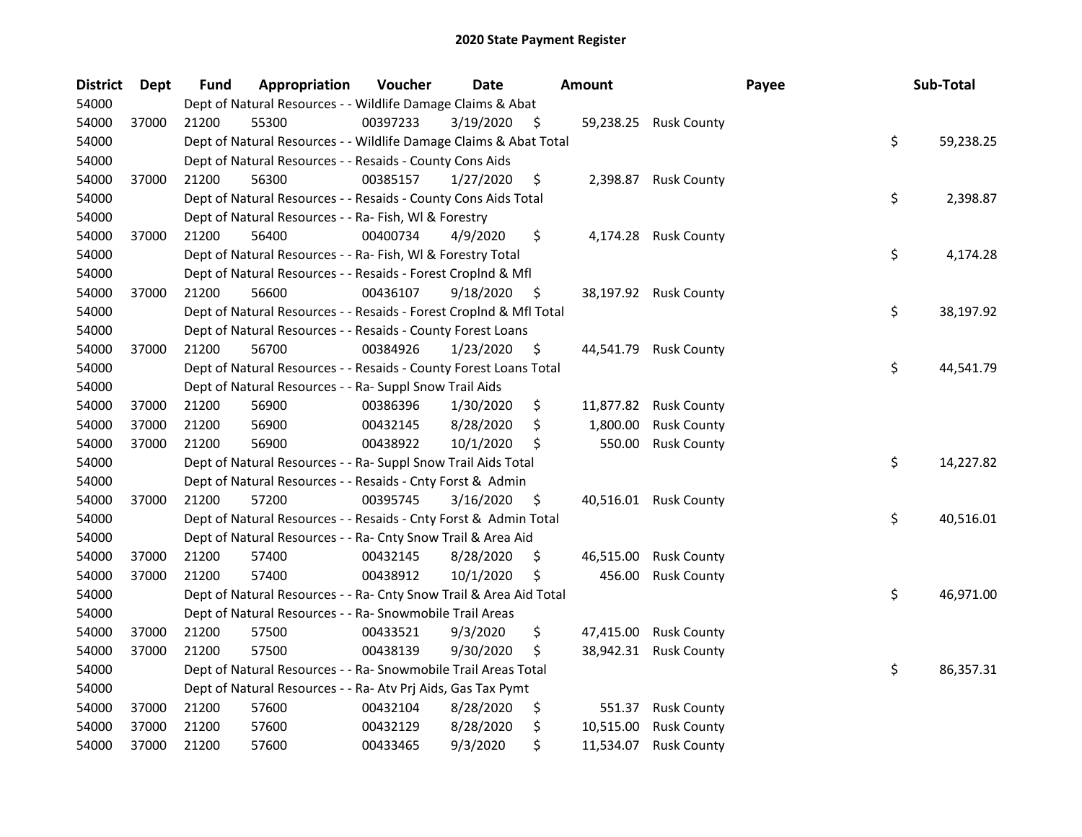| <b>District</b> | <b>Dept</b> | <b>Fund</b> | Appropriation                                                      | Voucher  | <b>Date</b> |                    | Amount    |                       | Payee | Sub-Total       |
|-----------------|-------------|-------------|--------------------------------------------------------------------|----------|-------------|--------------------|-----------|-----------------------|-------|-----------------|
| 54000           |             |             | Dept of Natural Resources - - Wildlife Damage Claims & Abat        |          |             |                    |           |                       |       |                 |
| 54000           | 37000       | 21200       | 55300                                                              | 00397233 | 3/19/2020   | $\ddot{\varsigma}$ | 59,238.25 | <b>Rusk County</b>    |       |                 |
| 54000           |             |             | Dept of Natural Resources - - Wildlife Damage Claims & Abat Total  |          |             |                    |           |                       |       | \$<br>59,238.25 |
| 54000           |             |             | Dept of Natural Resources - - Resaids - County Cons Aids           |          |             |                    |           |                       |       |                 |
| 54000           | 37000       | 21200       | 56300                                                              | 00385157 | 1/27/2020   | \$                 | 2,398.87  | <b>Rusk County</b>    |       |                 |
| 54000           |             |             | Dept of Natural Resources - - Resaids - County Cons Aids Total     |          |             |                    |           |                       |       | \$<br>2,398.87  |
| 54000           |             |             | Dept of Natural Resources - - Ra- Fish, WI & Forestry              |          |             |                    |           |                       |       |                 |
| 54000           | 37000       | 21200       | 56400                                                              | 00400734 | 4/9/2020    | \$                 |           | 4,174.28 Rusk County  |       |                 |
| 54000           |             |             | Dept of Natural Resources - - Ra- Fish, WI & Forestry Total        |          |             |                    |           |                       |       | \$<br>4,174.28  |
| 54000           |             |             | Dept of Natural Resources - - Resaids - Forest Croplnd & Mfl       |          |             |                    |           |                       |       |                 |
| 54000           | 37000       | 21200       | 56600                                                              | 00436107 | 9/18/2020   | \$.                |           | 38,197.92 Rusk County |       |                 |
| 54000           |             |             | Dept of Natural Resources - - Resaids - Forest CropInd & Mfl Total |          |             |                    |           |                       |       | \$<br>38,197.92 |
| 54000           |             |             | Dept of Natural Resources - - Resaids - County Forest Loans        |          |             |                    |           |                       |       |                 |
| 54000           | 37000       | 21200       | 56700                                                              | 00384926 | 1/23/2020   | S                  | 44,541.79 | <b>Rusk County</b>    |       |                 |
| 54000           |             |             | Dept of Natural Resources - - Resaids - County Forest Loans Total  |          |             |                    |           |                       |       | \$<br>44,541.79 |
| 54000           |             |             | Dept of Natural Resources - - Ra- Suppl Snow Trail Aids            |          |             |                    |           |                       |       |                 |
| 54000           | 37000       | 21200       | 56900                                                              | 00386396 | 1/30/2020   | \$                 | 11,877.82 | <b>Rusk County</b>    |       |                 |
| 54000           | 37000       | 21200       | 56900                                                              | 00432145 | 8/28/2020   | \$                 | 1,800.00  | <b>Rusk County</b>    |       |                 |
| 54000           | 37000       | 21200       | 56900                                                              | 00438922 | 10/1/2020   | \$                 | 550.00    | <b>Rusk County</b>    |       |                 |
| 54000           |             |             | Dept of Natural Resources - - Ra- Suppl Snow Trail Aids Total      |          |             |                    |           |                       |       | \$<br>14,227.82 |
| 54000           |             |             | Dept of Natural Resources - - Resaids - Cnty Forst & Admin         |          |             |                    |           |                       |       |                 |
| 54000           | 37000       | 21200       | 57200                                                              | 00395745 | 3/16/2020   | \$                 |           | 40,516.01 Rusk County |       |                 |
| 54000           |             |             | Dept of Natural Resources - - Resaids - Cnty Forst & Admin Total   |          |             |                    |           |                       |       | \$<br>40,516.01 |
| 54000           |             |             | Dept of Natural Resources - - Ra- Cnty Snow Trail & Area Aid       |          |             |                    |           |                       |       |                 |
| 54000           | 37000       | 21200       | 57400                                                              | 00432145 | 8/28/2020   | \$                 | 46,515.00 | <b>Rusk County</b>    |       |                 |
| 54000           | 37000       | 21200       | 57400                                                              | 00438912 | 10/1/2020   | \$                 | 456.00    | <b>Rusk County</b>    |       |                 |
| 54000           |             |             | Dept of Natural Resources - - Ra- Cnty Snow Trail & Area Aid Total |          |             |                    |           |                       |       | \$<br>46,971.00 |
| 54000           |             |             | Dept of Natural Resources - - Ra- Snowmobile Trail Areas           |          |             |                    |           |                       |       |                 |
| 54000           | 37000       | 21200       | 57500                                                              | 00433521 | 9/3/2020    | \$                 | 47,415.00 | <b>Rusk County</b>    |       |                 |
| 54000           | 37000       | 21200       | 57500                                                              | 00438139 | 9/30/2020   | \$                 | 38,942.31 | <b>Rusk County</b>    |       |                 |
| 54000           |             |             | Dept of Natural Resources - - Ra- Snowmobile Trail Areas Total     |          |             |                    |           |                       |       | \$<br>86,357.31 |
| 54000           |             |             | Dept of Natural Resources - - Ra- Atv Prj Aids, Gas Tax Pymt       |          |             |                    |           |                       |       |                 |
| 54000           | 37000       | 21200       | 57600                                                              | 00432104 | 8/28/2020   | \$                 | 551.37    | <b>Rusk County</b>    |       |                 |
| 54000           | 37000       | 21200       | 57600                                                              | 00432129 | 8/28/2020   | \$                 | 10,515.00 | <b>Rusk County</b>    |       |                 |
| 54000           | 37000       | 21200       | 57600                                                              | 00433465 | 9/3/2020    | \$                 | 11,534.07 | <b>Rusk County</b>    |       |                 |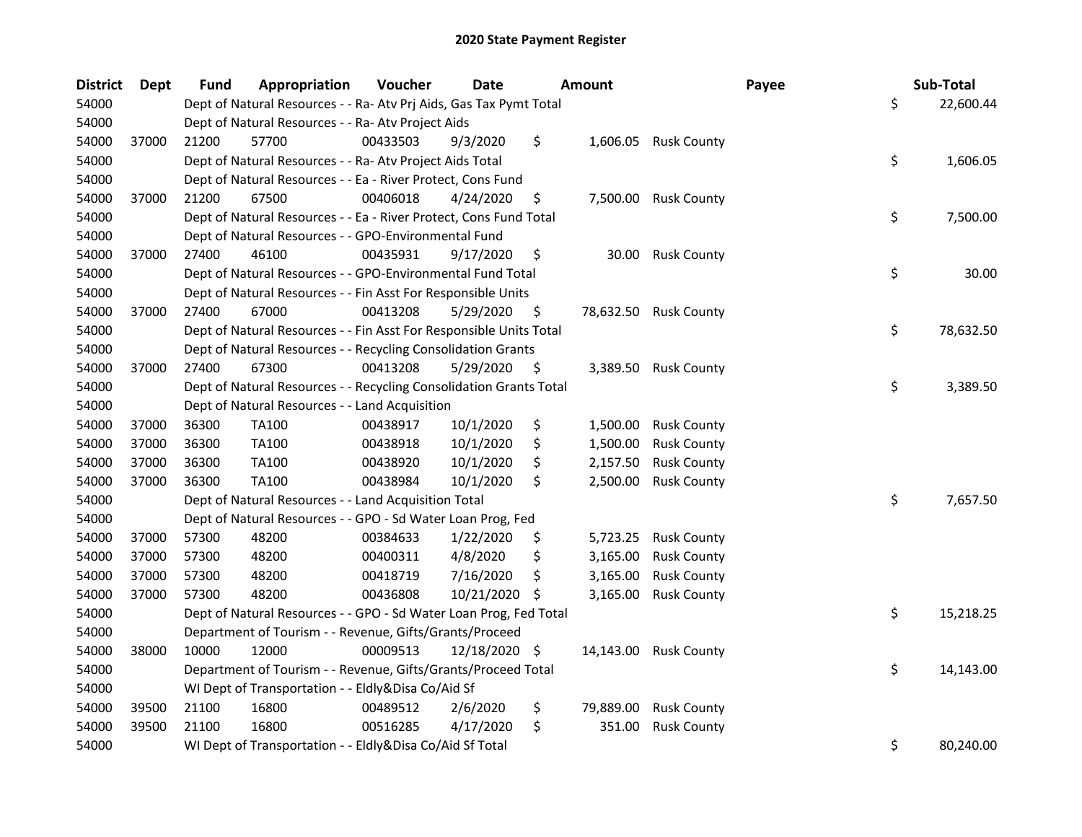| <b>District</b> | <b>Dept</b> | <b>Fund</b> | Appropriation                                                      | Voucher  | <b>Date</b>   | <b>Amount</b>   |                       | Payee | Sub-Total       |
|-----------------|-------------|-------------|--------------------------------------------------------------------|----------|---------------|-----------------|-----------------------|-------|-----------------|
| 54000           |             |             | Dept of Natural Resources - - Ra- Atv Prj Aids, Gas Tax Pymt Total |          |               |                 |                       |       | \$<br>22,600.44 |
| 54000           |             |             | Dept of Natural Resources - - Ra- Atv Project Aids                 |          |               |                 |                       |       |                 |
| 54000           | 37000       | 21200       | 57700                                                              | 00433503 | 9/3/2020      | \$              | 1,606.05 Rusk County  |       |                 |
| 54000           |             |             | Dept of Natural Resources - - Ra- Atv Project Aids Total           |          |               |                 |                       |       | \$<br>1,606.05  |
| 54000           |             |             | Dept of Natural Resources - - Ea - River Protect, Cons Fund        |          |               |                 |                       |       |                 |
| 54000           | 37000       | 21200       | 67500                                                              | 00406018 | 4/24/2020     | \$<br>7,500.00  | <b>Rusk County</b>    |       |                 |
| 54000           |             |             | Dept of Natural Resources - - Ea - River Protect, Cons Fund Total  |          |               |                 |                       |       | \$<br>7,500.00  |
| 54000           |             |             | Dept of Natural Resources - - GPO-Environmental Fund               |          |               |                 |                       |       |                 |
| 54000           | 37000       | 27400       | 46100                                                              | 00435931 | 9/17/2020     | \$<br>30.00     | <b>Rusk County</b>    |       |                 |
| 54000           |             |             | Dept of Natural Resources - - GPO-Environmental Fund Total         |          |               |                 |                       |       | \$<br>30.00     |
| 54000           |             |             | Dept of Natural Resources - - Fin Asst For Responsible Units       |          |               |                 |                       |       |                 |
| 54000           | 37000       | 27400       | 67000                                                              | 00413208 | 5/29/2020     | \$              | 78,632.50 Rusk County |       |                 |
| 54000           |             |             | Dept of Natural Resources - - Fin Asst For Responsible Units Total |          |               |                 |                       |       | \$<br>78,632.50 |
| 54000           |             |             | Dept of Natural Resources - - Recycling Consolidation Grants       |          |               |                 |                       |       |                 |
| 54000           | 37000       | 27400       | 67300                                                              | 00413208 | 5/29/2020     | \$<br>3,389.50  | <b>Rusk County</b>    |       |                 |
| 54000           |             |             | Dept of Natural Resources - - Recycling Consolidation Grants Total |          |               |                 |                       |       | \$<br>3,389.50  |
| 54000           |             |             | Dept of Natural Resources - - Land Acquisition                     |          |               |                 |                       |       |                 |
| 54000           | 37000       | 36300       | <b>TA100</b>                                                       | 00438917 | 10/1/2020     | \$<br>1,500.00  | <b>Rusk County</b>    |       |                 |
| 54000           | 37000       | 36300       | TA100                                                              | 00438918 | 10/1/2020     | \$<br>1,500.00  | <b>Rusk County</b>    |       |                 |
| 54000           | 37000       | 36300       | <b>TA100</b>                                                       | 00438920 | 10/1/2020     | \$<br>2,157.50  | <b>Rusk County</b>    |       |                 |
| 54000           | 37000       | 36300       | <b>TA100</b>                                                       | 00438984 | 10/1/2020     | \$<br>2,500.00  | <b>Rusk County</b>    |       |                 |
| 54000           |             |             | Dept of Natural Resources - - Land Acquisition Total               |          |               |                 |                       |       | \$<br>7,657.50  |
| 54000           |             |             | Dept of Natural Resources - - GPO - Sd Water Loan Prog, Fed        |          |               |                 |                       |       |                 |
| 54000           | 37000       | 57300       | 48200                                                              | 00384633 | 1/22/2020     | \$<br>5,723.25  | <b>Rusk County</b>    |       |                 |
| 54000           | 37000       | 57300       | 48200                                                              | 00400311 | 4/8/2020      | \$<br>3,165.00  | <b>Rusk County</b>    |       |                 |
| 54000           | 37000       | 57300       | 48200                                                              | 00418719 | 7/16/2020     | \$<br>3,165.00  | <b>Rusk County</b>    |       |                 |
| 54000           | 37000       | 57300       | 48200                                                              | 00436808 | 10/21/2020 \$ | 3,165.00        | <b>Rusk County</b>    |       |                 |
| 54000           |             |             | Dept of Natural Resources - - GPO - Sd Water Loan Prog, Fed Total  |          |               |                 |                       |       | \$<br>15,218.25 |
| 54000           |             |             | Department of Tourism - - Revenue, Gifts/Grants/Proceed            |          |               |                 |                       |       |                 |
| 54000           | 38000       | 10000       | 12000                                                              | 00009513 | 12/18/2020 \$ |                 | 14,143.00 Rusk County |       |                 |
| 54000           |             |             | Department of Tourism - - Revenue, Gifts/Grants/Proceed Total      |          |               |                 |                       |       | \$<br>14,143.00 |
| 54000           |             |             | WI Dept of Transportation - - Eldly&Disa Co/Aid Sf                 |          |               |                 |                       |       |                 |
| 54000           | 39500       | 21100       | 16800                                                              | 00489512 | 2/6/2020      | \$<br>79,889.00 | <b>Rusk County</b>    |       |                 |
| 54000           | 39500       | 21100       | 16800                                                              | 00516285 | 4/17/2020     | \$<br>351.00    | <b>Rusk County</b>    |       |                 |
| 54000           |             |             | WI Dept of Transportation - - Eldly&Disa Co/Aid Sf Total           |          |               |                 |                       |       | \$<br>80,240.00 |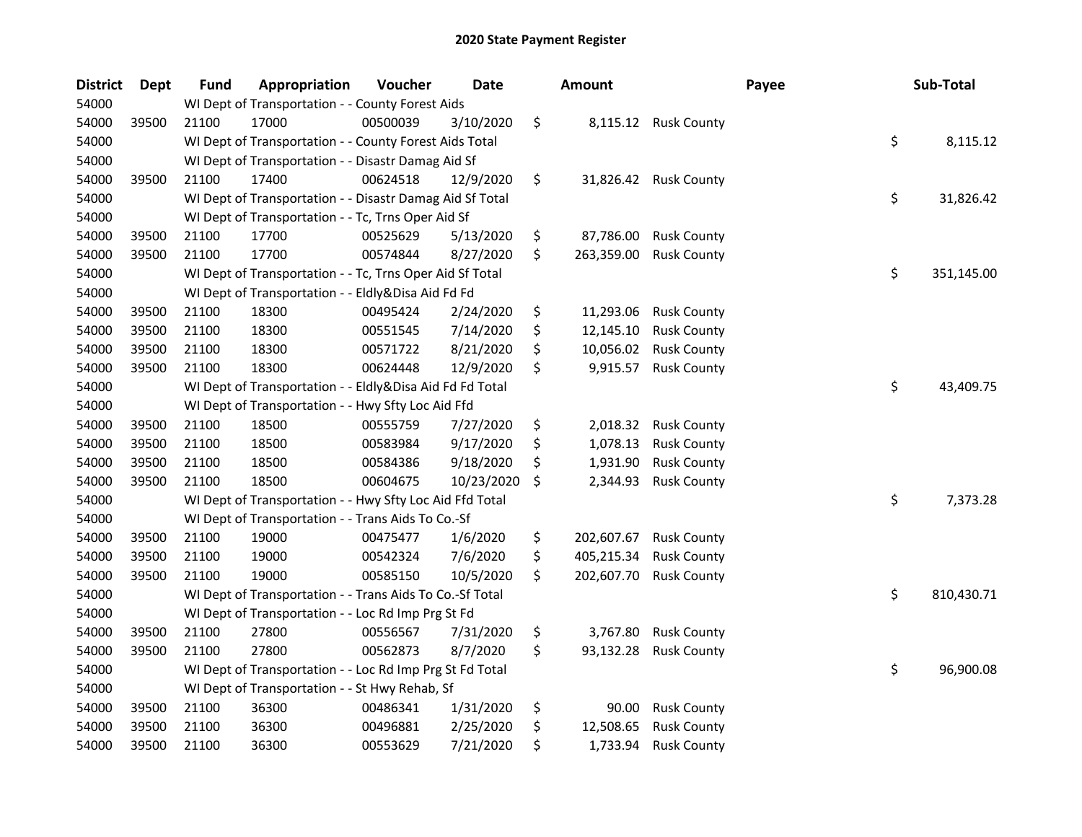| <b>District</b> | <b>Dept</b> | <b>Fund</b> | Appropriation                                            | Voucher  | <b>Date</b> |    | <b>Amount</b> |                    | Payee | Sub-Total        |
|-----------------|-------------|-------------|----------------------------------------------------------|----------|-------------|----|---------------|--------------------|-------|------------------|
| 54000           |             |             | WI Dept of Transportation - - County Forest Aids         |          |             |    |               |                    |       |                  |
| 54000           | 39500       | 21100       | 17000                                                    | 00500039 | 3/10/2020   | \$ | 8,115.12      | <b>Rusk County</b> |       |                  |
| 54000           |             |             | WI Dept of Transportation - - County Forest Aids Total   |          |             |    |               |                    |       | \$<br>8,115.12   |
| 54000           |             |             | WI Dept of Transportation - - Disastr Damag Aid Sf       |          |             |    |               |                    |       |                  |
| 54000           | 39500       | 21100       | 17400                                                    | 00624518 | 12/9/2020   | \$ | 31,826.42     | <b>Rusk County</b> |       |                  |
| 54000           |             |             | WI Dept of Transportation - - Disastr Damag Aid Sf Total |          |             |    |               |                    |       | \$<br>31,826.42  |
| 54000           |             |             | WI Dept of Transportation - - Tc, Trns Oper Aid Sf       |          |             |    |               |                    |       |                  |
| 54000           | 39500       | 21100       | 17700                                                    | 00525629 | 5/13/2020   | \$ | 87,786.00     | <b>Rusk County</b> |       |                  |
| 54000           | 39500       | 21100       | 17700                                                    | 00574844 | 8/27/2020   | \$ | 263,359.00    | <b>Rusk County</b> |       |                  |
| 54000           |             |             | WI Dept of Transportation - - Tc, Trns Oper Aid Sf Total |          |             |    |               |                    |       | \$<br>351,145.00 |
| 54000           |             |             | WI Dept of Transportation - - Eldly&Disa Aid Fd Fd       |          |             |    |               |                    |       |                  |
| 54000           | 39500       | 21100       | 18300                                                    | 00495424 | 2/24/2020   | \$ | 11,293.06     | <b>Rusk County</b> |       |                  |
| 54000           | 39500       | 21100       | 18300                                                    | 00551545 | 7/14/2020   | \$ | 12,145.10     | <b>Rusk County</b> |       |                  |
| 54000           | 39500       | 21100       | 18300                                                    | 00571722 | 8/21/2020   | \$ | 10,056.02     | <b>Rusk County</b> |       |                  |
| 54000           | 39500       | 21100       | 18300                                                    | 00624448 | 12/9/2020   | \$ | 9,915.57      | <b>Rusk County</b> |       |                  |
| 54000           |             |             | WI Dept of Transportation - - Eldly&Disa Aid Fd Fd Total |          |             |    |               |                    |       | \$<br>43,409.75  |
| 54000           |             |             | WI Dept of Transportation - - Hwy Sfty Loc Aid Ffd       |          |             |    |               |                    |       |                  |
| 54000           | 39500       | 21100       | 18500                                                    | 00555759 | 7/27/2020   | \$ | 2,018.32      | <b>Rusk County</b> |       |                  |
| 54000           | 39500       | 21100       | 18500                                                    | 00583984 | 9/17/2020   | \$ | 1,078.13      | <b>Rusk County</b> |       |                  |
| 54000           | 39500       | 21100       | 18500                                                    | 00584386 | 9/18/2020   | \$ | 1,931.90      | <b>Rusk County</b> |       |                  |
| 54000           | 39500       | 21100       | 18500                                                    | 00604675 | 10/23/2020  | Ŝ. | 2,344.93      | <b>Rusk County</b> |       |                  |
| 54000           |             |             | WI Dept of Transportation - - Hwy Sfty Loc Aid Ffd Total |          |             |    |               |                    |       | \$<br>7,373.28   |
| 54000           |             |             | WI Dept of Transportation - - Trans Aids To Co.-Sf       |          |             |    |               |                    |       |                  |
| 54000           | 39500       | 21100       | 19000                                                    | 00475477 | 1/6/2020    | \$ | 202,607.67    | <b>Rusk County</b> |       |                  |
| 54000           | 39500       | 21100       | 19000                                                    | 00542324 | 7/6/2020    | \$ | 405,215.34    | <b>Rusk County</b> |       |                  |
| 54000           | 39500       | 21100       | 19000                                                    | 00585150 | 10/5/2020   | \$ | 202,607.70    | <b>Rusk County</b> |       |                  |
| 54000           |             |             | WI Dept of Transportation - - Trans Aids To Co.-Sf Total |          |             |    |               |                    |       | \$<br>810,430.71 |
| 54000           |             |             | WI Dept of Transportation - - Loc Rd Imp Prg St Fd       |          |             |    |               |                    |       |                  |
| 54000           | 39500       | 21100       | 27800                                                    | 00556567 | 7/31/2020   | \$ | 3,767.80      | <b>Rusk County</b> |       |                  |
| 54000           | 39500       | 21100       | 27800                                                    | 00562873 | 8/7/2020    | \$ | 93,132.28     | <b>Rusk County</b> |       |                  |
| 54000           |             |             | WI Dept of Transportation - - Loc Rd Imp Prg St Fd Total |          |             |    |               |                    |       | \$<br>96,900.08  |
| 54000           |             |             | WI Dept of Transportation - - St Hwy Rehab, Sf           |          |             |    |               |                    |       |                  |
| 54000           | 39500       | 21100       | 36300                                                    | 00486341 | 1/31/2020   | \$ | 90.00         | <b>Rusk County</b> |       |                  |
| 54000           | 39500       | 21100       | 36300                                                    | 00496881 | 2/25/2020   | \$ | 12,508.65     | <b>Rusk County</b> |       |                  |
| 54000           | 39500       | 21100       | 36300                                                    | 00553629 | 7/21/2020   | \$ | 1,733.94      | <b>Rusk County</b> |       |                  |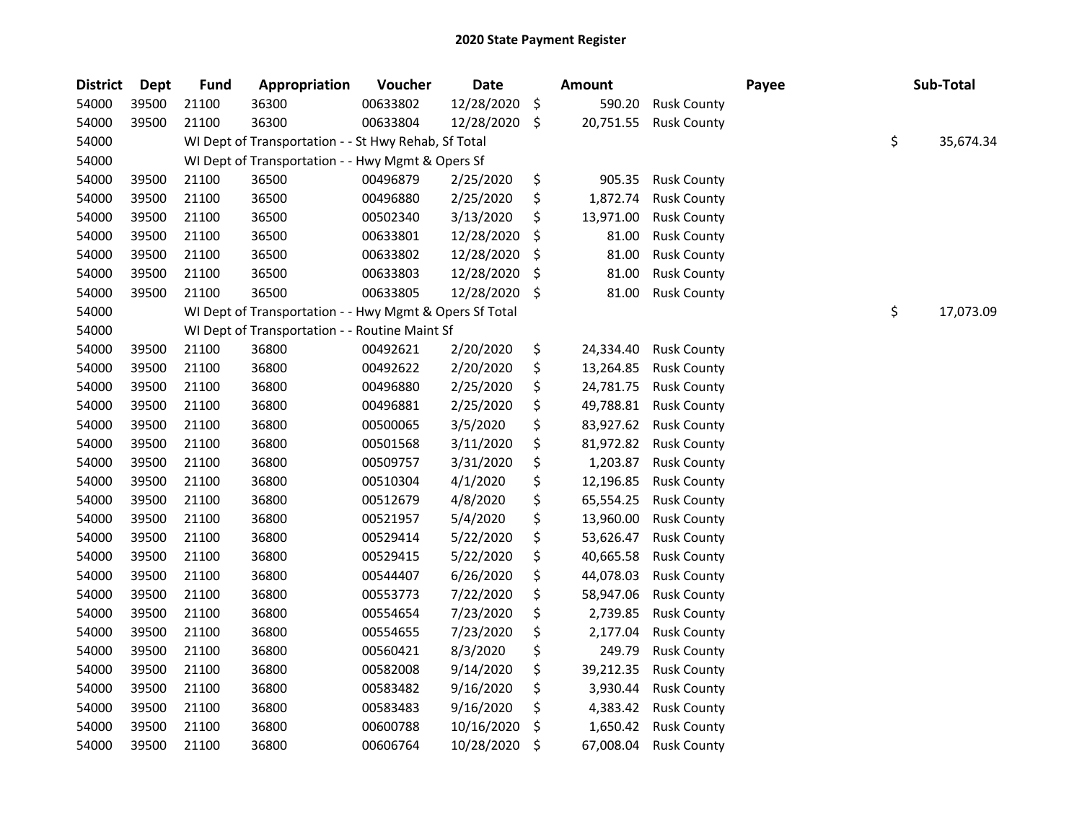| <b>District</b> | <b>Dept</b> | <b>Fund</b> | Appropriation                                           | Voucher  | <b>Date</b> |     | Amount    |                    | Payee | Sub-Total       |
|-----------------|-------------|-------------|---------------------------------------------------------|----------|-------------|-----|-----------|--------------------|-------|-----------------|
| 54000           | 39500       | 21100       | 36300                                                   | 00633802 | 12/28/2020  | \$  | 590.20    | <b>Rusk County</b> |       |                 |
| 54000           | 39500       | 21100       | 36300                                                   | 00633804 | 12/28/2020  | \$  | 20,751.55 | <b>Rusk County</b> |       |                 |
| 54000           |             |             | WI Dept of Transportation - - St Hwy Rehab, Sf Total    |          |             |     |           |                    |       | \$<br>35,674.34 |
| 54000           |             |             | WI Dept of Transportation - - Hwy Mgmt & Opers Sf       |          |             |     |           |                    |       |                 |
| 54000           | 39500       | 21100       | 36500                                                   | 00496879 | 2/25/2020   | \$  | 905.35    | <b>Rusk County</b> |       |                 |
| 54000           | 39500       | 21100       | 36500                                                   | 00496880 | 2/25/2020   | \$  | 1,872.74  | <b>Rusk County</b> |       |                 |
| 54000           | 39500       | 21100       | 36500                                                   | 00502340 | 3/13/2020   | \$  | 13,971.00 | <b>Rusk County</b> |       |                 |
| 54000           | 39500       | 21100       | 36500                                                   | 00633801 | 12/28/2020  | \$  | 81.00     | <b>Rusk County</b> |       |                 |
| 54000           | 39500       | 21100       | 36500                                                   | 00633802 | 12/28/2020  | \$  | 81.00     | <b>Rusk County</b> |       |                 |
| 54000           | 39500       | 21100       | 36500                                                   | 00633803 | 12/28/2020  | \$  | 81.00     | <b>Rusk County</b> |       |                 |
| 54000           | 39500       | 21100       | 36500                                                   | 00633805 | 12/28/2020  | -\$ | 81.00     | <b>Rusk County</b> |       |                 |
| 54000           |             |             | WI Dept of Transportation - - Hwy Mgmt & Opers Sf Total |          |             |     |           |                    |       | \$<br>17,073.09 |
| 54000           |             |             | WI Dept of Transportation - - Routine Maint Sf          |          |             |     |           |                    |       |                 |
| 54000           | 39500       | 21100       | 36800                                                   | 00492621 | 2/20/2020   | \$  | 24,334.40 | <b>Rusk County</b> |       |                 |
| 54000           | 39500       | 21100       | 36800                                                   | 00492622 | 2/20/2020   | \$  | 13,264.85 | <b>Rusk County</b> |       |                 |
| 54000           | 39500       | 21100       | 36800                                                   | 00496880 | 2/25/2020   | \$  | 24,781.75 | <b>Rusk County</b> |       |                 |
| 54000           | 39500       | 21100       | 36800                                                   | 00496881 | 2/25/2020   | \$  | 49,788.81 | <b>Rusk County</b> |       |                 |
| 54000           | 39500       | 21100       | 36800                                                   | 00500065 | 3/5/2020    | \$  | 83,927.62 | <b>Rusk County</b> |       |                 |
| 54000           | 39500       | 21100       | 36800                                                   | 00501568 | 3/11/2020   | \$  | 81,972.82 | <b>Rusk County</b> |       |                 |
| 54000           | 39500       | 21100       | 36800                                                   | 00509757 | 3/31/2020   | \$  | 1,203.87  | <b>Rusk County</b> |       |                 |
| 54000           | 39500       | 21100       | 36800                                                   | 00510304 | 4/1/2020    | \$  | 12,196.85 | <b>Rusk County</b> |       |                 |
| 54000           | 39500       | 21100       | 36800                                                   | 00512679 | 4/8/2020    | \$  | 65,554.25 | <b>Rusk County</b> |       |                 |
| 54000           | 39500       | 21100       | 36800                                                   | 00521957 | 5/4/2020    | \$  | 13,960.00 | <b>Rusk County</b> |       |                 |
| 54000           | 39500       | 21100       | 36800                                                   | 00529414 | 5/22/2020   | \$  | 53,626.47 | <b>Rusk County</b> |       |                 |
| 54000           | 39500       | 21100       | 36800                                                   | 00529415 | 5/22/2020   | \$  | 40,665.58 | <b>Rusk County</b> |       |                 |
| 54000           | 39500       | 21100       | 36800                                                   | 00544407 | 6/26/2020   | \$  | 44,078.03 | <b>Rusk County</b> |       |                 |
| 54000           | 39500       | 21100       | 36800                                                   | 00553773 | 7/22/2020   | \$  | 58,947.06 | <b>Rusk County</b> |       |                 |
| 54000           | 39500       | 21100       | 36800                                                   | 00554654 | 7/23/2020   | \$  | 2,739.85  | <b>Rusk County</b> |       |                 |
| 54000           | 39500       | 21100       | 36800                                                   | 00554655 | 7/23/2020   | \$  | 2,177.04  | <b>Rusk County</b> |       |                 |
| 54000           | 39500       | 21100       | 36800                                                   | 00560421 | 8/3/2020    | \$  | 249.79    | <b>Rusk County</b> |       |                 |
| 54000           | 39500       | 21100       | 36800                                                   | 00582008 | 9/14/2020   | \$  | 39,212.35 | <b>Rusk County</b> |       |                 |
| 54000           | 39500       | 21100       | 36800                                                   | 00583482 | 9/16/2020   | \$  | 3,930.44  | <b>Rusk County</b> |       |                 |
| 54000           | 39500       | 21100       | 36800                                                   | 00583483 | 9/16/2020   | \$  | 4,383.42  | <b>Rusk County</b> |       |                 |
| 54000           | 39500       | 21100       | 36800                                                   | 00600788 | 10/16/2020  | \$  | 1,650.42  | <b>Rusk County</b> |       |                 |
| 54000           | 39500       | 21100       | 36800                                                   | 00606764 | 10/28/2020  | \$  | 67,008.04 | <b>Rusk County</b> |       |                 |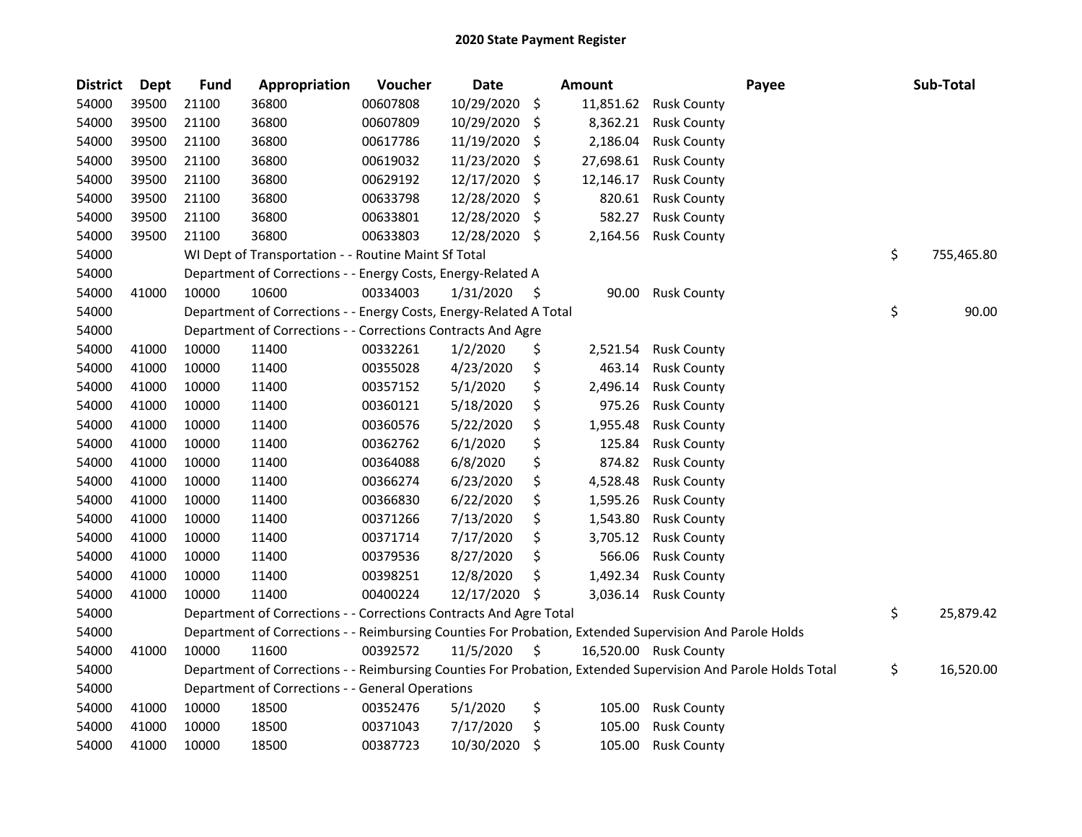| <b>District</b> | <b>Dept</b> | <b>Fund</b> | Appropriation                                                                                                 | Voucher  | <b>Date</b> |     | <b>Amount</b> |                       | Payee | Sub-Total        |
|-----------------|-------------|-------------|---------------------------------------------------------------------------------------------------------------|----------|-------------|-----|---------------|-----------------------|-------|------------------|
| 54000           | 39500       | 21100       | 36800                                                                                                         | 00607808 | 10/29/2020  | \$  | 11,851.62     | <b>Rusk County</b>    |       |                  |
| 54000           | 39500       | 21100       | 36800                                                                                                         | 00607809 | 10/29/2020  | \$  | 8,362.21      | <b>Rusk County</b>    |       |                  |
| 54000           | 39500       | 21100       | 36800                                                                                                         | 00617786 | 11/19/2020  | \$, | 2,186.04      | <b>Rusk County</b>    |       |                  |
| 54000           | 39500       | 21100       | 36800                                                                                                         | 00619032 | 11/23/2020  | \$  | 27,698.61     | <b>Rusk County</b>    |       |                  |
| 54000           | 39500       | 21100       | 36800                                                                                                         | 00629192 | 12/17/2020  | \$  | 12,146.17     | <b>Rusk County</b>    |       |                  |
| 54000           | 39500       | 21100       | 36800                                                                                                         | 00633798 | 12/28/2020  | \$  | 820.61        | <b>Rusk County</b>    |       |                  |
| 54000           | 39500       | 21100       | 36800                                                                                                         | 00633801 | 12/28/2020  | \$, | 582.27        | <b>Rusk County</b>    |       |                  |
| 54000           | 39500       | 21100       | 36800                                                                                                         | 00633803 | 12/28/2020  | \$  | 2,164.56      | <b>Rusk County</b>    |       |                  |
| 54000           |             |             | WI Dept of Transportation - - Routine Maint Sf Total                                                          |          |             |     |               |                       |       | \$<br>755,465.80 |
| 54000           |             |             | Department of Corrections - - Energy Costs, Energy-Related A                                                  |          |             |     |               |                       |       |                  |
| 54000           | 41000       | 10000       | 10600                                                                                                         | 00334003 | 1/31/2020   | \$  | 90.00         | <b>Rusk County</b>    |       |                  |
| 54000           |             |             | Department of Corrections - - Energy Costs, Energy-Related A Total                                            |          |             |     |               |                       |       | \$<br>90.00      |
| 54000           |             |             | Department of Corrections - - Corrections Contracts And Agre                                                  |          |             |     |               |                       |       |                  |
| 54000           | 41000       | 10000       | 11400                                                                                                         | 00332261 | 1/2/2020    | \$  | 2,521.54      | <b>Rusk County</b>    |       |                  |
| 54000           | 41000       | 10000       | 11400                                                                                                         | 00355028 | 4/23/2020   | \$  | 463.14        | <b>Rusk County</b>    |       |                  |
| 54000           | 41000       | 10000       | 11400                                                                                                         | 00357152 | 5/1/2020    | \$  | 2,496.14      | <b>Rusk County</b>    |       |                  |
| 54000           | 41000       | 10000       | 11400                                                                                                         | 00360121 | 5/18/2020   | \$  | 975.26        | <b>Rusk County</b>    |       |                  |
| 54000           | 41000       | 10000       | 11400                                                                                                         | 00360576 | 5/22/2020   | \$  | 1,955.48      | <b>Rusk County</b>    |       |                  |
| 54000           | 41000       | 10000       | 11400                                                                                                         | 00362762 | 6/1/2020    | \$  | 125.84        | <b>Rusk County</b>    |       |                  |
| 54000           | 41000       | 10000       | 11400                                                                                                         | 00364088 | 6/8/2020    | \$  | 874.82        | <b>Rusk County</b>    |       |                  |
| 54000           | 41000       | 10000       | 11400                                                                                                         | 00366274 | 6/23/2020   | \$  | 4,528.48      | <b>Rusk County</b>    |       |                  |
| 54000           | 41000       | 10000       | 11400                                                                                                         | 00366830 | 6/22/2020   | \$  | 1,595.26      | <b>Rusk County</b>    |       |                  |
| 54000           | 41000       | 10000       | 11400                                                                                                         | 00371266 | 7/13/2020   | \$  | 1,543.80      | <b>Rusk County</b>    |       |                  |
| 54000           | 41000       | 10000       | 11400                                                                                                         | 00371714 | 7/17/2020   | \$  | 3,705.12      | <b>Rusk County</b>    |       |                  |
| 54000           | 41000       | 10000       | 11400                                                                                                         | 00379536 | 8/27/2020   | \$  | 566.06        | <b>Rusk County</b>    |       |                  |
| 54000           | 41000       | 10000       | 11400                                                                                                         | 00398251 | 12/8/2020   | \$  | 1,492.34      | <b>Rusk County</b>    |       |                  |
| 54000           | 41000       | 10000       | 11400                                                                                                         | 00400224 | 12/17/2020  | Ŝ.  | 3,036.14      | <b>Rusk County</b>    |       |                  |
| 54000           |             |             | Department of Corrections - - Corrections Contracts And Agre Total                                            |          |             |     |               |                       |       | \$<br>25,879.42  |
| 54000           |             |             | Department of Corrections - - Reimbursing Counties For Probation, Extended Supervision And Parole Holds       |          |             |     |               |                       |       |                  |
| 54000           | 41000       | 10000       | 11600                                                                                                         | 00392572 | 11/5/2020   | \$  |               | 16,520.00 Rusk County |       |                  |
| 54000           |             |             | Department of Corrections - - Reimbursing Counties For Probation, Extended Supervision And Parole Holds Total |          |             |     |               |                       |       | \$<br>16,520.00  |
| 54000           |             |             | Department of Corrections - - General Operations                                                              |          |             |     |               |                       |       |                  |
| 54000           | 41000       | 10000       | 18500                                                                                                         | 00352476 | 5/1/2020    | \$  | 105.00        | <b>Rusk County</b>    |       |                  |
| 54000           | 41000       | 10000       | 18500                                                                                                         | 00371043 | 7/17/2020   | \$  | 105.00        | <b>Rusk County</b>    |       |                  |
| 54000           | 41000       | 10000       | 18500                                                                                                         | 00387723 | 10/30/2020  | \$  | 105.00        | <b>Rusk County</b>    |       |                  |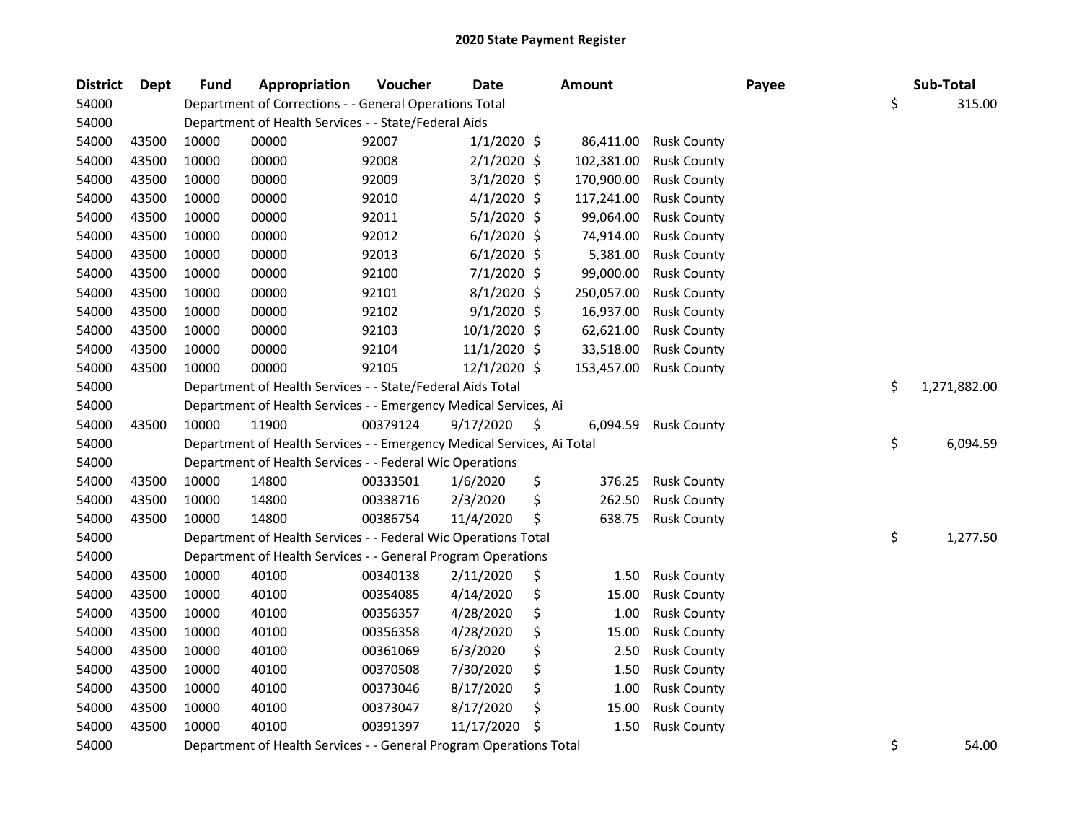| <b>District</b> | <b>Dept</b> | <b>Fund</b> | Appropriation                                                          | Voucher  | <b>Date</b>    |    | <b>Amount</b> |                    | Payee | Sub-Total          |
|-----------------|-------------|-------------|------------------------------------------------------------------------|----------|----------------|----|---------------|--------------------|-------|--------------------|
| 54000           |             |             | Department of Corrections - - General Operations Total                 |          |                |    |               |                    |       | \$<br>315.00       |
| 54000           |             |             | Department of Health Services - - State/Federal Aids                   |          |                |    |               |                    |       |                    |
| 54000           | 43500       | 10000       | 00000                                                                  | 92007    | $1/1/2020$ \$  |    | 86,411.00     | <b>Rusk County</b> |       |                    |
| 54000           | 43500       | 10000       | 00000                                                                  | 92008    | $2/1/2020$ \$  |    | 102,381.00    | <b>Rusk County</b> |       |                    |
| 54000           | 43500       | 10000       | 00000                                                                  | 92009    | 3/1/2020 \$    |    | 170,900.00    | <b>Rusk County</b> |       |                    |
| 54000           | 43500       | 10000       | 00000                                                                  | 92010    | $4/1/2020$ \$  |    | 117,241.00    | <b>Rusk County</b> |       |                    |
| 54000           | 43500       | 10000       | 00000                                                                  | 92011    | $5/1/2020$ \$  |    | 99,064.00     | <b>Rusk County</b> |       |                    |
| 54000           | 43500       | 10000       | 00000                                                                  | 92012    | $6/1/2020$ \$  |    | 74,914.00     | <b>Rusk County</b> |       |                    |
| 54000           | 43500       | 10000       | 00000                                                                  | 92013    | $6/1/2020$ \$  |    | 5,381.00      | <b>Rusk County</b> |       |                    |
| 54000           | 43500       | 10000       | 00000                                                                  | 92100    | $7/1/2020$ \$  |    | 99,000.00     | <b>Rusk County</b> |       |                    |
| 54000           | 43500       | 10000       | 00000                                                                  | 92101    | $8/1/2020$ \$  |    | 250,057.00    | <b>Rusk County</b> |       |                    |
| 54000           | 43500       | 10000       | 00000                                                                  | 92102    | $9/1/2020$ \$  |    | 16,937.00     | <b>Rusk County</b> |       |                    |
| 54000           | 43500       | 10000       | 00000                                                                  | 92103    | 10/1/2020 \$   |    | 62,621.00     | <b>Rusk County</b> |       |                    |
| 54000           | 43500       | 10000       | 00000                                                                  | 92104    | $11/1/2020$ \$ |    | 33,518.00     | <b>Rusk County</b> |       |                    |
| 54000           | 43500       | 10000       | 00000                                                                  | 92105    | $12/1/2020$ \$ |    | 153,457.00    | <b>Rusk County</b> |       |                    |
| 54000           |             |             | Department of Health Services - - State/Federal Aids Total             |          |                |    |               |                    |       | \$<br>1,271,882.00 |
| 54000           |             |             | Department of Health Services - - Emergency Medical Services, Ai       |          |                |    |               |                    |       |                    |
| 54000           | 43500       | 10000       | 11900                                                                  | 00379124 | 9/17/2020      | \$ | 6,094.59      | <b>Rusk County</b> |       |                    |
| 54000           |             |             | Department of Health Services - - Emergency Medical Services, Ai Total |          |                |    |               |                    |       | \$<br>6,094.59     |
| 54000           |             |             | Department of Health Services - - Federal Wic Operations               |          |                |    |               |                    |       |                    |
| 54000           | 43500       | 10000       | 14800                                                                  | 00333501 | 1/6/2020       | \$ | 376.25        | <b>Rusk County</b> |       |                    |
| 54000           | 43500       | 10000       | 14800                                                                  | 00338716 | 2/3/2020       | \$ | 262.50        | <b>Rusk County</b> |       |                    |
| 54000           | 43500       | 10000       | 14800                                                                  | 00386754 | 11/4/2020      | \$ | 638.75        | <b>Rusk County</b> |       |                    |
| 54000           |             |             | Department of Health Services - - Federal Wic Operations Total         |          |                |    |               |                    |       | \$<br>1,277.50     |
| 54000           |             |             | Department of Health Services - - General Program Operations           |          |                |    |               |                    |       |                    |
| 54000           | 43500       | 10000       | 40100                                                                  | 00340138 | 2/11/2020      | \$ | 1.50          | <b>Rusk County</b> |       |                    |
| 54000           | 43500       | 10000       | 40100                                                                  | 00354085 | 4/14/2020      | \$ | 15.00         | <b>Rusk County</b> |       |                    |
| 54000           | 43500       | 10000       | 40100                                                                  | 00356357 | 4/28/2020      | \$ | 1.00          | <b>Rusk County</b> |       |                    |
| 54000           | 43500       | 10000       | 40100                                                                  | 00356358 | 4/28/2020      | \$ | 15.00         | <b>Rusk County</b> |       |                    |
| 54000           | 43500       | 10000       | 40100                                                                  | 00361069 | 6/3/2020       | \$ | 2.50          | <b>Rusk County</b> |       |                    |
| 54000           | 43500       | 10000       | 40100                                                                  | 00370508 | 7/30/2020      | \$ | 1.50          | <b>Rusk County</b> |       |                    |
| 54000           | 43500       | 10000       | 40100                                                                  | 00373046 | 8/17/2020      | \$ | 1.00          | <b>Rusk County</b> |       |                    |
| 54000           | 43500       | 10000       | 40100                                                                  | 00373047 | 8/17/2020      | \$ | 15.00         | <b>Rusk County</b> |       |                    |
| 54000           | 43500       | 10000       | 40100                                                                  | 00391397 | 11/17/2020     | S  | 1.50          | <b>Rusk County</b> |       |                    |
| 54000           |             |             | Department of Health Services - - General Program Operations Total     |          |                |    |               |                    |       | \$<br>54.00        |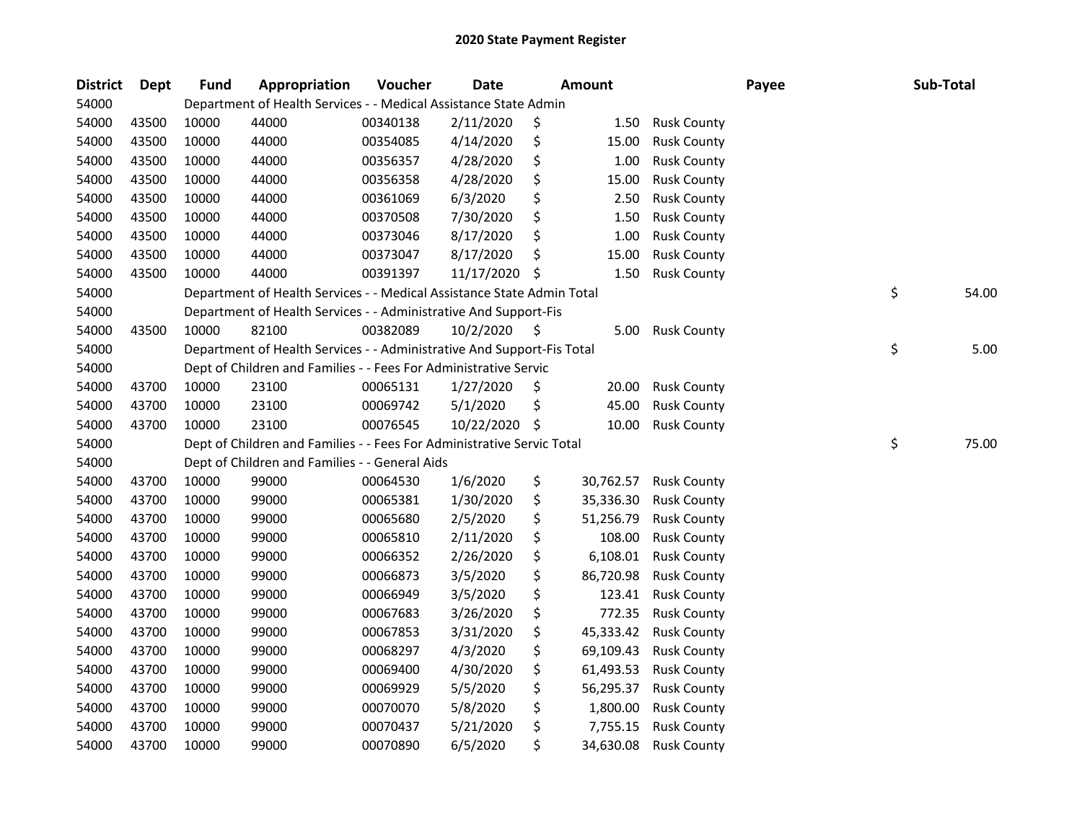| <b>District</b> | Dept  | <b>Fund</b> | Appropriation                                                          | Voucher  | <b>Date</b> | <b>Amount</b>   |                    | Payee | Sub-Total |       |
|-----------------|-------|-------------|------------------------------------------------------------------------|----------|-------------|-----------------|--------------------|-------|-----------|-------|
| 54000           |       |             | Department of Health Services - - Medical Assistance State Admin       |          |             |                 |                    |       |           |       |
| 54000           | 43500 | 10000       | 44000                                                                  | 00340138 | 2/11/2020   | \$<br>1.50      | <b>Rusk County</b> |       |           |       |
| 54000           | 43500 | 10000       | 44000                                                                  | 00354085 | 4/14/2020   | \$<br>15.00     | <b>Rusk County</b> |       |           |       |
| 54000           | 43500 | 10000       | 44000                                                                  | 00356357 | 4/28/2020   | \$<br>1.00      | <b>Rusk County</b> |       |           |       |
| 54000           | 43500 | 10000       | 44000                                                                  | 00356358 | 4/28/2020   | \$<br>15.00     | <b>Rusk County</b> |       |           |       |
| 54000           | 43500 | 10000       | 44000                                                                  | 00361069 | 6/3/2020    | \$<br>2.50      | <b>Rusk County</b> |       |           |       |
| 54000           | 43500 | 10000       | 44000                                                                  | 00370508 | 7/30/2020   | \$<br>1.50      | <b>Rusk County</b> |       |           |       |
| 54000           | 43500 | 10000       | 44000                                                                  | 00373046 | 8/17/2020   | \$<br>1.00      | <b>Rusk County</b> |       |           |       |
| 54000           | 43500 | 10000       | 44000                                                                  | 00373047 | 8/17/2020   | \$<br>15.00     | <b>Rusk County</b> |       |           |       |
| 54000           | 43500 | 10000       | 44000                                                                  | 00391397 | 11/17/2020  | \$<br>1.50      | <b>Rusk County</b> |       |           |       |
| 54000           |       |             | Department of Health Services - - Medical Assistance State Admin Total |          |             |                 |                    |       | \$        | 54.00 |
| 54000           |       |             | Department of Health Services - - Administrative And Support-Fis       |          |             |                 |                    |       |           |       |
| 54000           | 43500 | 10000       | 82100                                                                  | 00382089 | 10/2/2020   | \$<br>5.00      | <b>Rusk County</b> |       |           |       |
| 54000           |       |             | Department of Health Services - - Administrative And Support-Fis Total |          |             |                 |                    |       | \$        | 5.00  |
| 54000           |       |             | Dept of Children and Families - - Fees For Administrative Servic       |          |             |                 |                    |       |           |       |
| 54000           | 43700 | 10000       | 23100                                                                  | 00065131 | 1/27/2020   | \$<br>20.00     | <b>Rusk County</b> |       |           |       |
| 54000           | 43700 | 10000       | 23100                                                                  | 00069742 | 5/1/2020    | \$<br>45.00     | <b>Rusk County</b> |       |           |       |
| 54000           | 43700 | 10000       | 23100                                                                  | 00076545 | 10/22/2020  | \$<br>10.00     | <b>Rusk County</b> |       |           |       |
| 54000           |       |             | Dept of Children and Families - - Fees For Administrative Servic Total |          |             |                 |                    |       | \$        | 75.00 |
| 54000           |       |             | Dept of Children and Families - - General Aids                         |          |             |                 |                    |       |           |       |
| 54000           | 43700 | 10000       | 99000                                                                  | 00064530 | 1/6/2020    | \$<br>30,762.57 | <b>Rusk County</b> |       |           |       |
| 54000           | 43700 | 10000       | 99000                                                                  | 00065381 | 1/30/2020   | \$<br>35,336.30 | <b>Rusk County</b> |       |           |       |
| 54000           | 43700 | 10000       | 99000                                                                  | 00065680 | 2/5/2020    | \$<br>51,256.79 | <b>Rusk County</b> |       |           |       |
| 54000           | 43700 | 10000       | 99000                                                                  | 00065810 | 2/11/2020   | \$<br>108.00    | <b>Rusk County</b> |       |           |       |
| 54000           | 43700 | 10000       | 99000                                                                  | 00066352 | 2/26/2020   | \$<br>6,108.01  | <b>Rusk County</b> |       |           |       |
| 54000           | 43700 | 10000       | 99000                                                                  | 00066873 | 3/5/2020    | \$<br>86,720.98 | <b>Rusk County</b> |       |           |       |
| 54000           | 43700 | 10000       | 99000                                                                  | 00066949 | 3/5/2020    | \$<br>123.41    | <b>Rusk County</b> |       |           |       |
| 54000           | 43700 | 10000       | 99000                                                                  | 00067683 | 3/26/2020   | \$<br>772.35    | <b>Rusk County</b> |       |           |       |
| 54000           | 43700 | 10000       | 99000                                                                  | 00067853 | 3/31/2020   | \$<br>45,333.42 | <b>Rusk County</b> |       |           |       |
| 54000           | 43700 | 10000       | 99000                                                                  | 00068297 | 4/3/2020    | \$<br>69,109.43 | <b>Rusk County</b> |       |           |       |
| 54000           | 43700 | 10000       | 99000                                                                  | 00069400 | 4/30/2020   | \$<br>61,493.53 | <b>Rusk County</b> |       |           |       |
| 54000           | 43700 | 10000       | 99000                                                                  | 00069929 | 5/5/2020    | \$<br>56,295.37 | <b>Rusk County</b> |       |           |       |
| 54000           | 43700 | 10000       | 99000                                                                  | 00070070 | 5/8/2020    | \$<br>1,800.00  | <b>Rusk County</b> |       |           |       |
| 54000           | 43700 | 10000       | 99000                                                                  | 00070437 | 5/21/2020   | \$<br>7,755.15  | <b>Rusk County</b> |       |           |       |
| 54000           | 43700 | 10000       | 99000                                                                  | 00070890 | 6/5/2020    | \$<br>34,630.08 | <b>Rusk County</b> |       |           |       |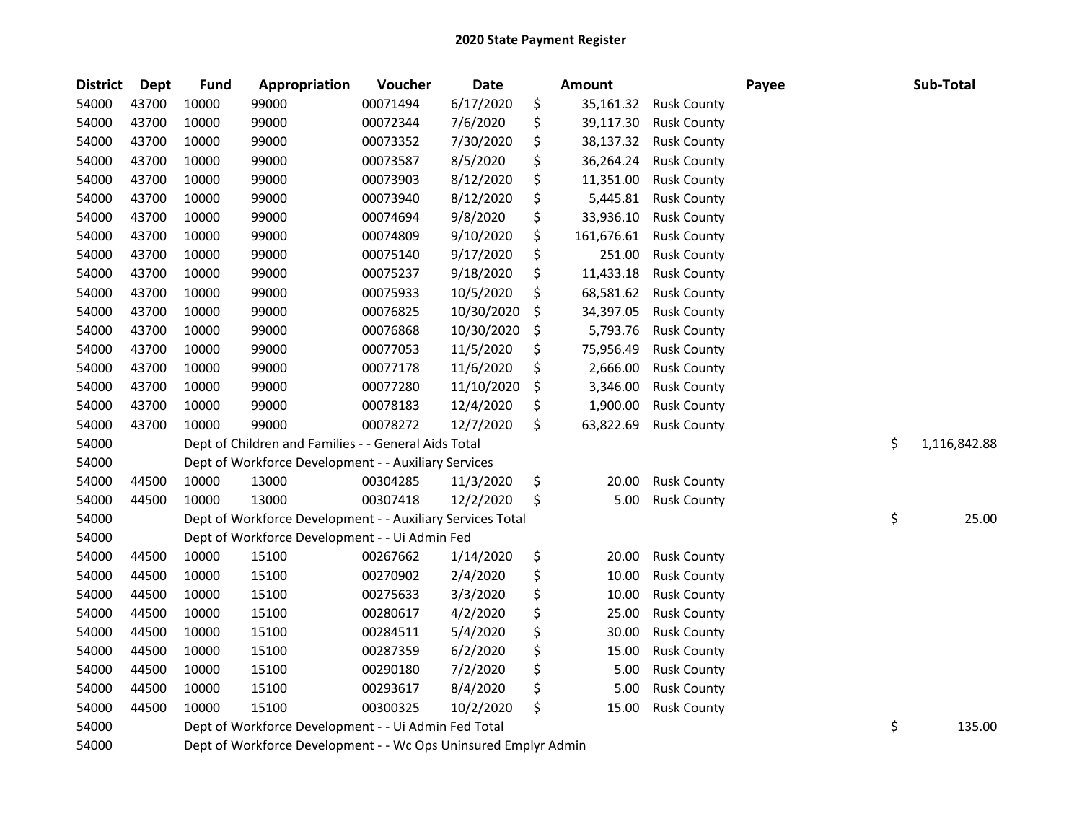| <b>District</b> | <b>Dept</b> | <b>Fund</b> | Appropriation                                                                                                           | Voucher  | Date       |    | <b>Amount</b> |                    | Payee |    | Sub-Total    |  |  |
|-----------------|-------------|-------------|-------------------------------------------------------------------------------------------------------------------------|----------|------------|----|---------------|--------------------|-------|----|--------------|--|--|
| 54000           | 43700       | 10000       | 99000                                                                                                                   | 00071494 | 6/17/2020  | \$ | 35,161.32     | <b>Rusk County</b> |       |    |              |  |  |
| 54000           | 43700       | 10000       | 99000                                                                                                                   | 00072344 | 7/6/2020   | \$ | 39,117.30     | <b>Rusk County</b> |       |    |              |  |  |
| 54000           | 43700       | 10000       | 99000                                                                                                                   | 00073352 | 7/30/2020  | \$ | 38,137.32     | <b>Rusk County</b> |       |    |              |  |  |
| 54000           | 43700       | 10000       | 99000                                                                                                                   | 00073587 | 8/5/2020   | \$ | 36,264.24     | <b>Rusk County</b> |       |    |              |  |  |
| 54000           | 43700       | 10000       | 99000                                                                                                                   | 00073903 | 8/12/2020  | \$ | 11,351.00     | <b>Rusk County</b> |       |    |              |  |  |
| 54000           | 43700       | 10000       | 99000                                                                                                                   | 00073940 | 8/12/2020  | \$ | 5,445.81      | <b>Rusk County</b> |       |    |              |  |  |
| 54000           | 43700       | 10000       | 99000                                                                                                                   | 00074694 | 9/8/2020   | \$ | 33,936.10     | <b>Rusk County</b> |       |    |              |  |  |
| 54000           | 43700       | 10000       | 99000                                                                                                                   | 00074809 | 9/10/2020  | \$ | 161,676.61    | <b>Rusk County</b> |       |    |              |  |  |
| 54000           | 43700       | 10000       | 99000                                                                                                                   | 00075140 | 9/17/2020  | \$ | 251.00        | <b>Rusk County</b> |       |    |              |  |  |
| 54000           | 43700       | 10000       | 99000                                                                                                                   | 00075237 | 9/18/2020  | \$ | 11,433.18     | <b>Rusk County</b> |       |    |              |  |  |
| 54000           | 43700       | 10000       | 99000                                                                                                                   | 00075933 | 10/5/2020  | \$ | 68,581.62     | <b>Rusk County</b> |       |    |              |  |  |
| 54000           | 43700       | 10000       | 99000                                                                                                                   | 00076825 | 10/30/2020 | \$ | 34,397.05     | <b>Rusk County</b> |       |    |              |  |  |
| 54000           | 43700       | 10000       | 99000                                                                                                                   | 00076868 | 10/30/2020 | \$ | 5,793.76      | <b>Rusk County</b> |       |    |              |  |  |
| 54000           | 43700       | 10000       | 99000                                                                                                                   | 00077053 | 11/5/2020  | \$ | 75,956.49     | <b>Rusk County</b> |       |    |              |  |  |
| 54000           | 43700       | 10000       | 99000                                                                                                                   | 00077178 | 11/6/2020  | \$ | 2,666.00      | <b>Rusk County</b> |       |    |              |  |  |
| 54000           | 43700       | 10000       | 99000                                                                                                                   | 00077280 | 11/10/2020 | \$ | 3,346.00      | <b>Rusk County</b> |       |    |              |  |  |
| 54000           | 43700       | 10000       | 99000                                                                                                                   | 00078183 | 12/4/2020  | \$ | 1,900.00      | <b>Rusk County</b> |       |    |              |  |  |
| 54000           | 43700       | 10000       | 99000                                                                                                                   | 00078272 | 12/7/2020  | \$ | 63,822.69     | <b>Rusk County</b> |       |    |              |  |  |
| 54000           |             |             | Dept of Children and Families - - General Aids Total                                                                    |          |            |    |               |                    |       | \$ | 1,116,842.88 |  |  |
| 54000           |             |             | Dept of Workforce Development - - Auxiliary Services                                                                    |          |            |    |               |                    |       |    |              |  |  |
| 54000           | 44500       | 10000       | 13000                                                                                                                   | 00304285 | 11/3/2020  | \$ | 20.00         | <b>Rusk County</b> |       |    |              |  |  |
| 54000           | 44500       | 10000       | 13000                                                                                                                   | 00307418 | 12/2/2020  | \$ | 5.00          | <b>Rusk County</b> |       |    |              |  |  |
| 54000           |             |             | Dept of Workforce Development - - Auxiliary Services Total                                                              |          |            |    |               |                    |       | \$ | 25.00        |  |  |
| 54000           |             |             | Dept of Workforce Development - - Ui Admin Fed                                                                          |          |            |    |               |                    |       |    |              |  |  |
| 54000           | 44500       | 10000       | 15100                                                                                                                   | 00267662 | 1/14/2020  | \$ | 20.00         | <b>Rusk County</b> |       |    |              |  |  |
| 54000           | 44500       | 10000       | 15100                                                                                                                   | 00270902 | 2/4/2020   | \$ | 10.00         | <b>Rusk County</b> |       |    |              |  |  |
| 54000           | 44500       | 10000       | 15100                                                                                                                   | 00275633 | 3/3/2020   | \$ | 10.00         | <b>Rusk County</b> |       |    |              |  |  |
| 54000           | 44500       | 10000       | 15100                                                                                                                   | 00280617 | 4/2/2020   | \$ | 25.00         | <b>Rusk County</b> |       |    |              |  |  |
| 54000           | 44500       | 10000       | 15100                                                                                                                   | 00284511 | 5/4/2020   | \$ | 30.00         | <b>Rusk County</b> |       |    |              |  |  |
| 54000           | 44500       | 10000       | 15100                                                                                                                   | 00287359 | 6/2/2020   | \$ | 15.00         | <b>Rusk County</b> |       |    |              |  |  |
| 54000           | 44500       | 10000       | 15100                                                                                                                   | 00290180 | 7/2/2020   | \$ | 5.00          | <b>Rusk County</b> |       |    |              |  |  |
| 54000           | 44500       | 10000       | 15100                                                                                                                   | 00293617 | 8/4/2020   | \$ | 5.00          | <b>Rusk County</b> |       |    |              |  |  |
| 54000           | 44500       | 10000       | 15100                                                                                                                   | 00300325 | 10/2/2020  | \$ | 15.00         | <b>Rusk County</b> |       |    |              |  |  |
| 54000           |             |             |                                                                                                                         |          |            |    |               |                    |       | \$ | 135.00       |  |  |
| 54000           |             |             | Dept of Workforce Development - - Ui Admin Fed Total<br>Dept of Workforce Development - - Wc Ops Uninsured Emplyr Admin |          |            |    |               |                    |       |    |              |  |  |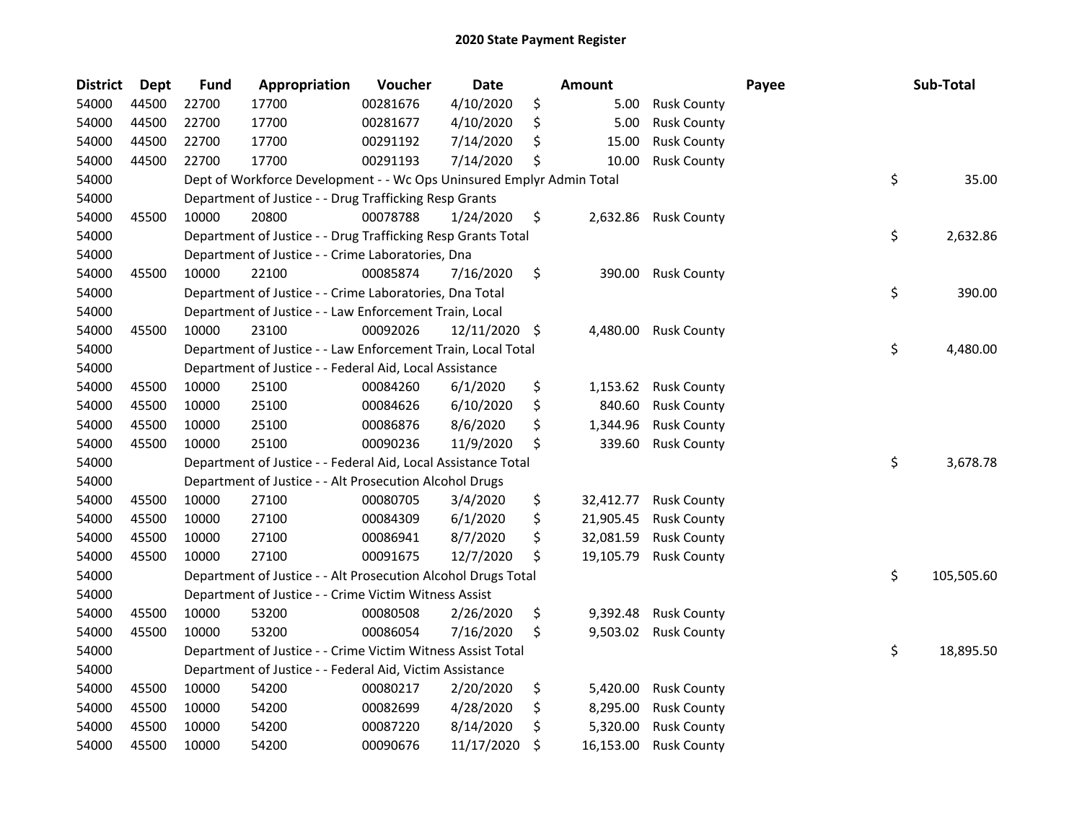| <b>District</b> | <b>Dept</b> | <b>Fund</b> | Appropriation                                                         | Voucher  | <b>Date</b> | Amount          |                    | Payee | Sub-Total        |
|-----------------|-------------|-------------|-----------------------------------------------------------------------|----------|-------------|-----------------|--------------------|-------|------------------|
| 54000           | 44500       | 22700       | 17700                                                                 | 00281676 | 4/10/2020   | \$<br>5.00      | <b>Rusk County</b> |       |                  |
| 54000           | 44500       | 22700       | 17700                                                                 | 00281677 | 4/10/2020   | \$<br>5.00      | <b>Rusk County</b> |       |                  |
| 54000           | 44500       | 22700       | 17700                                                                 | 00291192 | 7/14/2020   | \$<br>15.00     | <b>Rusk County</b> |       |                  |
| 54000           | 44500       | 22700       | 17700                                                                 | 00291193 | 7/14/2020   | \$<br>10.00     | <b>Rusk County</b> |       |                  |
| 54000           |             |             | Dept of Workforce Development - - Wc Ops Uninsured Emplyr Admin Total |          |             |                 |                    |       | \$<br>35.00      |
| 54000           |             |             | Department of Justice - - Drug Trafficking Resp Grants                |          |             |                 |                    |       |                  |
| 54000           | 45500       | 10000       | 20800                                                                 | 00078788 | 1/24/2020   | \$<br>2,632.86  | <b>Rusk County</b> |       |                  |
| 54000           |             |             | Department of Justice - - Drug Trafficking Resp Grants Total          |          |             |                 |                    |       | \$<br>2,632.86   |
| 54000           |             |             | Department of Justice - - Crime Laboratories, Dna                     |          |             |                 |                    |       |                  |
| 54000           | 45500       | 10000       | 22100                                                                 | 00085874 | 7/16/2020   | \$<br>390.00    | <b>Rusk County</b> |       |                  |
| 54000           |             |             | Department of Justice - - Crime Laboratories, Dna Total               |          |             |                 |                    |       | \$<br>390.00     |
| 54000           |             |             | Department of Justice - - Law Enforcement Train, Local                |          |             |                 |                    |       |                  |
| 54000           | 45500       | 10000       | 23100                                                                 | 00092026 | 12/11/2020  | \$<br>4,480.00  | <b>Rusk County</b> |       |                  |
| 54000           |             |             | Department of Justice - - Law Enforcement Train, Local Total          |          |             |                 |                    |       | \$<br>4,480.00   |
| 54000           |             |             | Department of Justice - - Federal Aid, Local Assistance               |          |             |                 |                    |       |                  |
| 54000           | 45500       | 10000       | 25100                                                                 | 00084260 | 6/1/2020    | \$<br>1,153.62  | <b>Rusk County</b> |       |                  |
| 54000           | 45500       | 10000       | 25100                                                                 | 00084626 | 6/10/2020   | \$<br>840.60    | <b>Rusk County</b> |       |                  |
| 54000           | 45500       | 10000       | 25100                                                                 | 00086876 | 8/6/2020    | \$<br>1,344.96  | <b>Rusk County</b> |       |                  |
| 54000           | 45500       | 10000       | 25100                                                                 | 00090236 | 11/9/2020   | \$<br>339.60    | <b>Rusk County</b> |       |                  |
| 54000           |             |             | Department of Justice - - Federal Aid, Local Assistance Total         |          |             |                 |                    |       | \$<br>3,678.78   |
| 54000           |             |             | Department of Justice - - Alt Prosecution Alcohol Drugs               |          |             |                 |                    |       |                  |
| 54000           | 45500       | 10000       | 27100                                                                 | 00080705 | 3/4/2020    | \$<br>32,412.77 | <b>Rusk County</b> |       |                  |
| 54000           | 45500       | 10000       | 27100                                                                 | 00084309 | 6/1/2020    | \$<br>21,905.45 | <b>Rusk County</b> |       |                  |
| 54000           | 45500       | 10000       | 27100                                                                 | 00086941 | 8/7/2020    | \$<br>32,081.59 | <b>Rusk County</b> |       |                  |
| 54000           | 45500       | 10000       | 27100                                                                 | 00091675 | 12/7/2020   | \$<br>19,105.79 | <b>Rusk County</b> |       |                  |
| 54000           |             |             | Department of Justice - - Alt Prosecution Alcohol Drugs Total         |          |             |                 |                    |       | \$<br>105,505.60 |
| 54000           |             |             | Department of Justice - - Crime Victim Witness Assist                 |          |             |                 |                    |       |                  |
| 54000           | 45500       | 10000       | 53200                                                                 | 00080508 | 2/26/2020   | \$<br>9,392.48  | <b>Rusk County</b> |       |                  |
| 54000           | 45500       | 10000       | 53200                                                                 | 00086054 | 7/16/2020   | \$<br>9,503.02  | <b>Rusk County</b> |       |                  |
| 54000           |             |             | Department of Justice - - Crime Victim Witness Assist Total           |          |             |                 |                    |       | \$<br>18,895.50  |
| 54000           |             |             | Department of Justice - - Federal Aid, Victim Assistance              |          |             |                 |                    |       |                  |
| 54000           | 45500       | 10000       | 54200                                                                 | 00080217 | 2/20/2020   | \$<br>5,420.00  | <b>Rusk County</b> |       |                  |
| 54000           | 45500       | 10000       | 54200                                                                 | 00082699 | 4/28/2020   | \$<br>8,295.00  | <b>Rusk County</b> |       |                  |
| 54000           | 45500       | 10000       | 54200                                                                 | 00087220 | 8/14/2020   | \$<br>5,320.00  | <b>Rusk County</b> |       |                  |
| 54000           | 45500       | 10000       | 54200                                                                 | 00090676 | 11/17/2020  | \$<br>16,153.00 | <b>Rusk County</b> |       |                  |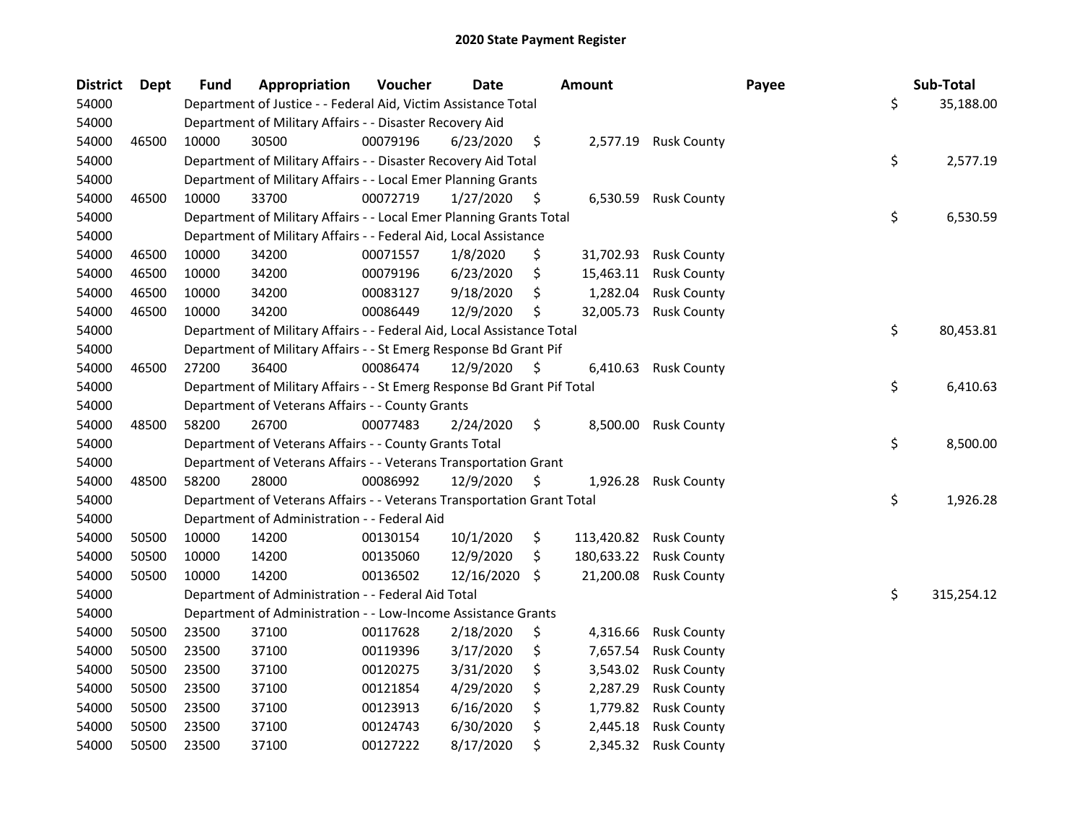| <b>District</b> | Dept  | <b>Fund</b> | Appropriation                                                           | Voucher  | <b>Date</b> | <b>Amount</b>    |                    | Payee | Sub-Total        |
|-----------------|-------|-------------|-------------------------------------------------------------------------|----------|-------------|------------------|--------------------|-------|------------------|
| 54000           |       |             | Department of Justice - - Federal Aid, Victim Assistance Total          |          |             |                  |                    |       | \$<br>35,188.00  |
| 54000           |       |             | Department of Military Affairs - - Disaster Recovery Aid                |          |             |                  |                    |       |                  |
| 54000           | 46500 | 10000       | 30500                                                                   | 00079196 | 6/23/2020   | \$<br>2,577.19   | <b>Rusk County</b> |       |                  |
| 54000           |       |             | Department of Military Affairs - - Disaster Recovery Aid Total          |          |             |                  |                    |       | \$<br>2,577.19   |
| 54000           |       |             | Department of Military Affairs - - Local Emer Planning Grants           |          |             |                  |                    |       |                  |
| 54000           | 46500 | 10000       | 33700                                                                   | 00072719 | 1/27/2020   | \$<br>6,530.59   | <b>Rusk County</b> |       |                  |
| 54000           |       |             | Department of Military Affairs - - Local Emer Planning Grants Total     |          |             |                  |                    |       | \$<br>6,530.59   |
| 54000           |       |             | Department of Military Affairs - - Federal Aid, Local Assistance        |          |             |                  |                    |       |                  |
| 54000           | 46500 | 10000       | 34200                                                                   | 00071557 | 1/8/2020    | \$<br>31,702.93  | <b>Rusk County</b> |       |                  |
| 54000           | 46500 | 10000       | 34200                                                                   | 00079196 | 6/23/2020   | \$<br>15,463.11  | <b>Rusk County</b> |       |                  |
| 54000           | 46500 | 10000       | 34200                                                                   | 00083127 | 9/18/2020   | \$<br>1,282.04   | <b>Rusk County</b> |       |                  |
| 54000           | 46500 | 10000       | 34200                                                                   | 00086449 | 12/9/2020   | \$<br>32,005.73  | <b>Rusk County</b> |       |                  |
| 54000           |       |             | Department of Military Affairs - - Federal Aid, Local Assistance Total  |          |             |                  |                    |       | \$<br>80,453.81  |
| 54000           |       |             | Department of Military Affairs - - St Emerg Response Bd Grant Pif       |          |             |                  |                    |       |                  |
| 54000           | 46500 | 27200       | 36400                                                                   | 00086474 | 12/9/2020   | \$<br>6,410.63   | <b>Rusk County</b> |       |                  |
| 54000           |       |             | Department of Military Affairs - - St Emerg Response Bd Grant Pif Total |          |             |                  |                    |       | \$<br>6,410.63   |
| 54000           |       |             | Department of Veterans Affairs - - County Grants                        |          |             |                  |                    |       |                  |
| 54000           | 48500 | 58200       | 26700                                                                   | 00077483 | 2/24/2020   | \$<br>8,500.00   | <b>Rusk County</b> |       |                  |
| 54000           |       |             | Department of Veterans Affairs - - County Grants Total                  |          |             |                  |                    |       | \$<br>8,500.00   |
| 54000           |       |             | Department of Veterans Affairs - - Veterans Transportation Grant        |          |             |                  |                    |       |                  |
| 54000           | 48500 | 58200       | 28000                                                                   | 00086992 | 12/9/2020   | \$<br>1,926.28   | <b>Rusk County</b> |       |                  |
| 54000           |       |             | Department of Veterans Affairs - - Veterans Transportation Grant Total  |          |             |                  |                    |       | \$<br>1,926.28   |
| 54000           |       |             | Department of Administration - - Federal Aid                            |          |             |                  |                    |       |                  |
| 54000           | 50500 | 10000       | 14200                                                                   | 00130154 | 10/1/2020   | \$<br>113,420.82 | <b>Rusk County</b> |       |                  |
| 54000           | 50500 | 10000       | 14200                                                                   | 00135060 | 12/9/2020   | \$<br>180,633.22 | <b>Rusk County</b> |       |                  |
| 54000           | 50500 | 10000       | 14200                                                                   | 00136502 | 12/16/2020  | \$<br>21,200.08  | <b>Rusk County</b> |       |                  |
| 54000           |       |             | Department of Administration - - Federal Aid Total                      |          |             |                  |                    |       | \$<br>315,254.12 |
| 54000           |       |             | Department of Administration - - Low-Income Assistance Grants           |          |             |                  |                    |       |                  |
| 54000           | 50500 | 23500       | 37100                                                                   | 00117628 | 2/18/2020   | \$<br>4,316.66   | <b>Rusk County</b> |       |                  |
| 54000           | 50500 | 23500       | 37100                                                                   | 00119396 | 3/17/2020   | \$<br>7,657.54   | <b>Rusk County</b> |       |                  |
| 54000           | 50500 | 23500       | 37100                                                                   | 00120275 | 3/31/2020   | \$<br>3,543.02   | <b>Rusk County</b> |       |                  |
| 54000           | 50500 | 23500       | 37100                                                                   | 00121854 | 4/29/2020   | \$<br>2,287.29   | <b>Rusk County</b> |       |                  |
| 54000           | 50500 | 23500       | 37100                                                                   | 00123913 | 6/16/2020   | \$<br>1,779.82   | <b>Rusk County</b> |       |                  |
| 54000           | 50500 | 23500       | 37100                                                                   | 00124743 | 6/30/2020   | \$<br>2,445.18   | <b>Rusk County</b> |       |                  |
| 54000           | 50500 | 23500       | 37100                                                                   | 00127222 | 8/17/2020   | \$<br>2,345.32   | <b>Rusk County</b> |       |                  |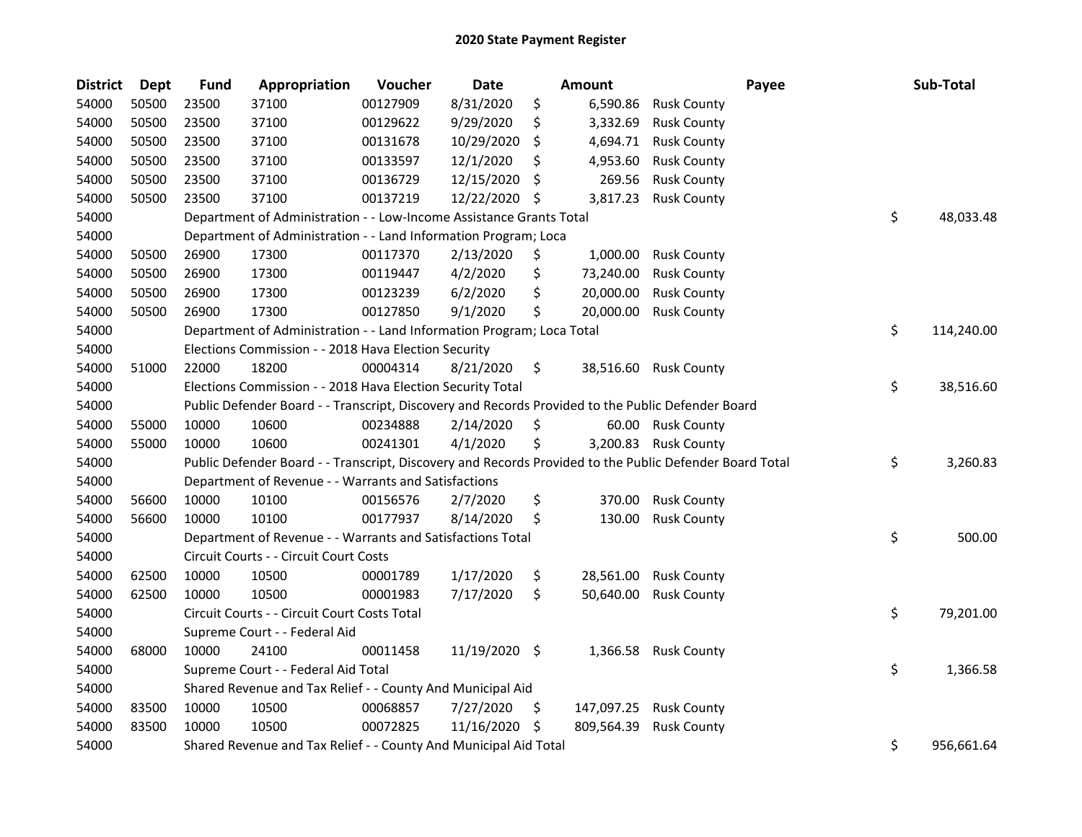| <b>District</b> | <b>Dept</b> | <b>Fund</b> | Appropriation                                                                                     | Voucher  | <b>Date</b>   |     | Amount     | Payee                                                                                                   | Sub-Total        |
|-----------------|-------------|-------------|---------------------------------------------------------------------------------------------------|----------|---------------|-----|------------|---------------------------------------------------------------------------------------------------------|------------------|
| 54000           | 50500       | 23500       | 37100                                                                                             | 00127909 | 8/31/2020     | \$  | 6,590.86   | <b>Rusk County</b>                                                                                      |                  |
| 54000           | 50500       | 23500       | 37100                                                                                             | 00129622 | 9/29/2020     | \$. | 3,332.69   | <b>Rusk County</b>                                                                                      |                  |
| 54000           | 50500       | 23500       | 37100                                                                                             | 00131678 | 10/29/2020    | \$  | 4,694.71   | <b>Rusk County</b>                                                                                      |                  |
| 54000           | 50500       | 23500       | 37100                                                                                             | 00133597 | 12/1/2020     | \$  | 4,953.60   | <b>Rusk County</b>                                                                                      |                  |
| 54000           | 50500       | 23500       | 37100                                                                                             | 00136729 | 12/15/2020    | S   | 269.56     | <b>Rusk County</b>                                                                                      |                  |
| 54000           | 50500       | 23500       | 37100                                                                                             | 00137219 | 12/22/2020    | \$. | 3,817.23   | <b>Rusk County</b>                                                                                      |                  |
| 54000           |             |             | Department of Administration - - Low-Income Assistance Grants Total                               |          |               |     |            |                                                                                                         | \$<br>48,033.48  |
| 54000           |             |             | Department of Administration - - Land Information Program; Loca                                   |          |               |     |            |                                                                                                         |                  |
| 54000           | 50500       | 26900       | 17300                                                                                             | 00117370 | 2/13/2020     | \$  | 1,000.00   | <b>Rusk County</b>                                                                                      |                  |
| 54000           | 50500       | 26900       | 17300                                                                                             | 00119447 | 4/2/2020      | \$  | 73,240.00  | <b>Rusk County</b>                                                                                      |                  |
| 54000           | 50500       | 26900       | 17300                                                                                             | 00123239 | 6/2/2020      | \$  | 20,000.00  | <b>Rusk County</b>                                                                                      |                  |
| 54000           | 50500       | 26900       | 17300                                                                                             | 00127850 | 9/1/2020      | \$  | 20,000.00  | <b>Rusk County</b>                                                                                      |                  |
| 54000           |             |             | Department of Administration - - Land Information Program; Loca Total                             |          |               |     |            |                                                                                                         | \$<br>114,240.00 |
| 54000           |             |             | Elections Commission - - 2018 Hava Election Security                                              |          |               |     |            |                                                                                                         |                  |
| 54000           | 51000       | 22000       | 18200                                                                                             | 00004314 | 8/21/2020     | \$  | 38,516.60  | <b>Rusk County</b>                                                                                      |                  |
| 54000           |             |             | Elections Commission - - 2018 Hava Election Security Total                                        |          |               |     |            |                                                                                                         | \$<br>38,516.60  |
| 54000           |             |             | Public Defender Board - - Transcript, Discovery and Records Provided to the Public Defender Board |          |               |     |            |                                                                                                         |                  |
| 54000           | 55000       | 10000       | 10600                                                                                             | 00234888 | 2/14/2020     | \$  | 60.00      | <b>Rusk County</b>                                                                                      |                  |
| 54000           | 55000       | 10000       | 10600                                                                                             | 00241301 | 4/1/2020      | \$  | 3,200.83   | <b>Rusk County</b>                                                                                      |                  |
| 54000           |             |             |                                                                                                   |          |               |     |            | Public Defender Board - - Transcript, Discovery and Records Provided to the Public Defender Board Total | \$<br>3,260.83   |
| 54000           |             |             | Department of Revenue - - Warrants and Satisfactions                                              |          |               |     |            |                                                                                                         |                  |
| 54000           | 56600       | 10000       | 10100                                                                                             | 00156576 | 2/7/2020      | \$  | 370.00     | <b>Rusk County</b>                                                                                      |                  |
| 54000           | 56600       | 10000       | 10100                                                                                             | 00177937 | 8/14/2020     | \$  | 130.00     | <b>Rusk County</b>                                                                                      |                  |
| 54000           |             |             | Department of Revenue - - Warrants and Satisfactions Total                                        |          |               |     |            |                                                                                                         | \$<br>500.00     |
| 54000           |             |             | Circuit Courts - - Circuit Court Costs                                                            |          |               |     |            |                                                                                                         |                  |
| 54000           | 62500       | 10000       | 10500                                                                                             | 00001789 | 1/17/2020     | \$  | 28,561.00  | <b>Rusk County</b>                                                                                      |                  |
| 54000           | 62500       | 10000       | 10500                                                                                             | 00001983 | 7/17/2020     | \$  | 50,640.00  | <b>Rusk County</b>                                                                                      |                  |
| 54000           |             |             | Circuit Courts - - Circuit Court Costs Total                                                      |          |               |     |            |                                                                                                         | \$<br>79,201.00  |
| 54000           |             |             | Supreme Court - - Federal Aid                                                                     |          |               |     |            |                                                                                                         |                  |
| 54000           | 68000       | 10000       | 24100                                                                                             | 00011458 | 11/19/2020 \$ |     | 1,366.58   | <b>Rusk County</b>                                                                                      |                  |
| 54000           |             |             | Supreme Court - - Federal Aid Total                                                               |          |               |     |            |                                                                                                         | \$<br>1,366.58   |
| 54000           |             |             | Shared Revenue and Tax Relief - - County And Municipal Aid                                        |          |               |     |            |                                                                                                         |                  |
| 54000           | 83500       | 10000       | 10500                                                                                             | 00068857 | 7/27/2020     | \$  | 147,097.25 | <b>Rusk County</b>                                                                                      |                  |
| 54000           | 83500       | 10000       | 10500                                                                                             | 00072825 | 11/16/2020    | \$. | 809,564.39 | <b>Rusk County</b>                                                                                      |                  |
| 54000           |             |             | Shared Revenue and Tax Relief - - County And Municipal Aid Total                                  |          |               |     |            |                                                                                                         | \$<br>956,661.64 |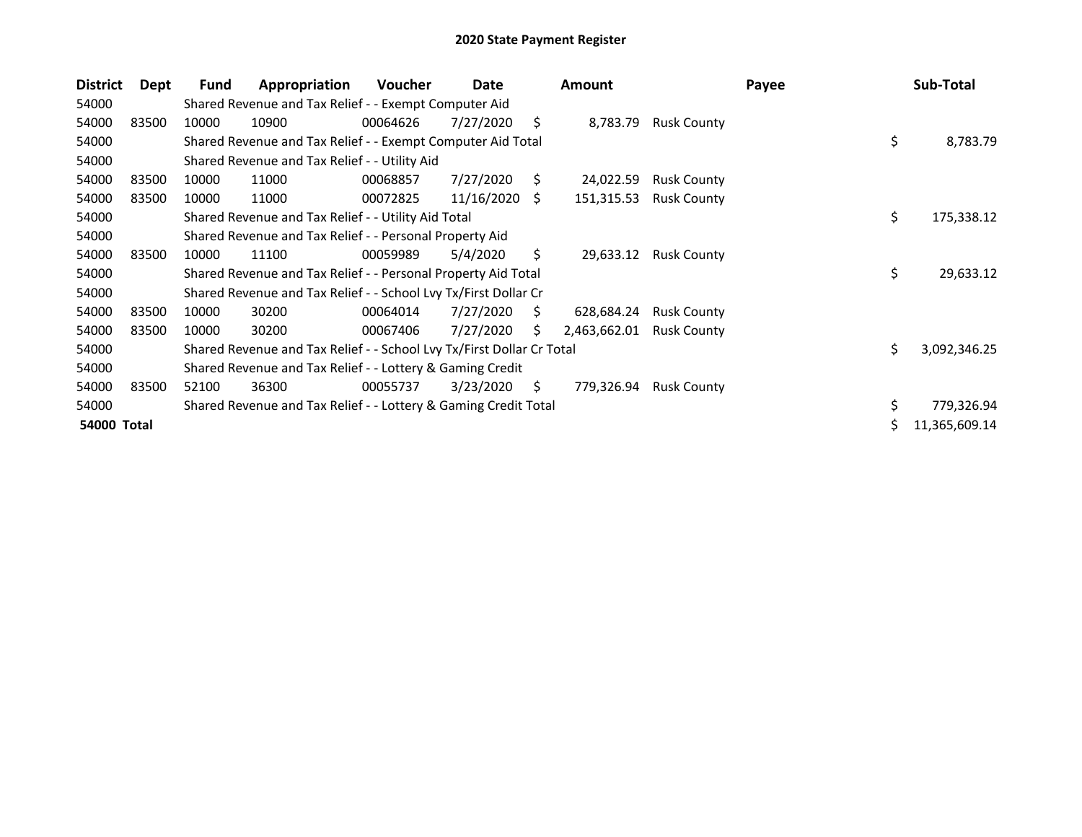| <b>District</b> | Dept  | Fund  | Appropriation                                                         | <b>Voucher</b> | Date       |     | <b>Amount</b> |                    | Payee | Sub-Total          |
|-----------------|-------|-------|-----------------------------------------------------------------------|----------------|------------|-----|---------------|--------------------|-------|--------------------|
| 54000           |       |       | Shared Revenue and Tax Relief - - Exempt Computer Aid                 |                |            |     |               |                    |       |                    |
| 54000           | 83500 | 10000 | 10900                                                                 | 00064626       | 7/27/2020  | S   | 8,783.79      | <b>Rusk County</b> |       |                    |
| 54000           |       |       | Shared Revenue and Tax Relief - - Exempt Computer Aid Total           |                |            |     |               |                    |       | \$<br>8,783.79     |
| 54000           |       |       | Shared Revenue and Tax Relief - - Utility Aid                         |                |            |     |               |                    |       |                    |
| 54000           | 83500 | 10000 | 11000                                                                 | 00068857       | 7/27/2020  | S.  | 24,022.59     | <b>Rusk County</b> |       |                    |
| 54000           | 83500 | 10000 | 11000                                                                 | 00072825       | 11/16/2020 | S.  | 151,315.53    | <b>Rusk County</b> |       |                    |
| 54000           |       |       | Shared Revenue and Tax Relief - - Utility Aid Total                   |                |            |     |               |                    |       | \$<br>175,338.12   |
| 54000           |       |       | Shared Revenue and Tax Relief - - Personal Property Aid               |                |            |     |               |                    |       |                    |
| 54000           | 83500 | 10000 | 11100                                                                 | 00059989       | 5/4/2020   | \$  | 29,633.12     | <b>Rusk County</b> |       |                    |
| 54000           |       |       | Shared Revenue and Tax Relief - - Personal Property Aid Total         |                |            |     |               |                    |       | \$<br>29,633.12    |
| 54000           |       |       | Shared Revenue and Tax Relief - - School Lvy Tx/First Dollar Cr       |                |            |     |               |                    |       |                    |
| 54000           | 83500 | 10000 | 30200                                                                 | 00064014       | 7/27/2020  | S.  | 628,684.24    | <b>Rusk County</b> |       |                    |
| 54000           | 83500 | 10000 | 30200                                                                 | 00067406       | 7/27/2020  | S   | 2,463,662.01  | <b>Rusk County</b> |       |                    |
| 54000           |       |       | Shared Revenue and Tax Relief - - School Lvy Tx/First Dollar Cr Total |                |            |     |               |                    |       | \$<br>3,092,346.25 |
| 54000           |       |       | Shared Revenue and Tax Relief - - Lottery & Gaming Credit             |                |            |     |               |                    |       |                    |
| 54000           | 83500 | 52100 | 36300                                                                 | 00055737       | 3/23/2020  | \$. | 779,326.94    | <b>Rusk County</b> |       |                    |
| 54000           |       |       | Shared Revenue and Tax Relief - - Lottery & Gaming Credit Total       |                |            |     |               |                    |       | \$<br>779,326.94   |
| 54000 Total     |       |       |                                                                       |                |            |     |               |                    |       | 11,365,609.14      |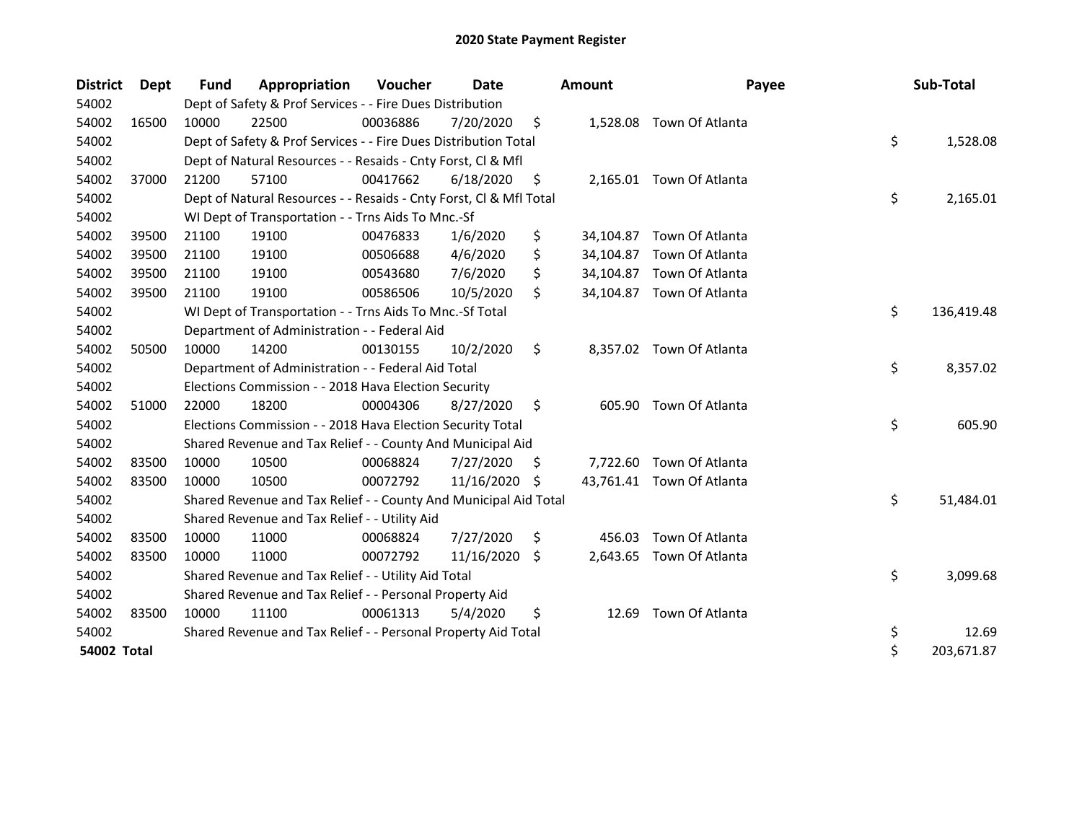| <b>District</b> | Dept  | Fund  | Appropriation                                                      | Voucher  | Date          |     | <b>Amount</b> | Payee                     | Sub-Total        |
|-----------------|-------|-------|--------------------------------------------------------------------|----------|---------------|-----|---------------|---------------------------|------------------|
| 54002           |       |       | Dept of Safety & Prof Services - - Fire Dues Distribution          |          |               |     |               |                           |                  |
| 54002           | 16500 | 10000 | 22500                                                              | 00036886 | 7/20/2020     | \$  |               | 1,528.08 Town Of Atlanta  |                  |
| 54002           |       |       | Dept of Safety & Prof Services - - Fire Dues Distribution Total    |          |               |     |               |                           | \$<br>1,528.08   |
| 54002           |       |       | Dept of Natural Resources - - Resaids - Cnty Forst, Cl & Mfl       |          |               |     |               |                           |                  |
| 54002           | 37000 | 21200 | 57100                                                              | 00417662 | 6/18/2020     | \$  |               | 2,165.01 Town Of Atlanta  |                  |
| 54002           |       |       | Dept of Natural Resources - - Resaids - Cnty Forst, Cl & Mfl Total |          |               |     |               |                           | \$<br>2,165.01   |
| 54002           |       |       | WI Dept of Transportation - - Trns Aids To Mnc.-Sf                 |          |               |     |               |                           |                  |
| 54002           | 39500 | 21100 | 19100                                                              | 00476833 | 1/6/2020      | \$  | 34,104.87     | Town Of Atlanta           |                  |
| 54002           | 39500 | 21100 | 19100                                                              | 00506688 | 4/6/2020      | \$  |               | 34,104.87 Town Of Atlanta |                  |
| 54002           | 39500 | 21100 | 19100                                                              | 00543680 | 7/6/2020      | \$  |               | 34,104.87 Town Of Atlanta |                  |
| 54002           | 39500 | 21100 | 19100                                                              | 00586506 | 10/5/2020     | \$  |               | 34,104.87 Town Of Atlanta |                  |
| 54002           |       |       | WI Dept of Transportation - - Trns Aids To Mnc.-Sf Total           |          |               |     |               |                           | \$<br>136,419.48 |
| 54002           |       |       | Department of Administration - - Federal Aid                       |          |               |     |               |                           |                  |
| 54002           | 50500 | 10000 | 14200                                                              | 00130155 | 10/2/2020     | \$  |               | 8,357.02 Town Of Atlanta  |                  |
| 54002           |       |       | Department of Administration - - Federal Aid Total                 |          |               |     |               |                           | \$<br>8,357.02   |
| 54002           |       |       | Elections Commission - - 2018 Hava Election Security               |          |               |     |               |                           |                  |
| 54002           | 51000 | 22000 | 18200                                                              | 00004306 | 8/27/2020     | \$  | 605.90        | Town Of Atlanta           |                  |
| 54002           |       |       | Elections Commission - - 2018 Hava Election Security Total         |          |               |     |               |                           | \$<br>605.90     |
| 54002           |       |       | Shared Revenue and Tax Relief - - County And Municipal Aid         |          |               |     |               |                           |                  |
| 54002           | 83500 | 10000 | 10500                                                              | 00068824 | 7/27/2020     | S   |               | 7,722.60 Town Of Atlanta  |                  |
| 54002           | 83500 | 10000 | 10500                                                              | 00072792 | 11/16/2020 \$ |     |               | 43,761.41 Town Of Atlanta |                  |
| 54002           |       |       | Shared Revenue and Tax Relief - - County And Municipal Aid Total   |          |               |     |               |                           | \$<br>51,484.01  |
| 54002           |       |       | Shared Revenue and Tax Relief - - Utility Aid                      |          |               |     |               |                           |                  |
| 54002           | 83500 | 10000 | 11000                                                              | 00068824 | 7/27/2020     | \$  | 456.03        | Town Of Atlanta           |                  |
| 54002           | 83500 | 10000 | 11000                                                              | 00072792 | 11/16/2020    | \$. | 2,643.65      | Town Of Atlanta           |                  |
| 54002           |       |       | Shared Revenue and Tax Relief - - Utility Aid Total                |          |               |     |               |                           | \$<br>3,099.68   |
| 54002           |       |       | Shared Revenue and Tax Relief - - Personal Property Aid            |          |               |     |               |                           |                  |
| 54002           | 83500 | 10000 | 11100                                                              | 00061313 | 5/4/2020      | \$  | 12.69         | Town Of Atlanta           |                  |
| 54002           |       |       | Shared Revenue and Tax Relief - - Personal Property Aid Total      |          |               |     |               |                           | \$<br>12.69      |
| 54002 Total     |       |       |                                                                    |          |               |     |               |                           | \$<br>203,671.87 |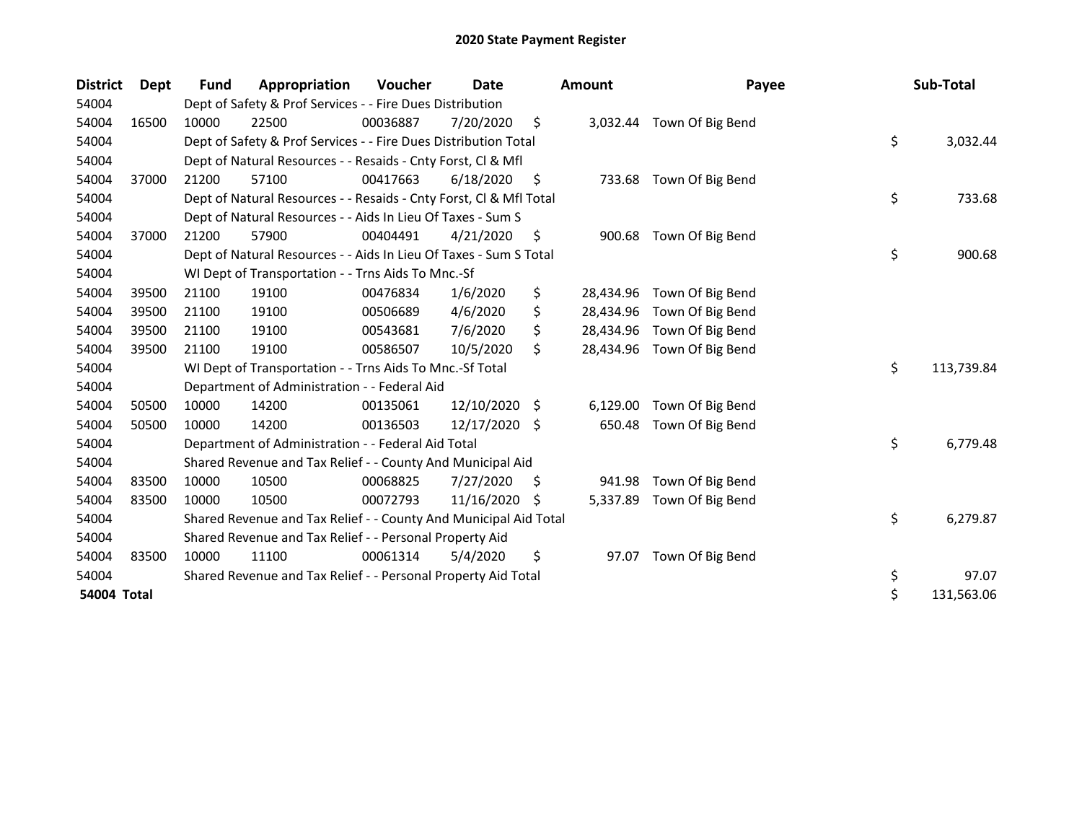| <b>District</b> | <b>Dept</b> | <b>Fund</b> | Appropriation                                                      | Voucher  | Date       |    | <b>Amount</b> | Payee                      | Sub-Total        |
|-----------------|-------------|-------------|--------------------------------------------------------------------|----------|------------|----|---------------|----------------------------|------------------|
| 54004           |             |             | Dept of Safety & Prof Services - - Fire Dues Distribution          |          |            |    |               |                            |                  |
| 54004           | 16500       | 10000       | 22500                                                              | 00036887 | 7/20/2020  | \$ |               | 3,032.44 Town Of Big Bend  |                  |
| 54004           |             |             | Dept of Safety & Prof Services - - Fire Dues Distribution Total    |          |            |    |               |                            | \$<br>3,032.44   |
| 54004           |             |             | Dept of Natural Resources - - Resaids - Cnty Forst, Cl & Mfl       |          |            |    |               |                            |                  |
| 54004           | 37000       | 21200       | 57100                                                              | 00417663 | 6/18/2020  | \$ | 733.68        | Town Of Big Bend           |                  |
| 54004           |             |             | Dept of Natural Resources - - Resaids - Cnty Forst, Cl & Mfl Total |          |            |    |               |                            | \$<br>733.68     |
| 54004           |             |             | Dept of Natural Resources - - Aids In Lieu Of Taxes - Sum S        |          |            |    |               |                            |                  |
| 54004           | 37000       | 21200       | 57900                                                              | 00404491 | 4/21/2020  | \$ | 900.68        | Town Of Big Bend           |                  |
| 54004           |             |             | Dept of Natural Resources - - Aids In Lieu Of Taxes - Sum S Total  |          |            |    |               |                            | \$<br>900.68     |
| 54004           |             |             | WI Dept of Transportation - - Trns Aids To Mnc.-Sf                 |          |            |    |               |                            |                  |
| 54004           | 39500       | 21100       | 19100                                                              | 00476834 | 1/6/2020   | \$ | 28,434.96     | Town Of Big Bend           |                  |
| 54004           | 39500       | 21100       | 19100                                                              | 00506689 | 4/6/2020   | \$ | 28,434.96     | Town Of Big Bend           |                  |
| 54004           | 39500       | 21100       | 19100                                                              | 00543681 | 7/6/2020   | \$ | 28,434.96     | Town Of Big Bend           |                  |
| 54004           | 39500       | 21100       | 19100                                                              | 00586507 | 10/5/2020  | \$ |               | 28,434.96 Town Of Big Bend |                  |
| 54004           |             |             | WI Dept of Transportation - - Trns Aids To Mnc.-Sf Total           |          |            |    |               |                            | \$<br>113,739.84 |
| 54004           |             |             | Department of Administration - - Federal Aid                       |          |            |    |               |                            |                  |
| 54004           | 50500       | 10000       | 14200                                                              | 00135061 | 12/10/2020 | \$ | 6,129.00      | Town Of Big Bend           |                  |
| 54004           | 50500       | 10000       | 14200                                                              | 00136503 | 12/17/2020 | Ŝ. | 650.48        | Town Of Big Bend           |                  |
| 54004           |             |             | Department of Administration - - Federal Aid Total                 |          |            |    |               |                            | \$<br>6,779.48   |
| 54004           |             |             | Shared Revenue and Tax Relief - - County And Municipal Aid         |          |            |    |               |                            |                  |
| 54004           | 83500       | 10000       | 10500                                                              | 00068825 | 7/27/2020  | \$ | 941.98        | Town Of Big Bend           |                  |
| 54004           | 83500       | 10000       | 10500                                                              | 00072793 | 11/16/2020 | \$ | 5,337.89      | Town Of Big Bend           |                  |
| 54004           |             |             | Shared Revenue and Tax Relief - - County And Municipal Aid Total   |          |            |    |               |                            | \$<br>6,279.87   |
| 54004           |             |             | Shared Revenue and Tax Relief - - Personal Property Aid            |          |            |    |               |                            |                  |
| 54004           | 83500       | 10000       | 11100                                                              | 00061314 | 5/4/2020   | \$ | 97.07         | Town Of Big Bend           |                  |
| 54004           |             |             | Shared Revenue and Tax Relief - - Personal Property Aid Total      |          |            |    |               |                            | \$<br>97.07      |
| 54004 Total     |             |             |                                                                    |          |            |    |               |                            | \$<br>131,563.06 |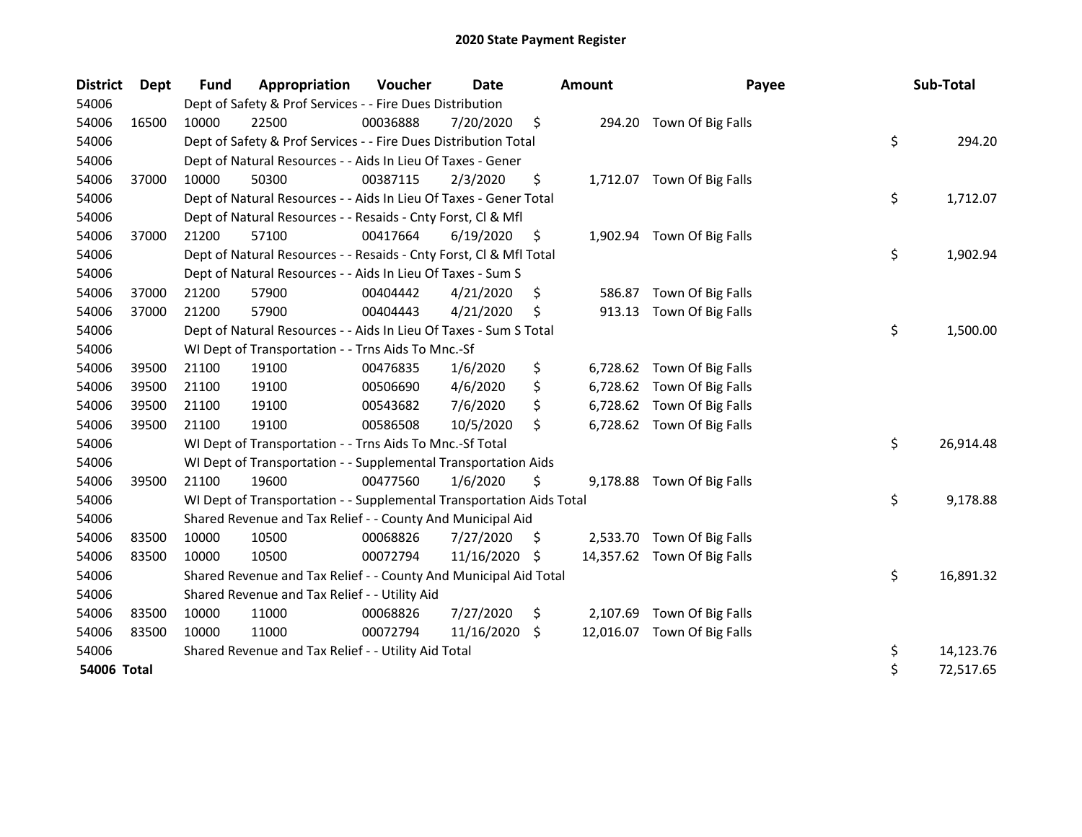| <b>District</b> | Dept  | <b>Fund</b> | Appropriation                                                        | Voucher  | <b>Date</b> |     | Amount    | Payee                       | Sub-Total       |
|-----------------|-------|-------------|----------------------------------------------------------------------|----------|-------------|-----|-----------|-----------------------------|-----------------|
| 54006           |       |             | Dept of Safety & Prof Services - - Fire Dues Distribution            |          |             |     |           |                             |                 |
| 54006           | 16500 | 10000       | 22500                                                                | 00036888 | 7/20/2020   | \$  |           | 294.20 Town Of Big Falls    |                 |
| 54006           |       |             | Dept of Safety & Prof Services - - Fire Dues Distribution Total      |          |             |     |           |                             | \$<br>294.20    |
| 54006           |       |             | Dept of Natural Resources - - Aids In Lieu Of Taxes - Gener          |          |             |     |           |                             |                 |
| 54006           | 37000 | 10000       | 50300                                                                | 00387115 | 2/3/2020    | \$  |           | 1,712.07 Town Of Big Falls  |                 |
| 54006           |       |             | Dept of Natural Resources - - Aids In Lieu Of Taxes - Gener Total    |          |             |     |           |                             | \$<br>1,712.07  |
| 54006           |       |             | Dept of Natural Resources - - Resaids - Cnty Forst, Cl & Mfl         |          |             |     |           |                             |                 |
| 54006           | 37000 | 21200       | 57100                                                                | 00417664 | 6/19/2020   | \$  |           | 1,902.94 Town Of Big Falls  |                 |
| 54006           |       |             | Dept of Natural Resources - - Resaids - Cnty Forst, Cl & Mfl Total   |          |             |     |           |                             | \$<br>1,902.94  |
| 54006           |       |             | Dept of Natural Resources - - Aids In Lieu Of Taxes - Sum S          |          |             |     |           |                             |                 |
| 54006           | 37000 | 21200       | 57900                                                                | 00404442 | 4/21/2020   | \$  | 586.87    | Town Of Big Falls           |                 |
| 54006           | 37000 | 21200       | 57900                                                                | 00404443 | 4/21/2020   | Ś   | 913.13    | Town Of Big Falls           |                 |
| 54006           |       |             | Dept of Natural Resources - - Aids In Lieu Of Taxes - Sum S Total    |          |             |     |           |                             | \$<br>1,500.00  |
| 54006           |       |             | WI Dept of Transportation - - Trns Aids To Mnc.-Sf                   |          |             |     |           |                             |                 |
| 54006           | 39500 | 21100       | 19100                                                                | 00476835 | 1/6/2020    | \$  |           | 6,728.62 Town Of Big Falls  |                 |
| 54006           | 39500 | 21100       | 19100                                                                | 00506690 | 4/6/2020    | \$  |           | 6,728.62 Town Of Big Falls  |                 |
| 54006           | 39500 | 21100       | 19100                                                                | 00543682 | 7/6/2020    | \$  |           | 6,728.62 Town Of Big Falls  |                 |
| 54006           | 39500 | 21100       | 19100                                                                | 00586508 | 10/5/2020   | \$  |           | 6,728.62 Town Of Big Falls  |                 |
| 54006           |       |             | WI Dept of Transportation - - Trns Aids To Mnc.-Sf Total             |          |             |     |           |                             | \$<br>26,914.48 |
| 54006           |       |             | WI Dept of Transportation - - Supplemental Transportation Aids       |          |             |     |           |                             |                 |
| 54006           | 39500 | 21100       | 19600                                                                | 00477560 | 1/6/2020    | \$  | 9,178.88  | Town Of Big Falls           |                 |
| 54006           |       |             | WI Dept of Transportation - - Supplemental Transportation Aids Total |          |             |     |           |                             | \$<br>9,178.88  |
| 54006           |       |             | Shared Revenue and Tax Relief - - County And Municipal Aid           |          |             |     |           |                             |                 |
| 54006           | 83500 | 10000       | 10500                                                                | 00068826 | 7/27/2020   | S.  |           | 2,533.70 Town Of Big Falls  |                 |
| 54006           | 83500 | 10000       | 10500                                                                | 00072794 | 11/16/2020  | -\$ |           | 14,357.62 Town Of Big Falls |                 |
| 54006           |       |             | Shared Revenue and Tax Relief - - County And Municipal Aid Total     |          |             |     |           |                             | \$<br>16,891.32 |
| 54006           |       |             | Shared Revenue and Tax Relief - - Utility Aid                        |          |             |     |           |                             |                 |
| 54006           | 83500 | 10000       | 11000                                                                | 00068826 | 7/27/2020   | \$  |           | 2,107.69 Town Of Big Falls  |                 |
| 54006           | 83500 | 10000       | 11000                                                                | 00072794 | 11/16/2020  | \$  | 12,016.07 | Town Of Big Falls           |                 |
| 54006           |       |             | Shared Revenue and Tax Relief - - Utility Aid Total                  |          |             |     |           |                             | \$<br>14,123.76 |
| 54006 Total     |       |             |                                                                      |          |             |     |           |                             | \$<br>72,517.65 |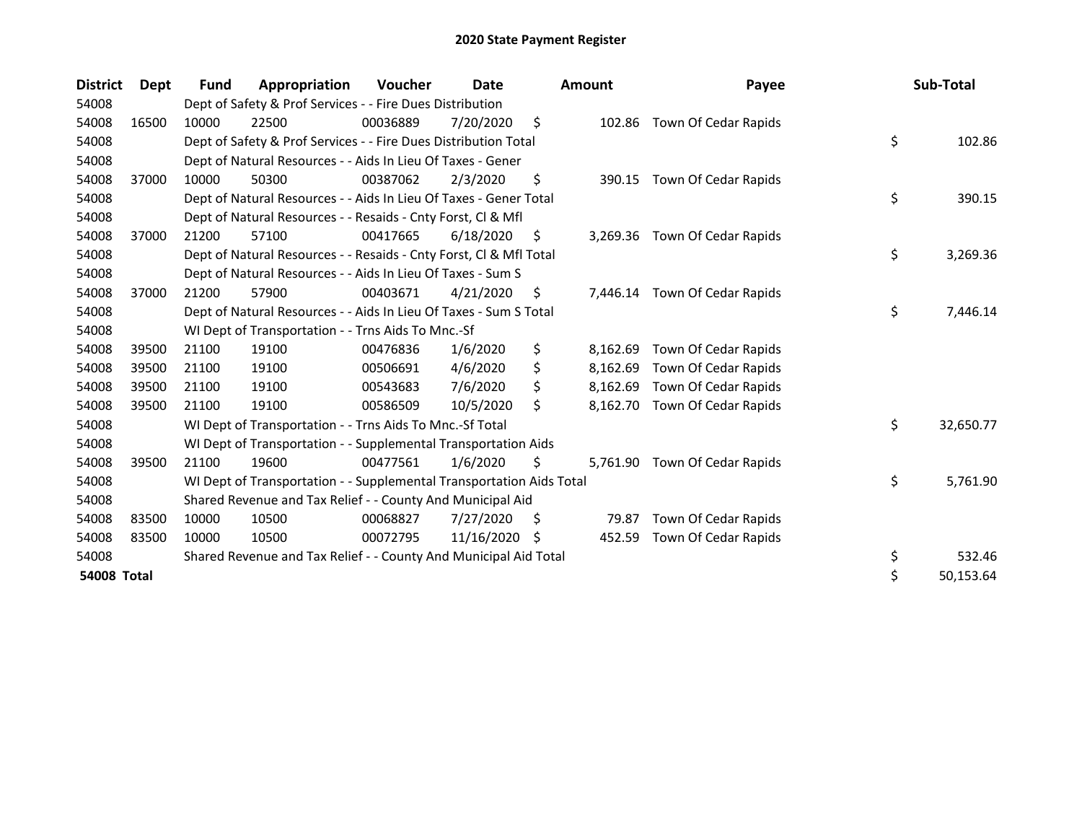| <b>District</b> | Dept  | Fund  | Appropriation                                                        | Voucher  | Date       |     | <b>Amount</b> | Payee                         | Sub-Total       |
|-----------------|-------|-------|----------------------------------------------------------------------|----------|------------|-----|---------------|-------------------------------|-----------------|
| 54008           |       |       | Dept of Safety & Prof Services - - Fire Dues Distribution            |          |            |     |               |                               |                 |
| 54008           | 16500 | 10000 | 22500                                                                | 00036889 | 7/20/2020  | \$  |               | 102.86 Town Of Cedar Rapids   |                 |
| 54008           |       |       | Dept of Safety & Prof Services - - Fire Dues Distribution Total      |          |            |     |               |                               | \$<br>102.86    |
| 54008           |       |       | Dept of Natural Resources - - Aids In Lieu Of Taxes - Gener          |          |            |     |               |                               |                 |
| 54008           | 37000 | 10000 | 50300                                                                | 00387062 | 2/3/2020   | \$  |               | 390.15 Town Of Cedar Rapids   |                 |
| 54008           |       |       | Dept of Natural Resources - - Aids In Lieu Of Taxes - Gener Total    |          |            |     |               |                               | \$<br>390.15    |
| 54008           |       |       | Dept of Natural Resources - - Resaids - Cnty Forst, CI & Mfl         |          |            |     |               |                               |                 |
| 54008           | 37000 | 21200 | 57100                                                                | 00417665 | 6/18/2020  | \$. |               | 3,269.36 Town Of Cedar Rapids |                 |
| 54008           |       |       | Dept of Natural Resources - - Resaids - Cnty Forst, CI & Mfl Total   |          |            |     |               |                               | \$<br>3,269.36  |
| 54008           |       |       | Dept of Natural Resources - - Aids In Lieu Of Taxes - Sum S          |          |            |     |               |                               |                 |
| 54008           | 37000 | 21200 | 57900                                                                | 00403671 | 4/21/2020  | \$. |               | 7,446.14 Town Of Cedar Rapids |                 |
| 54008           |       |       | Dept of Natural Resources - - Aids In Lieu Of Taxes - Sum S Total    |          |            |     |               |                               | \$<br>7,446.14  |
| 54008           |       |       | WI Dept of Transportation - - Trns Aids To Mnc.-Sf                   |          |            |     |               |                               |                 |
| 54008           | 39500 | 21100 | 19100                                                                | 00476836 | 1/6/2020   | \$  | 8,162.69      | Town Of Cedar Rapids          |                 |
| 54008           | 39500 | 21100 | 19100                                                                | 00506691 | 4/6/2020   | \$  | 8,162.69      | Town Of Cedar Rapids          |                 |
| 54008           | 39500 | 21100 | 19100                                                                | 00543683 | 7/6/2020   |     | 8,162.69      | Town Of Cedar Rapids          |                 |
| 54008           | 39500 | 21100 | 19100                                                                | 00586509 | 10/5/2020  | \$  | 8,162.70      | Town Of Cedar Rapids          |                 |
| 54008           |       |       | WI Dept of Transportation - - Trns Aids To Mnc.-Sf Total             |          |            |     |               |                               | \$<br>32,650.77 |
| 54008           |       |       | WI Dept of Transportation - - Supplemental Transportation Aids       |          |            |     |               |                               |                 |
| 54008           | 39500 | 21100 | 19600                                                                | 00477561 | 1/6/2020   | \$  | 5,761.90      | Town Of Cedar Rapids          |                 |
| 54008           |       |       | WI Dept of Transportation - - Supplemental Transportation Aids Total |          |            |     |               |                               | \$<br>5,761.90  |
| 54008           |       |       | Shared Revenue and Tax Relief - - County And Municipal Aid           |          |            |     |               |                               |                 |
| 54008           | 83500 | 10000 | 10500                                                                | 00068827 | 7/27/2020  | \$. | 79.87         | Town Of Cedar Rapids          |                 |
| 54008           | 83500 | 10000 | 10500                                                                | 00072795 | 11/16/2020 | -S  | 452.59        | Town Of Cedar Rapids          |                 |
| 54008           |       |       | Shared Revenue and Tax Relief - - County And Municipal Aid Total     |          |            |     |               |                               | \$<br>532.46    |
| 54008 Total     |       |       |                                                                      |          |            |     |               |                               | \$<br>50,153.64 |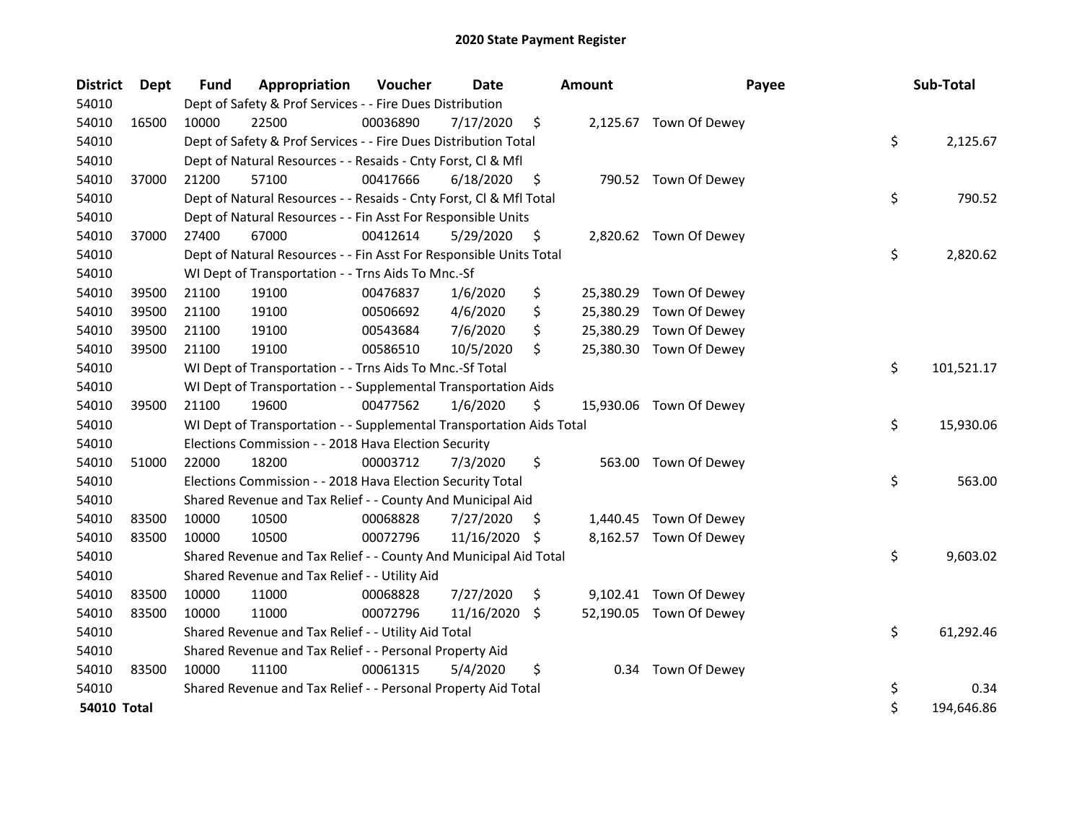| <b>District</b> | <b>Dept</b> | <b>Fund</b> | Appropriation                                                        | Voucher  | <b>Date</b>     | <b>Amount</b>   | Payee                   | Sub-Total        |
|-----------------|-------------|-------------|----------------------------------------------------------------------|----------|-----------------|-----------------|-------------------------|------------------|
| 54010           |             |             | Dept of Safety & Prof Services - - Fire Dues Distribution            |          |                 |                 |                         |                  |
| 54010           | 16500       | 10000       | 22500                                                                | 00036890 | 7/17/2020       | \$              | 2,125.67 Town Of Dewey  |                  |
| 54010           |             |             | Dept of Safety & Prof Services - - Fire Dues Distribution Total      |          |                 |                 |                         | \$<br>2,125.67   |
| 54010           |             |             | Dept of Natural Resources - - Resaids - Cnty Forst, Cl & Mfl         |          |                 |                 |                         |                  |
| 54010           | 37000       | 21200       | 57100                                                                | 00417666 | 6/18/2020       | \$              | 790.52 Town Of Dewey    |                  |
| 54010           |             |             | Dept of Natural Resources - - Resaids - Cnty Forst, Cl & Mfl Total   |          |                 |                 |                         | \$<br>790.52     |
| 54010           |             |             | Dept of Natural Resources - - Fin Asst For Responsible Units         |          |                 |                 |                         |                  |
| 54010           | 37000       | 27400       | 67000                                                                | 00412614 | 5/29/2020       | \$              | 2,820.62 Town Of Dewey  |                  |
| 54010           |             |             | Dept of Natural Resources - - Fin Asst For Responsible Units Total   |          |                 |                 |                         | \$<br>2,820.62   |
| 54010           |             |             | WI Dept of Transportation - - Trns Aids To Mnc.-Sf                   |          |                 |                 |                         |                  |
| 54010           | 39500       | 21100       | 19100                                                                | 00476837 | 1/6/2020        | \$              | 25,380.29 Town Of Dewey |                  |
| 54010           | 39500       | 21100       | 19100                                                                | 00506692 | 4/6/2020        | \$<br>25,380.29 | Town Of Dewey           |                  |
| 54010           | 39500       | 21100       | 19100                                                                | 00543684 | 7/6/2020        | \$              | 25,380.29 Town Of Dewey |                  |
| 54010           | 39500       | 21100       | 19100                                                                | 00586510 | 10/5/2020       | \$              | 25,380.30 Town Of Dewey |                  |
| 54010           |             |             | WI Dept of Transportation - - Trns Aids To Mnc.-Sf Total             |          |                 |                 |                         | \$<br>101,521.17 |
| 54010           |             |             | WI Dept of Transportation - - Supplemental Transportation Aids       |          |                 |                 |                         |                  |
| 54010           | 39500       | 21100       | 19600                                                                | 00477562 | 1/6/2020        | \$              | 15,930.06 Town Of Dewey |                  |
| 54010           |             |             | WI Dept of Transportation - - Supplemental Transportation Aids Total |          |                 |                 |                         | \$<br>15,930.06  |
| 54010           |             |             | Elections Commission - - 2018 Hava Election Security                 |          |                 |                 |                         |                  |
| 54010           | 51000       | 22000       | 18200                                                                | 00003712 | 7/3/2020        | \$<br>563.00    | Town Of Dewey           |                  |
| 54010           |             |             | Elections Commission - - 2018 Hava Election Security Total           |          |                 |                 |                         | \$<br>563.00     |
| 54010           |             |             | Shared Revenue and Tax Relief - - County And Municipal Aid           |          |                 |                 |                         |                  |
| 54010           | 83500       | 10000       | 10500                                                                | 00068828 | 7/27/2020       | \$              | 1,440.45 Town Of Dewey  |                  |
| 54010           | 83500       | 10000       | 10500                                                                | 00072796 | 11/16/2020      | \$              | 8,162.57 Town Of Dewey  |                  |
| 54010           |             |             | Shared Revenue and Tax Relief - - County And Municipal Aid Total     |          |                 |                 |                         | \$<br>9,603.02   |
| 54010           |             |             | Shared Revenue and Tax Relief - - Utility Aid                        |          |                 |                 |                         |                  |
| 54010           | 83500       | 10000       | 11000                                                                | 00068828 | 7/27/2020       | \$              | 9,102.41 Town Of Dewey  |                  |
| 54010           | 83500       | 10000       | 11000                                                                | 00072796 | $11/16/2020$ \$ |                 | 52,190.05 Town Of Dewey |                  |
| 54010           |             |             | Shared Revenue and Tax Relief - - Utility Aid Total                  |          |                 |                 |                         | \$<br>61,292.46  |
| 54010           |             |             | Shared Revenue and Tax Relief - - Personal Property Aid              |          |                 |                 |                         |                  |
| 54010           | 83500       | 10000       | 11100                                                                | 00061315 | 5/4/2020        | \$              | 0.34 Town Of Dewey      |                  |
| 54010           |             |             | Shared Revenue and Tax Relief - - Personal Property Aid Total        |          |                 |                 |                         | \$<br>0.34       |
| 54010 Total     |             |             |                                                                      |          |                 |                 |                         | \$<br>194,646.86 |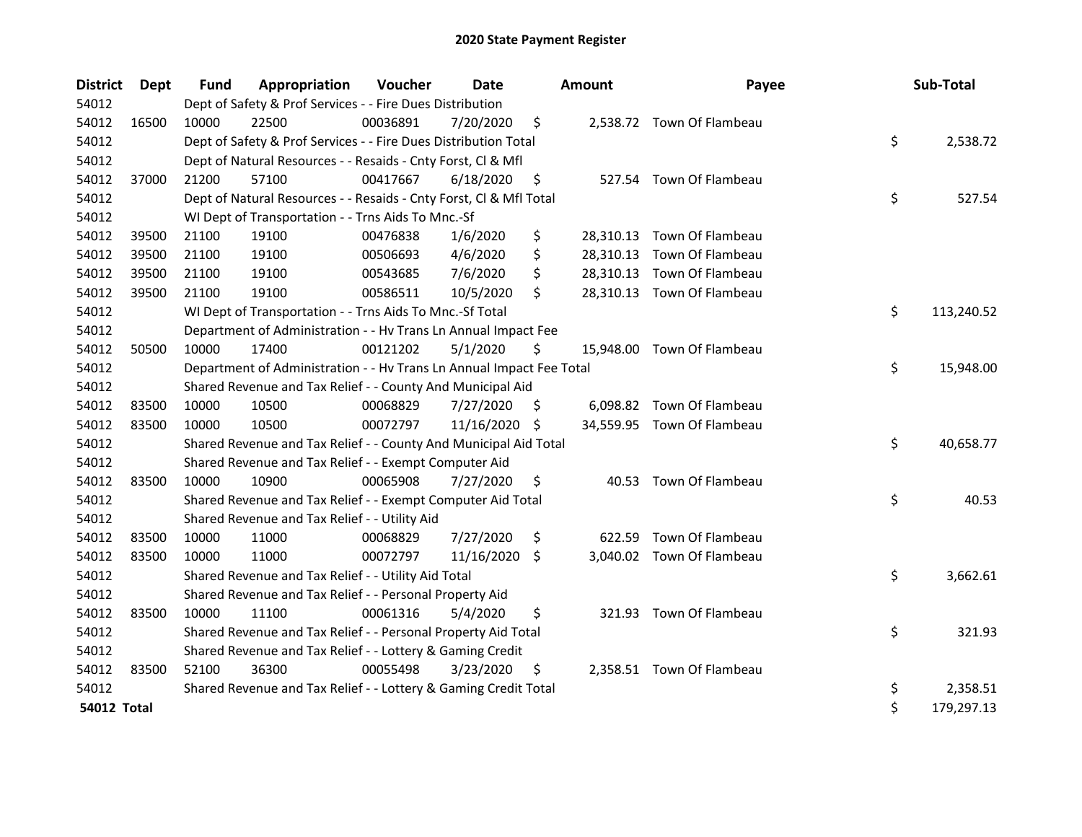| <b>District</b>    | <b>Dept</b> | <b>Fund</b> | Appropriation                                                        | Voucher  | <b>Date</b>   |     | <b>Amount</b> | Payee                      | Sub-Total        |
|--------------------|-------------|-------------|----------------------------------------------------------------------|----------|---------------|-----|---------------|----------------------------|------------------|
| 54012              |             |             | Dept of Safety & Prof Services - - Fire Dues Distribution            |          |               |     |               |                            |                  |
| 54012              | 16500       | 10000       | 22500                                                                | 00036891 | 7/20/2020     | \$  |               | 2,538.72 Town Of Flambeau  |                  |
| 54012              |             |             | Dept of Safety & Prof Services - - Fire Dues Distribution Total      |          |               |     |               |                            | \$<br>2,538.72   |
| 54012              |             |             | Dept of Natural Resources - - Resaids - Cnty Forst, Cl & Mfl         |          |               |     |               |                            |                  |
| 54012              | 37000       | 21200       | 57100                                                                | 00417667 | 6/18/2020     | \$  |               | 527.54 Town Of Flambeau    |                  |
| 54012              |             |             | Dept of Natural Resources - - Resaids - Cnty Forst, Cl & Mfl Total   |          |               |     |               |                            | \$<br>527.54     |
| 54012              |             |             | WI Dept of Transportation - - Trns Aids To Mnc.-Sf                   |          |               |     |               |                            |                  |
| 54012              | 39500       | 21100       | 19100                                                                | 00476838 | 1/6/2020      | \$  |               | 28,310.13 Town Of Flambeau |                  |
| 54012              | 39500       | 21100       | 19100                                                                | 00506693 | 4/6/2020      | \$  |               | 28,310.13 Town Of Flambeau |                  |
| 54012              | 39500       | 21100       | 19100                                                                | 00543685 | 7/6/2020      | \$  |               | 28,310.13 Town Of Flambeau |                  |
| 54012              | 39500       | 21100       | 19100                                                                | 00586511 | 10/5/2020     | \$  |               | 28,310.13 Town Of Flambeau |                  |
| 54012              |             |             | WI Dept of Transportation - - Trns Aids To Mnc.-Sf Total             |          |               |     |               |                            | \$<br>113,240.52 |
| 54012              |             |             | Department of Administration - - Hv Trans Ln Annual Impact Fee       |          |               |     |               |                            |                  |
| 54012              | 50500       | 10000       | 17400                                                                | 00121202 | 5/1/2020      | \$  |               | 15,948.00 Town Of Flambeau |                  |
| 54012              |             |             | Department of Administration - - Hv Trans Ln Annual Impact Fee Total |          |               |     |               |                            | \$<br>15,948.00  |
| 54012              |             |             | Shared Revenue and Tax Relief - - County And Municipal Aid           |          |               |     |               |                            |                  |
| 54012              | 83500       | 10000       | 10500                                                                | 00068829 | 7/27/2020     | \$. |               | 6,098.82 Town Of Flambeau  |                  |
| 54012              | 83500       | 10000       | 10500                                                                | 00072797 | 11/16/2020 \$ |     |               | 34,559.95 Town Of Flambeau |                  |
| 54012              |             |             | Shared Revenue and Tax Relief - - County And Municipal Aid Total     |          |               |     |               |                            | \$<br>40,658.77  |
| 54012              |             |             | Shared Revenue and Tax Relief - - Exempt Computer Aid                |          |               |     |               |                            |                  |
| 54012              | 83500       | 10000       | 10900                                                                | 00065908 | 7/27/2020     | \$  |               | 40.53 Town Of Flambeau     |                  |
| 54012              |             |             | Shared Revenue and Tax Relief - - Exempt Computer Aid Total          |          |               |     |               |                            | \$<br>40.53      |
| 54012              |             |             | Shared Revenue and Tax Relief - - Utility Aid                        |          |               |     |               |                            |                  |
| 54012              | 83500       | 10000       | 11000                                                                | 00068829 | 7/27/2020     | \$  | 622.59        | Town Of Flambeau           |                  |
| 54012              | 83500       | 10000       | 11000                                                                | 00072797 | 11/16/2020    | \$. |               | 3,040.02 Town Of Flambeau  |                  |
| 54012              |             |             | Shared Revenue and Tax Relief - - Utility Aid Total                  |          |               |     |               |                            | \$<br>3,662.61   |
| 54012              |             |             | Shared Revenue and Tax Relief - - Personal Property Aid              |          |               |     |               |                            |                  |
| 54012              | 83500       | 10000       | 11100                                                                | 00061316 | 5/4/2020      | \$  |               | 321.93 Town Of Flambeau    |                  |
| 54012              |             |             | Shared Revenue and Tax Relief - - Personal Property Aid Total        |          |               |     |               |                            | \$<br>321.93     |
| 54012              |             |             | Shared Revenue and Tax Relief - - Lottery & Gaming Credit            |          |               |     |               |                            |                  |
| 54012              | 83500       | 52100       | 36300                                                                | 00055498 | 3/23/2020     | \$  |               | 2,358.51 Town Of Flambeau  |                  |
| 54012              |             |             | Shared Revenue and Tax Relief - - Lottery & Gaming Credit Total      |          |               |     |               |                            | \$<br>2,358.51   |
| <b>54012 Total</b> |             |             |                                                                      |          |               |     |               |                            | \$<br>179,297.13 |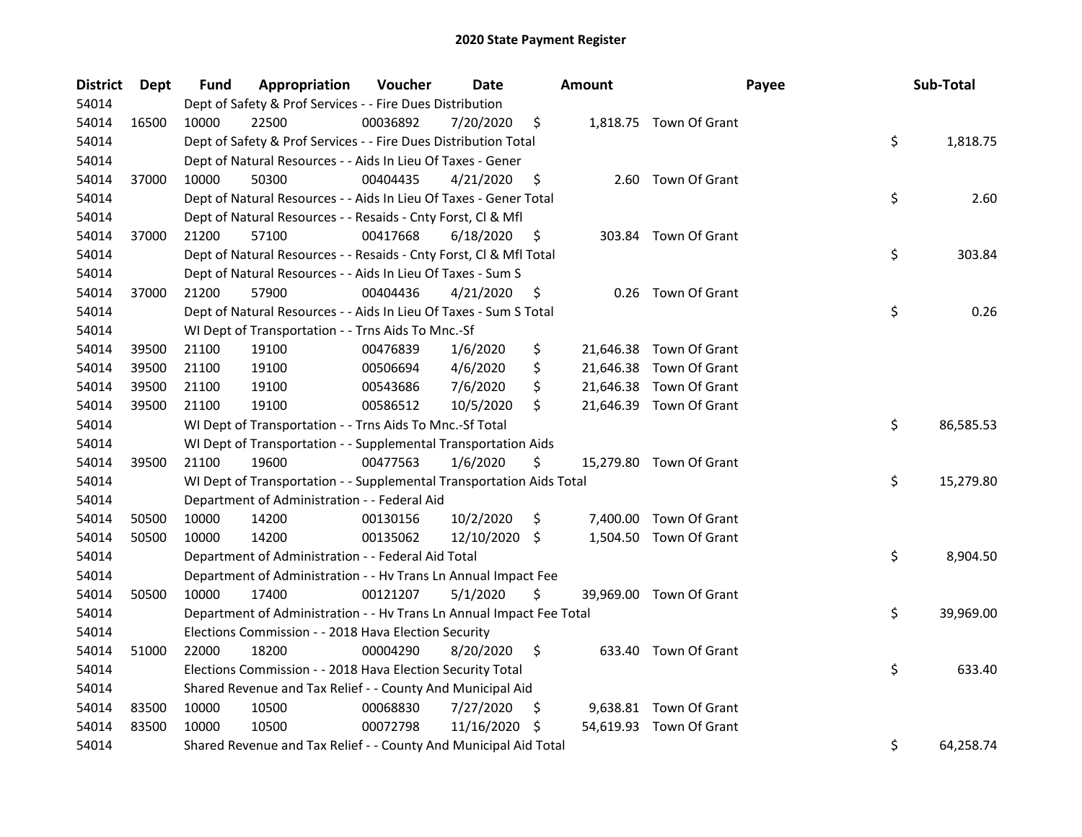| <b>District</b> | <b>Dept</b> | Fund  | Appropriation                                                        | Voucher  | Date          |     | Amount | Payee                   | Sub-Total       |
|-----------------|-------------|-------|----------------------------------------------------------------------|----------|---------------|-----|--------|-------------------------|-----------------|
| 54014           |             |       | Dept of Safety & Prof Services - - Fire Dues Distribution            |          |               |     |        |                         |                 |
| 54014           | 16500       | 10000 | 22500                                                                | 00036892 | 7/20/2020     | \$  |        | 1,818.75 Town Of Grant  |                 |
| 54014           |             |       | Dept of Safety & Prof Services - - Fire Dues Distribution Total      |          |               |     |        |                         | \$<br>1,818.75  |
| 54014           |             |       | Dept of Natural Resources - - Aids In Lieu Of Taxes - Gener          |          |               |     |        |                         |                 |
| 54014           | 37000       | 10000 | 50300                                                                | 00404435 | 4/21/2020     | \$  |        | 2.60 Town Of Grant      |                 |
| 54014           |             |       | Dept of Natural Resources - - Aids In Lieu Of Taxes - Gener Total    |          |               |     |        |                         | \$<br>2.60      |
| 54014           |             |       | Dept of Natural Resources - - Resaids - Cnty Forst, Cl & Mfl         |          |               |     |        |                         |                 |
| 54014           | 37000       | 21200 | 57100                                                                | 00417668 | 6/18/2020     | \$  |        | 303.84 Town Of Grant    |                 |
| 54014           |             |       | Dept of Natural Resources - - Resaids - Cnty Forst, Cl & Mfl Total   |          |               |     |        |                         | \$<br>303.84    |
| 54014           |             |       | Dept of Natural Resources - - Aids In Lieu Of Taxes - Sum S          |          |               |     |        |                         |                 |
| 54014           | 37000       | 21200 | 57900                                                                | 00404436 | 4/21/2020     | \$  |        | 0.26 Town Of Grant      |                 |
| 54014           |             |       | Dept of Natural Resources - - Aids In Lieu Of Taxes - Sum S Total    |          |               |     |        |                         | \$<br>0.26      |
| 54014           |             |       | WI Dept of Transportation - - Trns Aids To Mnc.-Sf                   |          |               |     |        |                         |                 |
| 54014           | 39500       | 21100 | 19100                                                                | 00476839 | 1/6/2020      | \$  |        | 21,646.38 Town Of Grant |                 |
| 54014           | 39500       | 21100 | 19100                                                                | 00506694 | 4/6/2020      | \$  |        | 21,646.38 Town Of Grant |                 |
| 54014           | 39500       | 21100 | 19100                                                                | 00543686 | 7/6/2020      | \$  |        | 21,646.38 Town Of Grant |                 |
| 54014           | 39500       | 21100 | 19100                                                                | 00586512 | 10/5/2020     | \$  |        | 21,646.39 Town Of Grant |                 |
| 54014           |             |       | WI Dept of Transportation - - Trns Aids To Mnc.-Sf Total             |          |               |     |        |                         | \$<br>86,585.53 |
| 54014           |             |       | WI Dept of Transportation - - Supplemental Transportation Aids       |          |               |     |        |                         |                 |
| 54014           | 39500       | 21100 | 19600                                                                | 00477563 | 1/6/2020      | \$  |        | 15,279.80 Town Of Grant |                 |
| 54014           |             |       | WI Dept of Transportation - - Supplemental Transportation Aids Total |          |               |     |        |                         | \$<br>15,279.80 |
| 54014           |             |       | Department of Administration - - Federal Aid                         |          |               |     |        |                         |                 |
| 54014           | 50500       | 10000 | 14200                                                                | 00130156 | 10/2/2020     | \$  |        | 7,400.00 Town Of Grant  |                 |
| 54014           | 50500       | 10000 | 14200                                                                | 00135062 | 12/10/2020 \$ |     |        | 1,504.50 Town Of Grant  |                 |
| 54014           |             |       | Department of Administration - - Federal Aid Total                   |          |               |     |        |                         | \$<br>8,904.50  |
| 54014           |             |       | Department of Administration - - Hv Trans Ln Annual Impact Fee       |          |               |     |        |                         |                 |
| 54014           | 50500       | 10000 | 17400                                                                | 00121207 | 5/1/2020      | \$  |        | 39,969.00 Town Of Grant |                 |
| 54014           |             |       | Department of Administration - - Hv Trans Ln Annual Impact Fee Total |          |               |     |        |                         | \$<br>39,969.00 |
| 54014           |             |       | Elections Commission - - 2018 Hava Election Security                 |          |               |     |        |                         |                 |
| 54014           | 51000       | 22000 | 18200                                                                | 00004290 | 8/20/2020     | \$  |        | 633.40 Town Of Grant    |                 |
| 54014           |             |       | Elections Commission - - 2018 Hava Election Security Total           |          |               |     |        |                         | \$<br>633.40    |
| 54014           |             |       | Shared Revenue and Tax Relief - - County And Municipal Aid           |          |               |     |        |                         |                 |
| 54014           | 83500       | 10000 | 10500                                                                | 00068830 | 7/27/2020     | S   |        | 9,638.81 Town Of Grant  |                 |
| 54014           | 83500       | 10000 | 10500                                                                | 00072798 | 11/16/2020    | \$. |        | 54,619.93 Town Of Grant |                 |
| 54014           |             |       | Shared Revenue and Tax Relief - - County And Municipal Aid Total     |          |               |     |        |                         | \$<br>64,258.74 |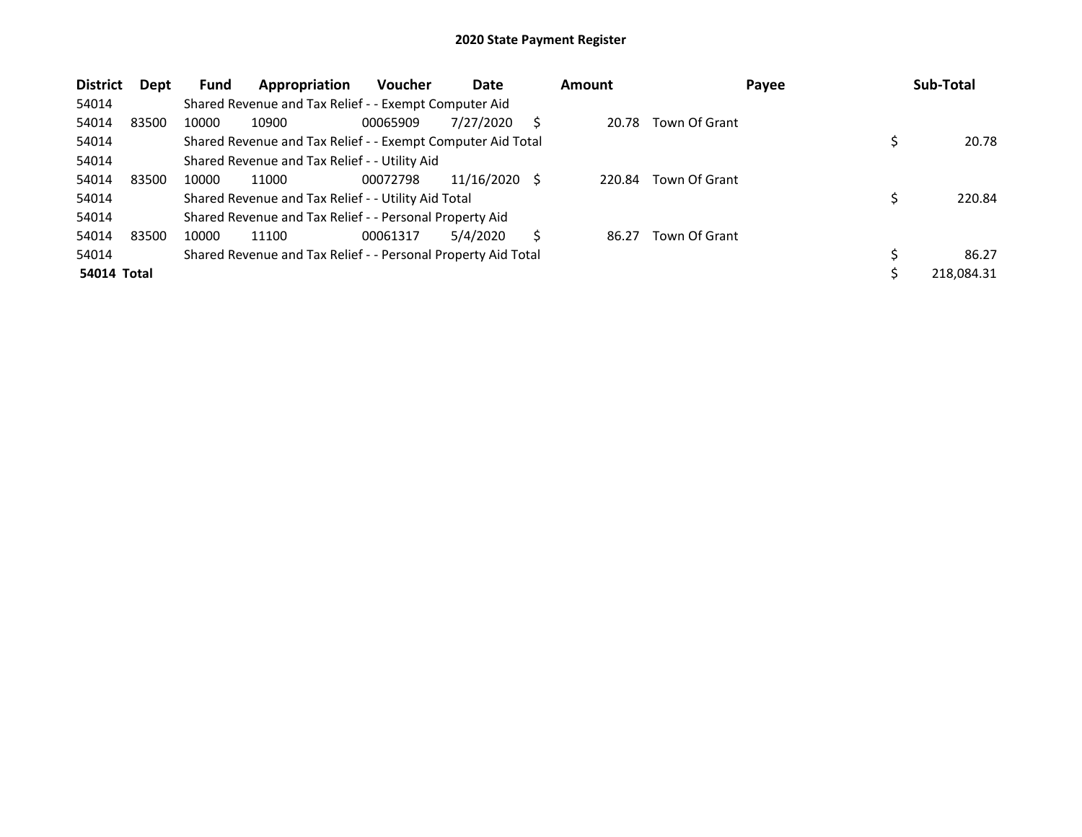| <b>District</b>    | Dept  | <b>Fund</b> | Appropriation                                                 | Voucher  | Date       |     | <b>Amount</b> | Payee         | Sub-Total  |
|--------------------|-------|-------------|---------------------------------------------------------------|----------|------------|-----|---------------|---------------|------------|
| 54014              |       |             | Shared Revenue and Tax Relief - - Exempt Computer Aid         |          |            |     |               |               |            |
| 54014              | 83500 | 10000       | 10900                                                         | 00065909 | 7/27/2020  | S   | 20.78         | Town Of Grant |            |
| 54014              |       |             | Shared Revenue and Tax Relief - - Exempt Computer Aid Total   |          |            |     |               |               | 20.78      |
| 54014              |       |             | Shared Revenue and Tax Relief - - Utility Aid                 |          |            |     |               |               |            |
| 54014              | 83500 | 10000       | 11000                                                         | 00072798 | 11/16/2020 | - S | 220.84        | Town Of Grant |            |
| 54014              |       |             | Shared Revenue and Tax Relief - - Utility Aid Total           |          |            |     |               |               | 220.84     |
| 54014              |       |             | Shared Revenue and Tax Relief - - Personal Property Aid       |          |            |     |               |               |            |
| 54014              | 83500 | 10000       | 11100                                                         | 00061317 | 5/4/2020   | S   | 86.27         | Town Of Grant |            |
| 54014              |       |             | Shared Revenue and Tax Relief - - Personal Property Aid Total |          |            |     |               |               | 86.27      |
| <b>54014 Total</b> |       |             |                                                               |          |            |     |               |               | 218,084.31 |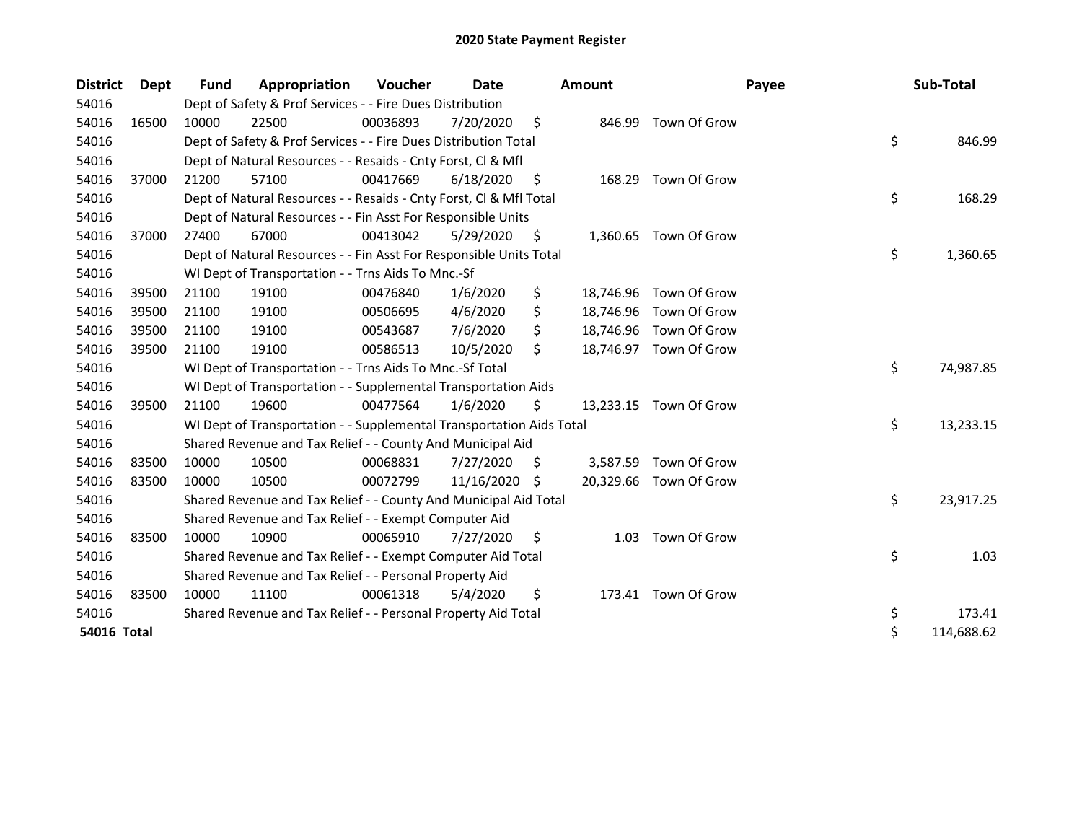| <b>District</b> | <b>Dept</b> | Fund  | Appropriation                                                        | <b>Voucher</b> | Date       |      | <b>Amount</b> | Payee                  | Sub-Total        |
|-----------------|-------------|-------|----------------------------------------------------------------------|----------------|------------|------|---------------|------------------------|------------------|
| 54016           |             |       | Dept of Safety & Prof Services - - Fire Dues Distribution            |                |            |      |               |                        |                  |
| 54016           | 16500       | 10000 | 22500                                                                | 00036893       | 7/20/2020  | \$   | 846.99        | Town Of Grow           |                  |
| 54016           |             |       | Dept of Safety & Prof Services - - Fire Dues Distribution Total      |                |            |      |               |                        | \$<br>846.99     |
| 54016           |             |       | Dept of Natural Resources - - Resaids - Cnty Forst, Cl & Mfl         |                |            |      |               |                        |                  |
| 54016           | 37000       | 21200 | 57100                                                                | 00417669       | 6/18/2020  | - \$ |               | 168.29 Town Of Grow    |                  |
| 54016           |             |       | Dept of Natural Resources - - Resaids - Cnty Forst, CI & Mfl Total   |                |            |      |               |                        | \$<br>168.29     |
| 54016           |             |       | Dept of Natural Resources - - Fin Asst For Responsible Units         |                |            |      |               |                        |                  |
| 54016           | 37000       | 27400 | 67000                                                                | 00413042       | 5/29/2020  | \$.  |               | 1,360.65 Town Of Grow  |                  |
| 54016           |             |       | Dept of Natural Resources - - Fin Asst For Responsible Units Total   |                |            |      |               |                        | \$<br>1,360.65   |
| 54016           |             |       | WI Dept of Transportation - - Trns Aids To Mnc.-Sf                   |                |            |      |               |                        |                  |
| 54016           | 39500       | 21100 | 19100                                                                | 00476840       | 1/6/2020   | \$   |               | 18,746.96 Town Of Grow |                  |
| 54016           | 39500       | 21100 | 19100                                                                | 00506695       | 4/6/2020   | \$   |               | 18,746.96 Town Of Grow |                  |
| 54016           | 39500       | 21100 | 19100                                                                | 00543687       | 7/6/2020   | \$   |               | 18,746.96 Town Of Grow |                  |
| 54016           | 39500       | 21100 | 19100                                                                | 00586513       | 10/5/2020  | \$   | 18,746.97     | Town Of Grow           |                  |
| 54016           |             |       | WI Dept of Transportation - - Trns Aids To Mnc.-Sf Total             |                |            |      |               |                        | \$<br>74,987.85  |
| 54016           |             |       | WI Dept of Transportation - - Supplemental Transportation Aids       |                |            |      |               |                        |                  |
| 54016           | 39500       | 21100 | 19600                                                                | 00477564       | 1/6/2020   | \$   |               | 13,233.15 Town Of Grow |                  |
| 54016           |             |       | WI Dept of Transportation - - Supplemental Transportation Aids Total |                |            |      |               |                        | \$<br>13,233.15  |
| 54016           |             |       | Shared Revenue and Tax Relief - - County And Municipal Aid           |                |            |      |               |                        |                  |
| 54016           | 83500       | 10000 | 10500                                                                | 00068831       | 7/27/2020  | S    |               | 3,587.59 Town Of Grow  |                  |
| 54016           | 83500       | 10000 | 10500                                                                | 00072799       | 11/16/2020 | S    |               | 20,329.66 Town Of Grow |                  |
| 54016           |             |       | Shared Revenue and Tax Relief - - County And Municipal Aid Total     |                |            |      |               |                        | \$<br>23,917.25  |
| 54016           |             |       | Shared Revenue and Tax Relief - - Exempt Computer Aid                |                |            |      |               |                        |                  |
| 54016           | 83500       | 10000 | 10900                                                                | 00065910       | 7/27/2020  | \$   |               | 1.03 Town Of Grow      |                  |
| 54016           |             |       | Shared Revenue and Tax Relief - - Exempt Computer Aid Total          |                |            |      |               |                        | \$<br>1.03       |
| 54016           |             |       | Shared Revenue and Tax Relief - - Personal Property Aid              |                |            |      |               |                        |                  |
| 54016           | 83500       | 10000 | 11100                                                                | 00061318       | 5/4/2020   | \$   |               | 173.41 Town Of Grow    |                  |
| 54016           |             |       | Shared Revenue and Tax Relief - - Personal Property Aid Total        |                |            |      |               |                        | \$<br>173.41     |
| 54016 Total     |             |       |                                                                      |                |            |      |               |                        | \$<br>114,688.62 |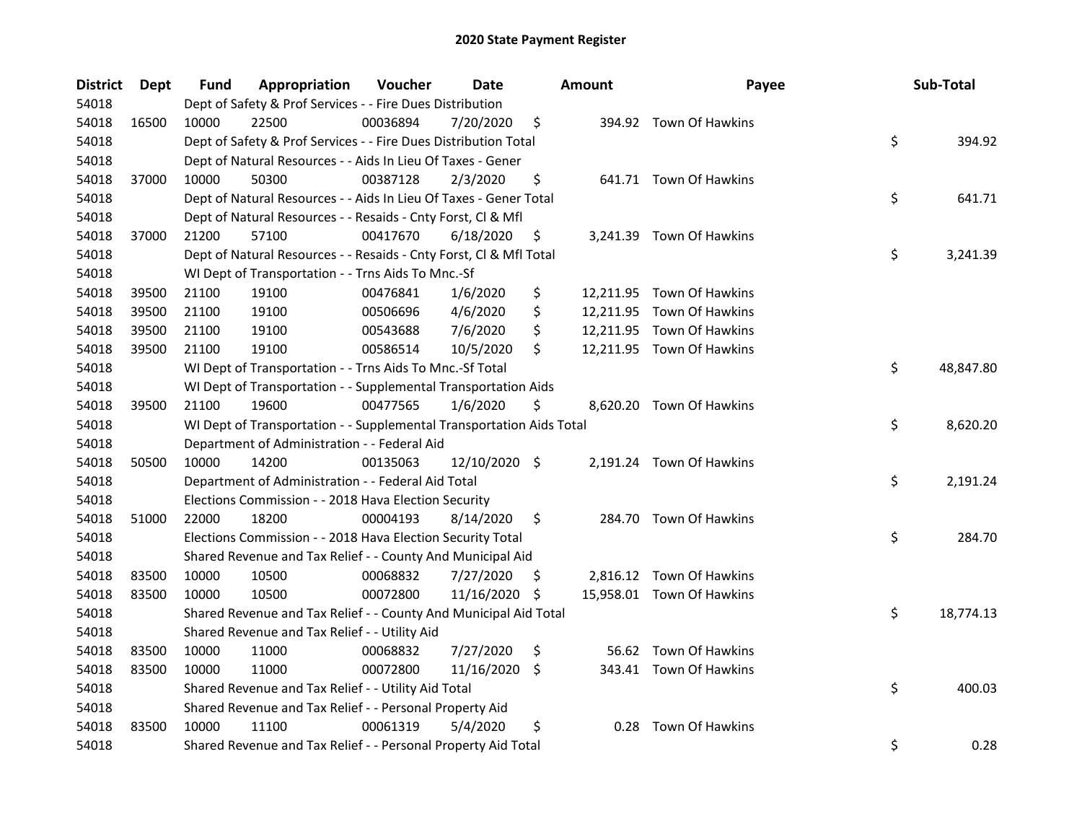| <b>District</b> | Dept  | <b>Fund</b> | Appropriation                                                        | Voucher  | <b>Date</b>   |     | <b>Amount</b> | Payee                     | Sub-Total       |
|-----------------|-------|-------------|----------------------------------------------------------------------|----------|---------------|-----|---------------|---------------------------|-----------------|
| 54018           |       |             | Dept of Safety & Prof Services - - Fire Dues Distribution            |          |               |     |               |                           |                 |
| 54018           | 16500 | 10000       | 22500                                                                | 00036894 | 7/20/2020     | \$  |               | 394.92 Town Of Hawkins    |                 |
| 54018           |       |             | Dept of Safety & Prof Services - - Fire Dues Distribution Total      |          |               |     |               |                           | \$<br>394.92    |
| 54018           |       |             | Dept of Natural Resources - - Aids In Lieu Of Taxes - Gener          |          |               |     |               |                           |                 |
| 54018           | 37000 | 10000       | 50300                                                                | 00387128 | 2/3/2020      | \$  |               | 641.71 Town Of Hawkins    |                 |
| 54018           |       |             | Dept of Natural Resources - - Aids In Lieu Of Taxes - Gener Total    |          |               |     |               |                           | \$<br>641.71    |
| 54018           |       |             | Dept of Natural Resources - - Resaids - Cnty Forst, Cl & Mfl         |          |               |     |               |                           |                 |
| 54018           | 37000 | 21200       | 57100                                                                | 00417670 | 6/18/2020     | \$  |               | 3,241.39 Town Of Hawkins  |                 |
| 54018           |       |             | Dept of Natural Resources - - Resaids - Cnty Forst, Cl & Mfl Total   |          |               |     |               |                           | \$<br>3,241.39  |
| 54018           |       |             | WI Dept of Transportation - - Trns Aids To Mnc.-Sf                   |          |               |     |               |                           |                 |
| 54018           | 39500 | 21100       | 19100                                                                | 00476841 | 1/6/2020      | \$  |               | 12,211.95 Town Of Hawkins |                 |
| 54018           | 39500 | 21100       | 19100                                                                | 00506696 | 4/6/2020      | \$  |               | 12,211.95 Town Of Hawkins |                 |
| 54018           | 39500 | 21100       | 19100                                                                | 00543688 | 7/6/2020      | \$  |               | 12,211.95 Town Of Hawkins |                 |
| 54018           | 39500 | 21100       | 19100                                                                | 00586514 | 10/5/2020     | \$  |               | 12,211.95 Town Of Hawkins |                 |
| 54018           |       |             | WI Dept of Transportation - - Trns Aids To Mnc.-Sf Total             |          |               |     |               |                           | \$<br>48,847.80 |
| 54018           |       |             | WI Dept of Transportation - - Supplemental Transportation Aids       |          |               |     |               |                           |                 |
| 54018           | 39500 | 21100       | 19600                                                                | 00477565 | 1/6/2020      | \$  |               | 8,620.20 Town Of Hawkins  |                 |
| 54018           |       |             | WI Dept of Transportation - - Supplemental Transportation Aids Total |          |               |     |               |                           | \$<br>8,620.20  |
| 54018           |       |             | Department of Administration - - Federal Aid                         |          |               |     |               |                           |                 |
| 54018           | 50500 | 10000       | 14200                                                                | 00135063 | 12/10/2020 \$ |     |               | 2,191.24 Town Of Hawkins  |                 |
| 54018           |       |             | Department of Administration - - Federal Aid Total                   |          |               |     |               |                           | \$<br>2,191.24  |
| 54018           |       |             | Elections Commission - - 2018 Hava Election Security                 |          |               |     |               |                           |                 |
| 54018           | 51000 | 22000       | 18200                                                                | 00004193 | 8/14/2020     | \$  |               | 284.70 Town Of Hawkins    |                 |
| 54018           |       |             | Elections Commission - - 2018 Hava Election Security Total           |          |               |     |               |                           | \$<br>284.70    |
| 54018           |       |             | Shared Revenue and Tax Relief - - County And Municipal Aid           |          |               |     |               |                           |                 |
| 54018           | 83500 | 10000       | 10500                                                                | 00068832 | 7/27/2020     | \$. |               | 2,816.12 Town Of Hawkins  |                 |
| 54018           | 83500 | 10000       | 10500                                                                | 00072800 | 11/16/2020    | \$  |               | 15,958.01 Town Of Hawkins |                 |
| 54018           |       |             | Shared Revenue and Tax Relief - - County And Municipal Aid Total     |          |               |     |               |                           | \$<br>18,774.13 |
| 54018           |       |             | Shared Revenue and Tax Relief - - Utility Aid                        |          |               |     |               |                           |                 |
| 54018           | 83500 | 10000       | 11000                                                                | 00068832 | 7/27/2020     | \$  |               | 56.62 Town Of Hawkins     |                 |
| 54018           | 83500 | 10000       | 11000                                                                | 00072800 | 11/16/2020    | \$. |               | 343.41 Town Of Hawkins    |                 |
| 54018           |       |             | Shared Revenue and Tax Relief - - Utility Aid Total                  |          |               |     |               |                           | \$<br>400.03    |
| 54018           |       |             | Shared Revenue and Tax Relief - - Personal Property Aid              |          |               |     |               |                           |                 |
| 54018           | 83500 | 10000       | 11100                                                                | 00061319 | 5/4/2020      | \$  | 0.28          | Town Of Hawkins           |                 |
| 54018           |       |             | Shared Revenue and Tax Relief - - Personal Property Aid Total        |          |               |     |               |                           | \$<br>0.28      |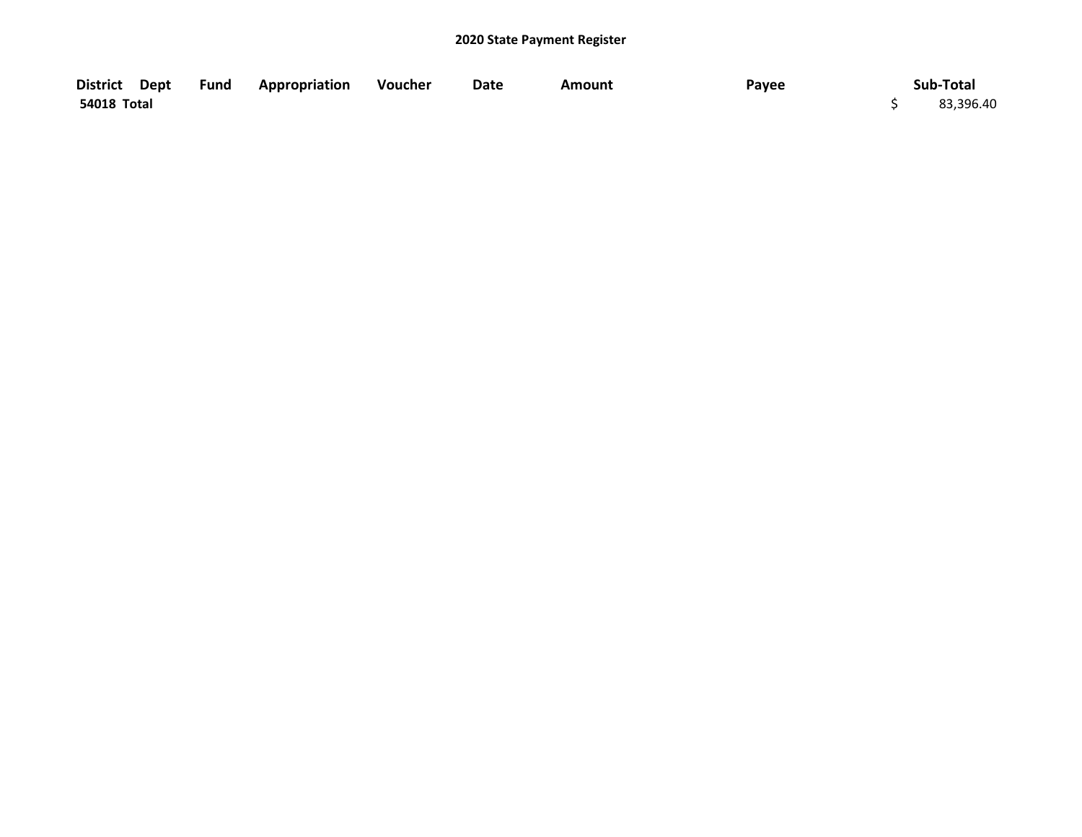| District Dept | Fund Appropriation Voucher | Date | <b>Amount</b> | Payee | Sub-Total |
|---------------|----------------------------|------|---------------|-------|-----------|
| 54018 Total   |                            |      |               |       | 83,396.40 |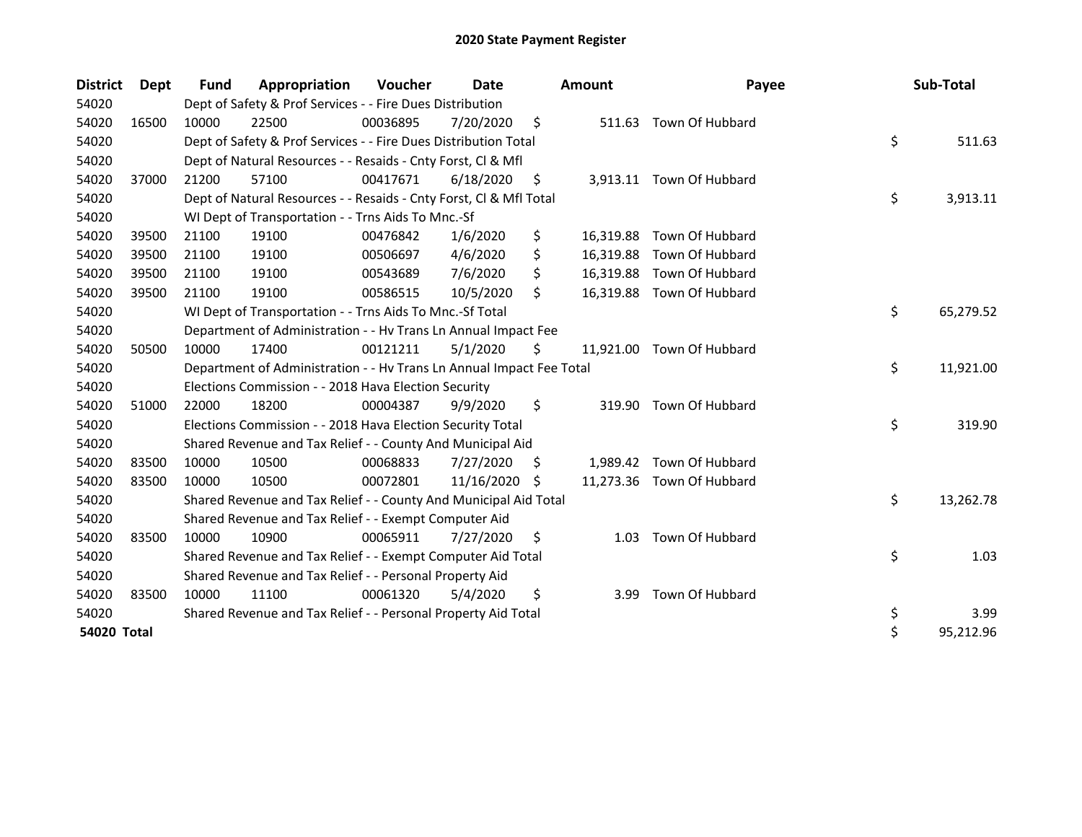| <b>District</b> | Dept  | Fund  | Appropriation                                                        | <b>Voucher</b> | Date       |     | <b>Amount</b> | Payee                     | Sub-Total       |
|-----------------|-------|-------|----------------------------------------------------------------------|----------------|------------|-----|---------------|---------------------------|-----------------|
| 54020           |       |       | Dept of Safety & Prof Services - - Fire Dues Distribution            |                |            |     |               |                           |                 |
| 54020           | 16500 | 10000 | 22500                                                                | 00036895       | 7/20/2020  | \$  |               | 511.63 Town Of Hubbard    |                 |
| 54020           |       |       | Dept of Safety & Prof Services - - Fire Dues Distribution Total      |                |            |     |               |                           | \$<br>511.63    |
| 54020           |       |       | Dept of Natural Resources - - Resaids - Cnty Forst, Cl & Mfl         |                |            |     |               |                           |                 |
| 54020           | 37000 | 21200 | 57100                                                                | 00417671       | 6/18/2020  | \$  |               | 3,913.11 Town Of Hubbard  |                 |
| 54020           |       |       | Dept of Natural Resources - - Resaids - Cnty Forst, Cl & Mfl Total   |                |            |     |               |                           | \$<br>3,913.11  |
| 54020           |       |       | WI Dept of Transportation - - Trns Aids To Mnc.-Sf                   |                |            |     |               |                           |                 |
| 54020           | 39500 | 21100 | 19100                                                                | 00476842       | 1/6/2020   | \$  |               | 16,319.88 Town Of Hubbard |                 |
| 54020           | 39500 | 21100 | 19100                                                                | 00506697       | 4/6/2020   | \$  |               | 16,319.88 Town Of Hubbard |                 |
| 54020           | 39500 | 21100 | 19100                                                                | 00543689       | 7/6/2020   | \$  | 16,319.88     | Town Of Hubbard           |                 |
| 54020           | 39500 | 21100 | 19100                                                                | 00586515       | 10/5/2020  | \$  |               | 16,319.88 Town Of Hubbard |                 |
| 54020           |       |       | WI Dept of Transportation - - Trns Aids To Mnc.-Sf Total             |                |            |     |               |                           | \$<br>65,279.52 |
| 54020           |       |       | Department of Administration - - Hv Trans Ln Annual Impact Fee       |                |            |     |               |                           |                 |
| 54020           | 50500 | 10000 | 17400                                                                | 00121211       | 5/1/2020   | \$  | 11,921.00     | Town Of Hubbard           |                 |
| 54020           |       |       | Department of Administration - - Hv Trans Ln Annual Impact Fee Total |                |            |     |               |                           | \$<br>11,921.00 |
| 54020           |       |       | Elections Commission - - 2018 Hava Election Security                 |                |            |     |               |                           |                 |
| 54020           | 51000 | 22000 | 18200                                                                | 00004387       | 9/9/2020   | \$  |               | 319.90 Town Of Hubbard    |                 |
| 54020           |       |       | Elections Commission - - 2018 Hava Election Security Total           |                |            |     |               |                           | \$<br>319.90    |
| 54020           |       |       | Shared Revenue and Tax Relief - - County And Municipal Aid           |                |            |     |               |                           |                 |
| 54020           | 83500 | 10000 | 10500                                                                | 00068833       | 7/27/2020  | \$. |               | 1,989.42 Town Of Hubbard  |                 |
| 54020           | 83500 | 10000 | 10500                                                                | 00072801       | 11/16/2020 | -S  |               | 11,273.36 Town Of Hubbard |                 |
| 54020           |       |       | Shared Revenue and Tax Relief - - County And Municipal Aid Total     |                |            |     |               |                           | \$<br>13,262.78 |
| 54020           |       |       | Shared Revenue and Tax Relief - - Exempt Computer Aid                |                |            |     |               |                           |                 |
| 54020           | 83500 | 10000 | 10900                                                                | 00065911       | 7/27/2020  | S   | 1.03          | Town Of Hubbard           |                 |
| 54020           |       |       | Shared Revenue and Tax Relief - - Exempt Computer Aid Total          |                |            |     |               |                           | \$<br>1.03      |
| 54020           |       |       | Shared Revenue and Tax Relief - - Personal Property Aid              |                |            |     |               |                           |                 |
| 54020           | 83500 | 10000 | 11100                                                                | 00061320       | 5/4/2020   | \$  | 3.99          | Town Of Hubbard           |                 |
| 54020           |       |       | Shared Revenue and Tax Relief - - Personal Property Aid Total        |                |            |     |               |                           | \$<br>3.99      |
| 54020 Total     |       |       |                                                                      |                |            |     |               |                           | \$<br>95,212.96 |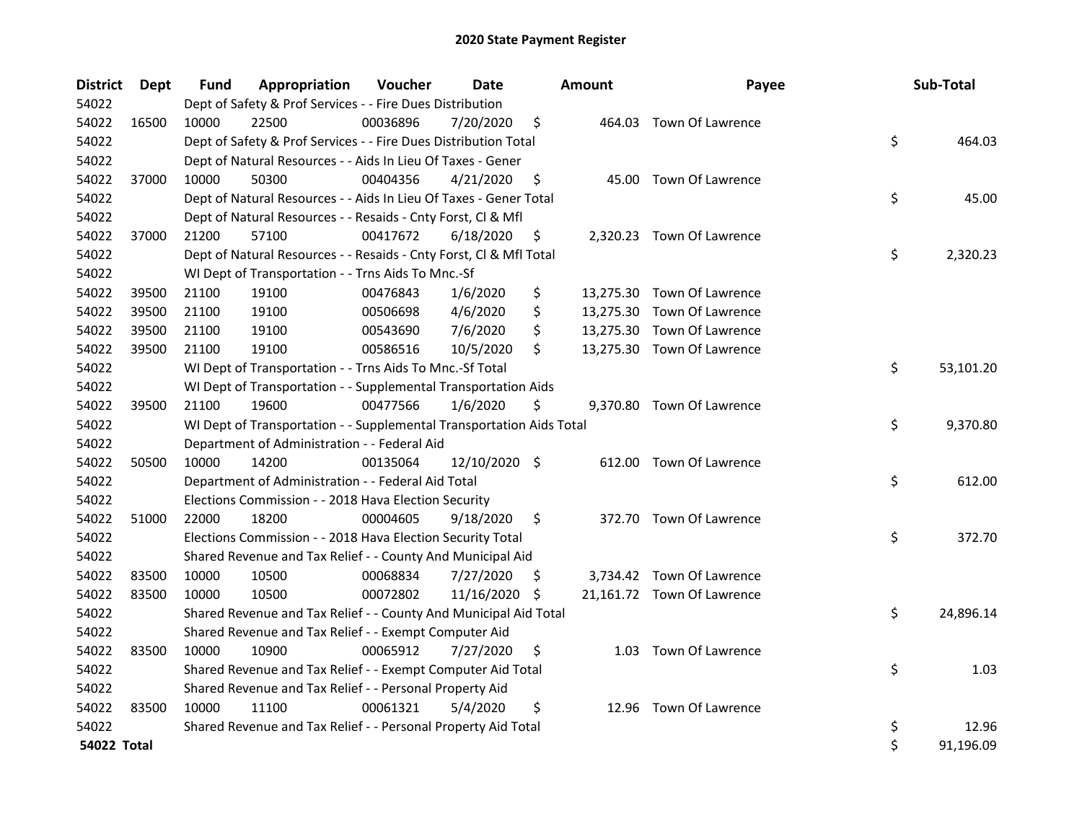| <b>District</b> | Dept  | Fund  | Appropriation                                                        | Voucher  | Date          |     | <b>Amount</b> | Payee                      | Sub-Total       |
|-----------------|-------|-------|----------------------------------------------------------------------|----------|---------------|-----|---------------|----------------------------|-----------------|
| 54022           |       |       | Dept of Safety & Prof Services - - Fire Dues Distribution            |          |               |     |               |                            |                 |
| 54022           | 16500 | 10000 | 22500                                                                | 00036896 | 7/20/2020     | \$  |               | 464.03 Town Of Lawrence    |                 |
| 54022           |       |       | Dept of Safety & Prof Services - - Fire Dues Distribution Total      |          |               |     |               |                            | \$<br>464.03    |
| 54022           |       |       | Dept of Natural Resources - - Aids In Lieu Of Taxes - Gener          |          |               |     |               |                            |                 |
| 54022           | 37000 | 10000 | 50300                                                                | 00404356 | 4/21/2020     | \$  |               | 45.00 Town Of Lawrence     |                 |
| 54022           |       |       | Dept of Natural Resources - - Aids In Lieu Of Taxes - Gener Total    |          |               |     |               |                            | \$<br>45.00     |
| 54022           |       |       | Dept of Natural Resources - - Resaids - Cnty Forst, Cl & Mfl         |          |               |     |               |                            |                 |
| 54022           | 37000 | 21200 | 57100                                                                | 00417672 | 6/18/2020     | \$  |               | 2,320.23 Town Of Lawrence  |                 |
| 54022           |       |       | Dept of Natural Resources - - Resaids - Cnty Forst, Cl & Mfl Total   |          |               |     |               |                            | \$<br>2,320.23  |
| 54022           |       |       | WI Dept of Transportation - - Trns Aids To Mnc.-Sf                   |          |               |     |               |                            |                 |
| 54022           | 39500 | 21100 | 19100                                                                | 00476843 | 1/6/2020      | \$  |               | 13,275.30 Town Of Lawrence |                 |
| 54022           | 39500 | 21100 | 19100                                                                | 00506698 | 4/6/2020      | \$  |               | 13,275.30 Town Of Lawrence |                 |
| 54022           | 39500 | 21100 | 19100                                                                | 00543690 | 7/6/2020      | \$  |               | 13,275.30 Town Of Lawrence |                 |
| 54022           | 39500 | 21100 | 19100                                                                | 00586516 | 10/5/2020     | \$  |               | 13,275.30 Town Of Lawrence |                 |
| 54022           |       |       | WI Dept of Transportation - - Trns Aids To Mnc.-Sf Total             |          |               |     |               |                            | \$<br>53,101.20 |
| 54022           |       |       | WI Dept of Transportation - - Supplemental Transportation Aids       |          |               |     |               |                            |                 |
| 54022           | 39500 | 21100 | 19600                                                                | 00477566 | 1/6/2020      | \$  |               | 9,370.80 Town Of Lawrence  |                 |
| 54022           |       |       | WI Dept of Transportation - - Supplemental Transportation Aids Total |          |               |     |               |                            | \$<br>9,370.80  |
| 54022           |       |       | Department of Administration - - Federal Aid                         |          |               |     |               |                            |                 |
| 54022           | 50500 | 10000 | 14200                                                                | 00135064 | 12/10/2020 \$ |     |               | 612.00 Town Of Lawrence    |                 |
| 54022           |       |       | Department of Administration - - Federal Aid Total                   |          |               |     |               |                            | \$<br>612.00    |
| 54022           |       |       | Elections Commission - - 2018 Hava Election Security                 |          |               |     |               |                            |                 |
| 54022           | 51000 | 22000 | 18200                                                                | 00004605 | 9/18/2020     | \$  |               | 372.70 Town Of Lawrence    |                 |
| 54022           |       |       | Elections Commission - - 2018 Hava Election Security Total           |          |               |     |               |                            | \$<br>372.70    |
| 54022           |       |       | Shared Revenue and Tax Relief - - County And Municipal Aid           |          |               |     |               |                            |                 |
| 54022           | 83500 | 10000 | 10500                                                                | 00068834 | 7/27/2020     | \$. |               | 3,734.42 Town Of Lawrence  |                 |
| 54022           | 83500 | 10000 | 10500                                                                | 00072802 | 11/16/2020 \$ |     |               | 21,161.72 Town Of Lawrence |                 |
| 54022           |       |       | Shared Revenue and Tax Relief - - County And Municipal Aid Total     |          |               |     |               |                            | \$<br>24,896.14 |
| 54022           |       |       | Shared Revenue and Tax Relief - - Exempt Computer Aid                |          |               |     |               |                            |                 |
| 54022           | 83500 | 10000 | 10900                                                                | 00065912 | 7/27/2020     | \$  |               | 1.03 Town Of Lawrence      |                 |
| 54022           |       |       | Shared Revenue and Tax Relief - - Exempt Computer Aid Total          |          |               |     |               |                            | \$<br>1.03      |
| 54022           |       |       | Shared Revenue and Tax Relief - - Personal Property Aid              |          |               |     |               |                            |                 |
| 54022           | 83500 | 10000 | 11100                                                                | 00061321 | 5/4/2020      | \$  |               | 12.96 Town Of Lawrence     |                 |
| 54022           |       |       | Shared Revenue and Tax Relief - - Personal Property Aid Total        |          |               |     |               |                            | \$<br>12.96     |
| 54022 Total     |       |       |                                                                      |          |               |     |               |                            | \$<br>91,196.09 |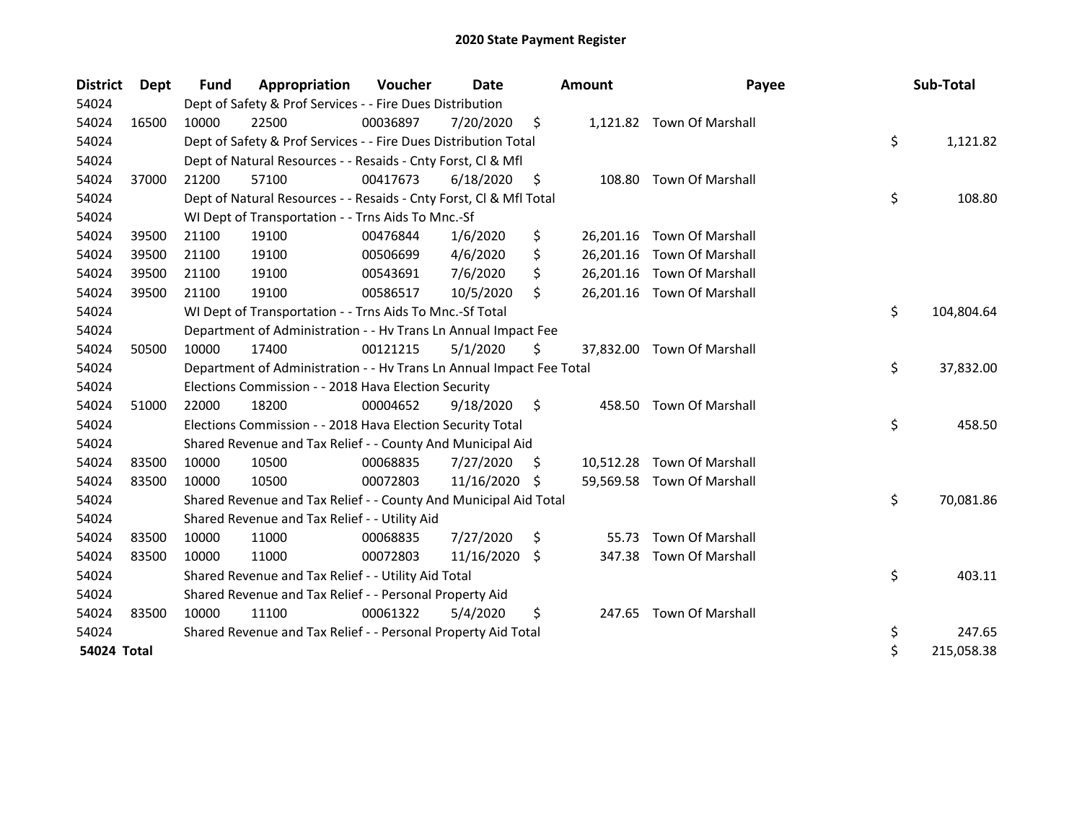| <b>District</b> | Dept  | <b>Fund</b> | Appropriation                                                        | Voucher  | Date       |    | <b>Amount</b> | Payee                      | Sub-Total        |
|-----------------|-------|-------------|----------------------------------------------------------------------|----------|------------|----|---------------|----------------------------|------------------|
| 54024           |       |             | Dept of Safety & Prof Services - - Fire Dues Distribution            |          |            |    |               |                            |                  |
| 54024           | 16500 | 10000       | 22500                                                                | 00036897 | 7/20/2020  | \$ |               | 1,121.82 Town Of Marshall  |                  |
| 54024           |       |             | Dept of Safety & Prof Services - - Fire Dues Distribution Total      |          |            |    |               |                            | \$<br>1,121.82   |
| 54024           |       |             | Dept of Natural Resources - - Resaids - Cnty Forst, Cl & Mfl         |          |            |    |               |                            |                  |
| 54024           | 37000 | 21200       | 57100                                                                | 00417673 | 6/18/2020  | \$ | 108.80        | Town Of Marshall           |                  |
| 54024           |       |             | Dept of Natural Resources - - Resaids - Cnty Forst, Cl & Mfl Total   |          |            |    |               |                            | \$<br>108.80     |
| 54024           |       |             | WI Dept of Transportation - - Trns Aids To Mnc.-Sf                   |          |            |    |               |                            |                  |
| 54024           | 39500 | 21100       | 19100                                                                | 00476844 | 1/6/2020   | \$ |               | 26,201.16 Town Of Marshall |                  |
| 54024           | 39500 | 21100       | 19100                                                                | 00506699 | 4/6/2020   | \$ |               | 26,201.16 Town Of Marshall |                  |
| 54024           | 39500 | 21100       | 19100                                                                | 00543691 | 7/6/2020   | \$ |               | 26,201.16 Town Of Marshall |                  |
| 54024           | 39500 | 21100       | 19100                                                                | 00586517 | 10/5/2020  | \$ |               | 26,201.16 Town Of Marshall |                  |
| 54024           |       |             | WI Dept of Transportation - - Trns Aids To Mnc.-Sf Total             |          |            |    |               |                            | \$<br>104,804.64 |
| 54024           |       |             | Department of Administration - - Hv Trans Ln Annual Impact Fee       |          |            |    |               |                            |                  |
| 54024           | 50500 | 10000       | 17400                                                                | 00121215 | 5/1/2020   | \$ |               | 37,832.00 Town Of Marshall |                  |
| 54024           |       |             | Department of Administration - - Hv Trans Ln Annual Impact Fee Total |          |            |    |               |                            | \$<br>37,832.00  |
| 54024           |       |             | Elections Commission - - 2018 Hava Election Security                 |          |            |    |               |                            |                  |
| 54024           | 51000 | 22000       | 18200                                                                | 00004652 | 9/18/2020  | \$ | 458.50        | <b>Town Of Marshall</b>    |                  |
| 54024           |       |             | Elections Commission - - 2018 Hava Election Security Total           |          |            |    |               |                            | \$<br>458.50     |
| 54024           |       |             | Shared Revenue and Tax Relief - - County And Municipal Aid           |          |            |    |               |                            |                  |
| 54024           | 83500 | 10000       | 10500                                                                | 00068835 | 7/27/2020  | S  |               | 10,512.28 Town Of Marshall |                  |
| 54024           | 83500 | 10000       | 10500                                                                | 00072803 | 11/16/2020 | \$ |               | 59,569.58 Town Of Marshall |                  |
| 54024           |       |             | Shared Revenue and Tax Relief - - County And Municipal Aid Total     |          |            |    |               |                            | \$<br>70,081.86  |
| 54024           |       |             | Shared Revenue and Tax Relief - - Utility Aid                        |          |            |    |               |                            |                  |
| 54024           | 83500 | 10000       | 11000                                                                | 00068835 | 7/27/2020  | \$ | 55.73         | Town Of Marshall           |                  |
| 54024           | 83500 | 10000       | 11000                                                                | 00072803 | 11/16/2020 | \$ | 347.38        | Town Of Marshall           |                  |
| 54024           |       |             | Shared Revenue and Tax Relief - - Utility Aid Total                  |          |            |    |               |                            | \$<br>403.11     |
| 54024           |       |             | Shared Revenue and Tax Relief - - Personal Property Aid              |          |            |    |               |                            |                  |
| 54024           | 83500 | 10000       | 11100                                                                | 00061322 | 5/4/2020   | \$ | 247.65        | Town Of Marshall           |                  |
| 54024           |       |             | Shared Revenue and Tax Relief - - Personal Property Aid Total        |          |            |    |               |                            | \$<br>247.65     |
| 54024 Total     |       |             |                                                                      |          |            |    |               |                            | \$<br>215,058.38 |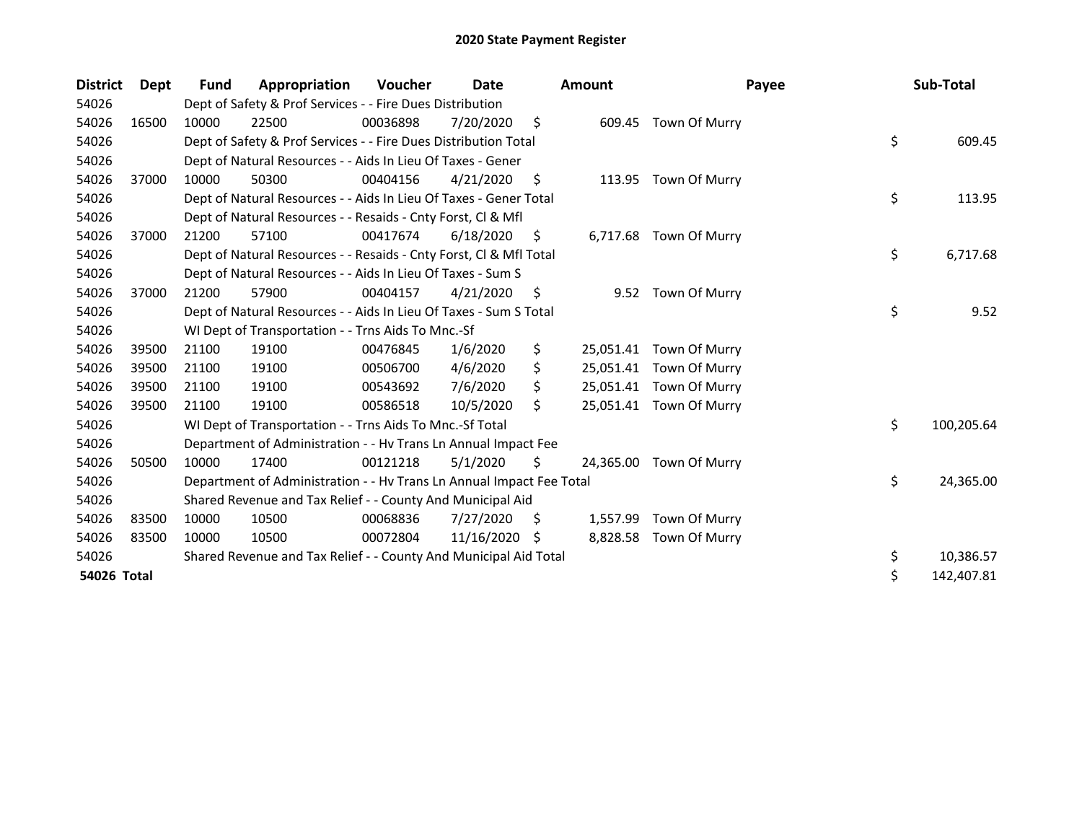| <b>District</b> | <b>Dept</b> | <b>Fund</b> | Appropriation                                                        | Voucher  | Date       |     | <b>Amount</b> | Payee                   | Sub-Total        |
|-----------------|-------------|-------------|----------------------------------------------------------------------|----------|------------|-----|---------------|-------------------------|------------------|
| 54026           |             |             | Dept of Safety & Prof Services - - Fire Dues Distribution            |          |            |     |               |                         |                  |
| 54026           | 16500       | 10000       | 22500                                                                | 00036898 | 7/20/2020  | \$  |               | 609.45 Town Of Murry    |                  |
| 54026           |             |             | Dept of Safety & Prof Services - - Fire Dues Distribution Total      |          |            |     |               |                         | \$<br>609.45     |
| 54026           |             |             | Dept of Natural Resources - - Aids In Lieu Of Taxes - Gener          |          |            |     |               |                         |                  |
| 54026           | 37000       | 10000       | 50300                                                                | 00404156 | 4/21/2020  | S.  |               | 113.95 Town Of Murry    |                  |
| 54026           |             |             | Dept of Natural Resources - - Aids In Lieu Of Taxes - Gener Total    |          |            |     |               |                         | \$<br>113.95     |
| 54026           |             |             | Dept of Natural Resources - - Resaids - Cnty Forst, Cl & Mfl         |          |            |     |               |                         |                  |
| 54026           | 37000       | 21200       | 57100                                                                | 00417674 | 6/18/2020  | \$. |               | 6,717.68 Town Of Murry  |                  |
| 54026           |             |             | Dept of Natural Resources - - Resaids - Cnty Forst, Cl & Mfl Total   |          |            |     |               |                         | \$<br>6,717.68   |
| 54026           |             |             | Dept of Natural Resources - - Aids In Lieu Of Taxes - Sum S          |          |            |     |               |                         |                  |
| 54026           | 37000       | 21200       | 57900                                                                | 00404157 | 4/21/2020  | \$. |               | 9.52 Town Of Murry      |                  |
| 54026           |             |             | Dept of Natural Resources - - Aids In Lieu Of Taxes - Sum S Total    |          |            |     |               |                         | \$<br>9.52       |
| 54026           |             |             | WI Dept of Transportation - - Trns Aids To Mnc.-Sf                   |          |            |     |               |                         |                  |
| 54026           | 39500       | 21100       | 19100                                                                | 00476845 | 1/6/2020   | \$  | 25,051.41     | Town Of Murry           |                  |
| 54026           | 39500       | 21100       | 19100                                                                | 00506700 | 4/6/2020   | \$  |               | 25,051.41 Town Of Murry |                  |
| 54026           | 39500       | 21100       | 19100                                                                | 00543692 | 7/6/2020   |     |               | 25,051.41 Town Of Murry |                  |
| 54026           | 39500       | 21100       | 19100                                                                | 00586518 | 10/5/2020  | Ś.  |               | 25,051.41 Town Of Murry |                  |
| 54026           |             |             | WI Dept of Transportation - - Trns Aids To Mnc.-Sf Total             |          |            |     |               |                         | \$<br>100,205.64 |
| 54026           |             |             | Department of Administration - - Hv Trans Ln Annual Impact Fee       |          |            |     |               |                         |                  |
| 54026           | 50500       | 10000       | 17400                                                                | 00121218 | 5/1/2020   | Ŝ.  | 24,365.00     | Town Of Murry           |                  |
| 54026           |             |             | Department of Administration - - Hv Trans Ln Annual Impact Fee Total |          |            |     |               |                         | \$<br>24,365.00  |
| 54026           |             |             | Shared Revenue and Tax Relief - - County And Municipal Aid           |          |            |     |               |                         |                  |
| 54026           | 83500       | 10000       | 10500                                                                | 00068836 | 7/27/2020  | S   | 1,557.99      | Town Of Murry           |                  |
| 54026           | 83500       | 10000       | 10500                                                                | 00072804 | 11/16/2020 | -\$ |               | 8,828.58 Town Of Murry  |                  |
| 54026           |             |             | Shared Revenue and Tax Relief - - County And Municipal Aid Total     |          |            |     |               |                         | \$<br>10,386.57  |
| 54026 Total     |             |             |                                                                      |          |            |     |               |                         | \$<br>142,407.81 |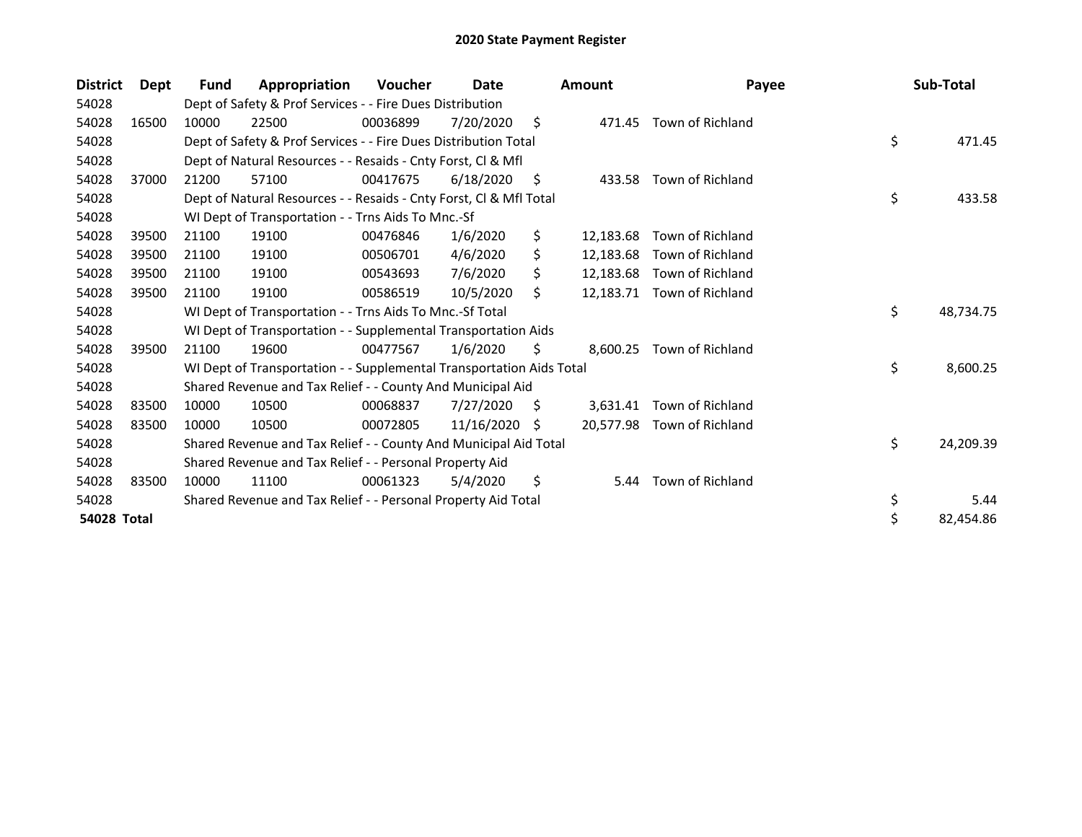| <b>District</b> | Dept  | <b>Fund</b> | Appropriation                                                        | <b>Voucher</b> | Date       |     | <b>Amount</b> | Payee                      | Sub-Total       |
|-----------------|-------|-------------|----------------------------------------------------------------------|----------------|------------|-----|---------------|----------------------------|-----------------|
| 54028           |       |             | Dept of Safety & Prof Services - - Fire Dues Distribution            |                |            |     |               |                            |                 |
| 54028           | 16500 | 10000       | 22500                                                                | 00036899       | 7/20/2020  | \$  |               | 471.45 Town of Richland    |                 |
| 54028           |       |             | Dept of Safety & Prof Services - - Fire Dues Distribution Total      |                |            |     |               |                            | \$<br>471.45    |
| 54028           |       |             | Dept of Natural Resources - - Resaids - Cnty Forst, Cl & Mfl         |                |            |     |               |                            |                 |
| 54028           | 37000 | 21200       | 57100                                                                | 00417675       | 6/18/2020  | S   |               | 433.58 Town of Richland    |                 |
| 54028           |       |             | Dept of Natural Resources - - Resaids - Cnty Forst, CI & Mfl Total   |                |            |     |               |                            | \$<br>433.58    |
| 54028           |       |             | WI Dept of Transportation - - Trns Aids To Mnc.-Sf                   |                |            |     |               |                            |                 |
| 54028           | 39500 | 21100       | 19100                                                                | 00476846       | 1/6/2020   | \$  | 12,183.68     | Town of Richland           |                 |
| 54028           | 39500 | 21100       | 19100                                                                | 00506701       | 4/6/2020   | \$  | 12,183.68     | Town of Richland           |                 |
| 54028           | 39500 | 21100       | 19100                                                                | 00543693       | 7/6/2020   | Ś.  | 12,183.68     | Town of Richland           |                 |
| 54028           | 39500 | 21100       | 19100                                                                | 00586519       | 10/5/2020  | \$. | 12,183.71     | Town of Richland           |                 |
| 54028           |       |             | WI Dept of Transportation - - Trns Aids To Mnc.-Sf Total             |                |            |     |               |                            | \$<br>48,734.75 |
| 54028           |       |             | WI Dept of Transportation - - Supplemental Transportation Aids       |                |            |     |               |                            |                 |
| 54028           | 39500 | 21100       | 19600                                                                | 00477567       | 1/6/2020   | \$  | 8,600.25      | Town of Richland           |                 |
| 54028           |       |             | WI Dept of Transportation - - Supplemental Transportation Aids Total |                |            |     |               |                            | \$<br>8,600.25  |
| 54028           |       |             | Shared Revenue and Tax Relief - - County And Municipal Aid           |                |            |     |               |                            |                 |
| 54028           | 83500 | 10000       | 10500                                                                | 00068837       | 7/27/2020  | S   | 3,631.41      | Town of Richland           |                 |
| 54028           | 83500 | 10000       | 10500                                                                | 00072805       | 11/16/2020 | -S  |               | 20,577.98 Town of Richland |                 |
| 54028           |       |             | Shared Revenue and Tax Relief - - County And Municipal Aid Total     |                |            |     |               |                            | \$<br>24,209.39 |
| 54028           |       |             | Shared Revenue and Tax Relief - - Personal Property Aid              |                |            |     |               |                            |                 |
| 54028           | 83500 | 10000       | 11100                                                                | 00061323       | 5/4/2020   | \$  | 5.44          | Town of Richland           |                 |
| 54028           |       |             | Shared Revenue and Tax Relief - - Personal Property Aid Total        |                |            |     |               |                            | \$<br>5.44      |
| 54028 Total     |       |             |                                                                      |                |            |     |               |                            | \$<br>82,454.86 |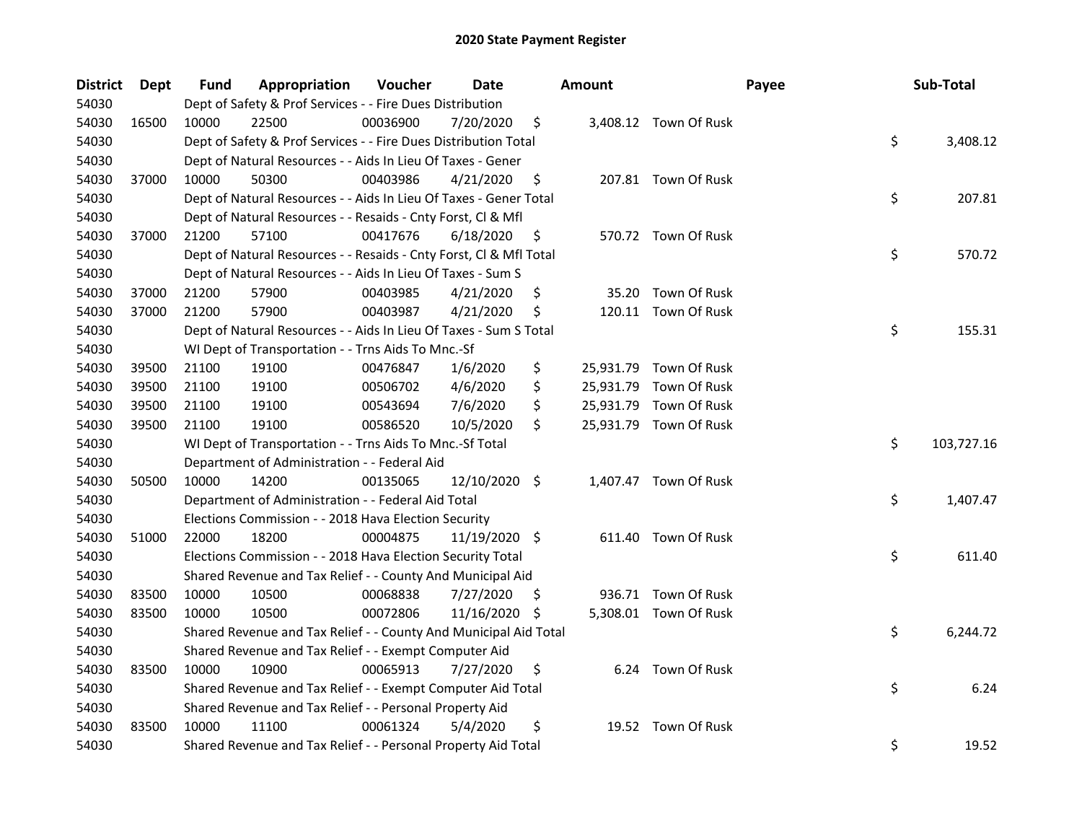| District | <b>Dept</b> | Fund  | Appropriation                                                      | Voucher  | Date          |     | <b>Amount</b> |                        | Payee | Sub-Total  |
|----------|-------------|-------|--------------------------------------------------------------------|----------|---------------|-----|---------------|------------------------|-------|------------|
| 54030    |             |       | Dept of Safety & Prof Services - - Fire Dues Distribution          |          |               |     |               |                        |       |            |
| 54030    | 16500       | 10000 | 22500                                                              | 00036900 | 7/20/2020     | \$  |               | 3,408.12 Town Of Rusk  |       |            |
| 54030    |             |       | Dept of Safety & Prof Services - - Fire Dues Distribution Total    |          |               |     |               |                        | \$    | 3,408.12   |
| 54030    |             |       | Dept of Natural Resources - - Aids In Lieu Of Taxes - Gener        |          |               |     |               |                        |       |            |
| 54030    | 37000       | 10000 | 50300                                                              | 00403986 | 4/21/2020     | \$  |               | 207.81 Town Of Rusk    |       |            |
| 54030    |             |       | Dept of Natural Resources - - Aids In Lieu Of Taxes - Gener Total  |          |               |     |               |                        | \$    | 207.81     |
| 54030    |             |       | Dept of Natural Resources - - Resaids - Cnty Forst, Cl & Mfl       |          |               |     |               |                        |       |            |
| 54030    | 37000       | 21200 | 57100                                                              | 00417676 | 6/18/2020     | \$  |               | 570.72 Town Of Rusk    |       |            |
| 54030    |             |       | Dept of Natural Resources - - Resaids - Cnty Forst, Cl & Mfl Total |          |               |     |               |                        | \$    | 570.72     |
| 54030    |             |       | Dept of Natural Resources - - Aids In Lieu Of Taxes - Sum S        |          |               |     |               |                        |       |            |
| 54030    | 37000       | 21200 | 57900                                                              | 00403985 | 4/21/2020     | \$  | 35.20         | Town Of Rusk           |       |            |
| 54030    | 37000       | 21200 | 57900                                                              | 00403987 | 4/21/2020     | \$  |               | 120.11 Town Of Rusk    |       |            |
| 54030    |             |       | Dept of Natural Resources - - Aids In Lieu Of Taxes - Sum S Total  |          |               |     |               |                        | \$    | 155.31     |
| 54030    |             |       | WI Dept of Transportation - - Trns Aids To Mnc.-Sf                 |          |               |     |               |                        |       |            |
| 54030    | 39500       | 21100 | 19100                                                              | 00476847 | 1/6/2020      | \$  |               | 25,931.79 Town Of Rusk |       |            |
| 54030    | 39500       | 21100 | 19100                                                              | 00506702 | 4/6/2020      | \$  |               | 25,931.79 Town Of Rusk |       |            |
| 54030    | 39500       | 21100 | 19100                                                              | 00543694 | 7/6/2020      | \$  |               | 25,931.79 Town Of Rusk |       |            |
| 54030    | 39500       | 21100 | 19100                                                              | 00586520 | 10/5/2020     | \$  |               | 25,931.79 Town Of Rusk |       |            |
| 54030    |             |       | WI Dept of Transportation - - Trns Aids To Mnc.-Sf Total           |          |               |     |               |                        | \$    | 103,727.16 |
| 54030    |             |       | Department of Administration - - Federal Aid                       |          |               |     |               |                        |       |            |
| 54030    | 50500       | 10000 | 14200                                                              | 00135065 | 12/10/2020 \$ |     |               | 1,407.47 Town Of Rusk  |       |            |
| 54030    |             |       | Department of Administration - - Federal Aid Total                 |          |               |     |               |                        | \$    | 1,407.47   |
| 54030    |             |       | Elections Commission - - 2018 Hava Election Security               |          |               |     |               |                        |       |            |
| 54030    | 51000       | 22000 | 18200                                                              | 00004875 | 11/19/2020 \$ |     |               | 611.40 Town Of Rusk    |       |            |
| 54030    |             |       | Elections Commission - - 2018 Hava Election Security Total         |          |               |     |               |                        | \$    | 611.40     |
| 54030    |             |       | Shared Revenue and Tax Relief - - County And Municipal Aid         |          |               |     |               |                        |       |            |
| 54030    | 83500       | 10000 | 10500                                                              | 00068838 | 7/27/2020     | \$. |               | 936.71 Town Of Rusk    |       |            |
| 54030    | 83500       | 10000 | 10500                                                              | 00072806 | 11/16/2020 \$ |     |               | 5,308.01 Town Of Rusk  |       |            |
| 54030    |             |       | Shared Revenue and Tax Relief - - County And Municipal Aid Total   |          |               |     |               |                        | \$    | 6,244.72   |
| 54030    |             |       | Shared Revenue and Tax Relief - - Exempt Computer Aid              |          |               |     |               |                        |       |            |
| 54030    | 83500       | 10000 | 10900                                                              | 00065913 | 7/27/2020     | \$  |               | 6.24 Town Of Rusk      |       |            |
| 54030    |             |       | Shared Revenue and Tax Relief - - Exempt Computer Aid Total        |          |               |     |               |                        | \$    | 6.24       |
| 54030    |             |       | Shared Revenue and Tax Relief - - Personal Property Aid            |          |               |     |               |                        |       |            |
| 54030    | 83500       | 10000 | 11100                                                              | 00061324 | 5/4/2020      | \$  |               | 19.52 Town Of Rusk     |       |            |
| 54030    |             |       | Shared Revenue and Tax Relief - - Personal Property Aid Total      |          |               |     |               |                        | \$    | 19.52      |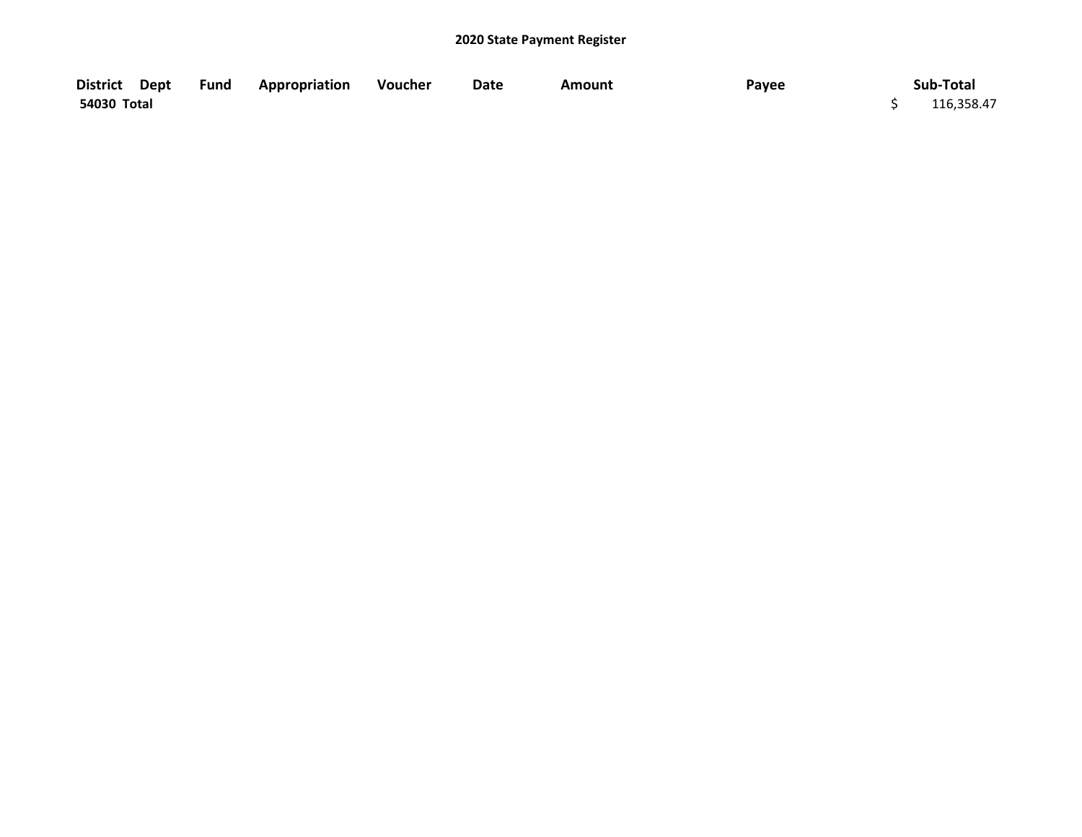| District Dept | <b>Fund Appropriation</b> | Voucher | Date | Amount | Payee | Sub-Total  |
|---------------|---------------------------|---------|------|--------|-------|------------|
| 54030 Total   |                           |         |      |        |       | 116,358.47 |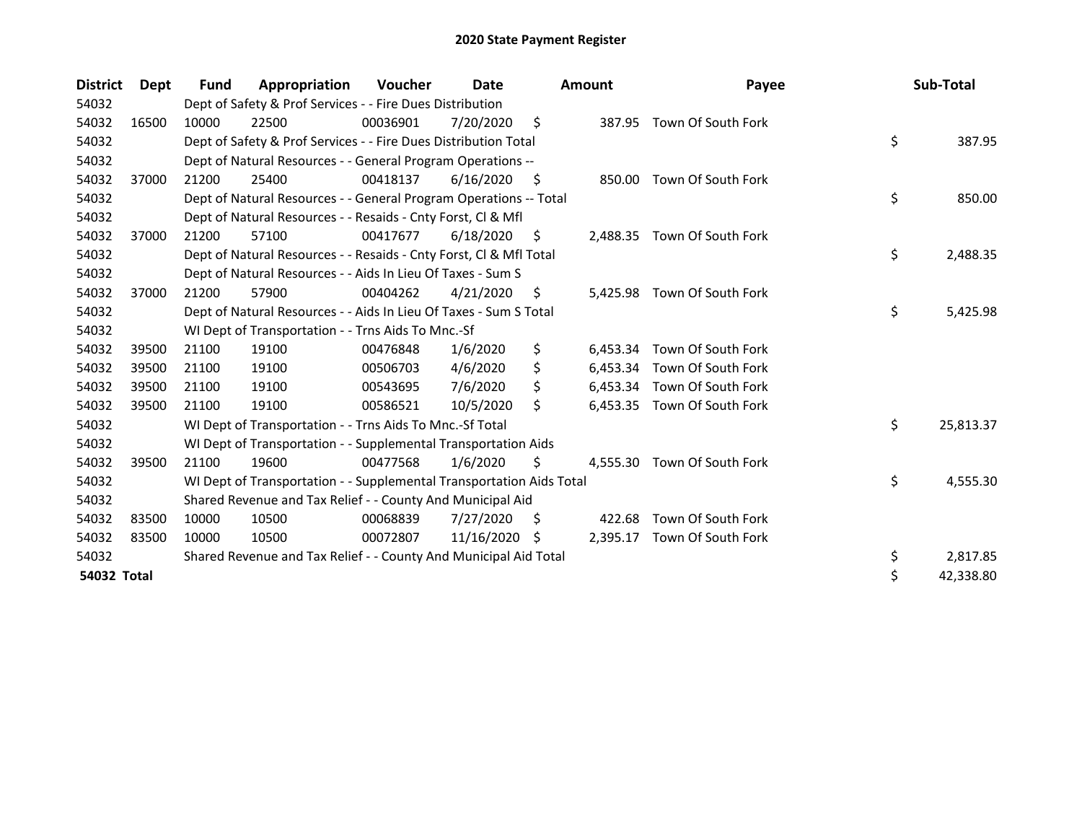| <b>District</b> | Dept  | <b>Fund</b> | Appropriation                                                        | Voucher  | Date       |     | <b>Amount</b> | Payee                       | Sub-Total       |
|-----------------|-------|-------------|----------------------------------------------------------------------|----------|------------|-----|---------------|-----------------------------|-----------------|
| 54032           |       |             | Dept of Safety & Prof Services - - Fire Dues Distribution            |          |            |     |               |                             |                 |
| 54032           | 16500 | 10000       | 22500                                                                | 00036901 | 7/20/2020  | \$  |               | 387.95 Town Of South Fork   |                 |
| 54032           |       |             | Dept of Safety & Prof Services - - Fire Dues Distribution Total      |          |            |     |               |                             | \$<br>387.95    |
| 54032           |       |             | Dept of Natural Resources - - General Program Operations --          |          |            |     |               |                             |                 |
| 54032           | 37000 | 21200       | 25400                                                                | 00418137 | 6/16/2020  | \$  | 850.00        | Town Of South Fork          |                 |
| 54032           |       |             | Dept of Natural Resources - - General Program Operations -- Total    |          |            |     |               |                             | \$<br>850.00    |
| 54032           |       |             | Dept of Natural Resources - - Resaids - Cnty Forst, Cl & Mfl         |          |            |     |               |                             |                 |
| 54032           | 37000 | 21200       | 57100                                                                | 00417677 | 6/18/2020  | \$. |               | 2,488.35 Town Of South Fork |                 |
| 54032           |       |             | Dept of Natural Resources - - Resaids - Cnty Forst, CI & Mfl Total   |          |            |     |               |                             | \$<br>2,488.35  |
| 54032           |       |             | Dept of Natural Resources - - Aids In Lieu Of Taxes - Sum S          |          |            |     |               |                             |                 |
| 54032           | 37000 | 21200       | 57900                                                                | 00404262 | 4/21/2020  | \$  | 5.425.98      | Town Of South Fork          |                 |
| 54032           |       |             | Dept of Natural Resources - - Aids In Lieu Of Taxes - Sum S Total    |          |            |     |               |                             | \$<br>5,425.98  |
| 54032           |       |             | WI Dept of Transportation - - Trns Aids To Mnc.-Sf                   |          |            |     |               |                             |                 |
| 54032           | 39500 | 21100       | 19100                                                                | 00476848 | 1/6/2020   | \$  | 6,453.34      | Town Of South Fork          |                 |
| 54032           | 39500 | 21100       | 19100                                                                | 00506703 | 4/6/2020   | \$  |               | 6,453.34 Town Of South Fork |                 |
| 54032           | 39500 | 21100       | 19100                                                                | 00543695 | 7/6/2020   |     |               | 6,453.34 Town Of South Fork |                 |
| 54032           | 39500 | 21100       | 19100                                                                | 00586521 | 10/5/2020  | Ś.  | 6,453.35      | Town Of South Fork          |                 |
| 54032           |       |             | WI Dept of Transportation - - Trns Aids To Mnc.-Sf Total             |          |            |     |               |                             | \$<br>25,813.37 |
| 54032           |       |             | WI Dept of Transportation - - Supplemental Transportation Aids       |          |            |     |               |                             |                 |
| 54032           | 39500 | 21100       | 19600                                                                | 00477568 | 1/6/2020   | Ŝ.  | 4.555.30      | Town Of South Fork          |                 |
| 54032           |       |             | WI Dept of Transportation - - Supplemental Transportation Aids Total |          |            |     |               |                             | \$<br>4,555.30  |
| 54032           |       |             | Shared Revenue and Tax Relief - - County And Municipal Aid           |          |            |     |               |                             |                 |
| 54032           | 83500 | 10000       | 10500                                                                | 00068839 | 7/27/2020  | S   | 422.68        | Town Of South Fork          |                 |
| 54032           | 83500 | 10000       | 10500                                                                | 00072807 | 11/16/2020 | -S  | 2,395.17      | Town Of South Fork          |                 |
| 54032           |       |             | Shared Revenue and Tax Relief - - County And Municipal Aid Total     |          |            |     |               |                             | \$<br>2,817.85  |
| 54032 Total     |       |             |                                                                      |          |            |     |               |                             | \$<br>42,338.80 |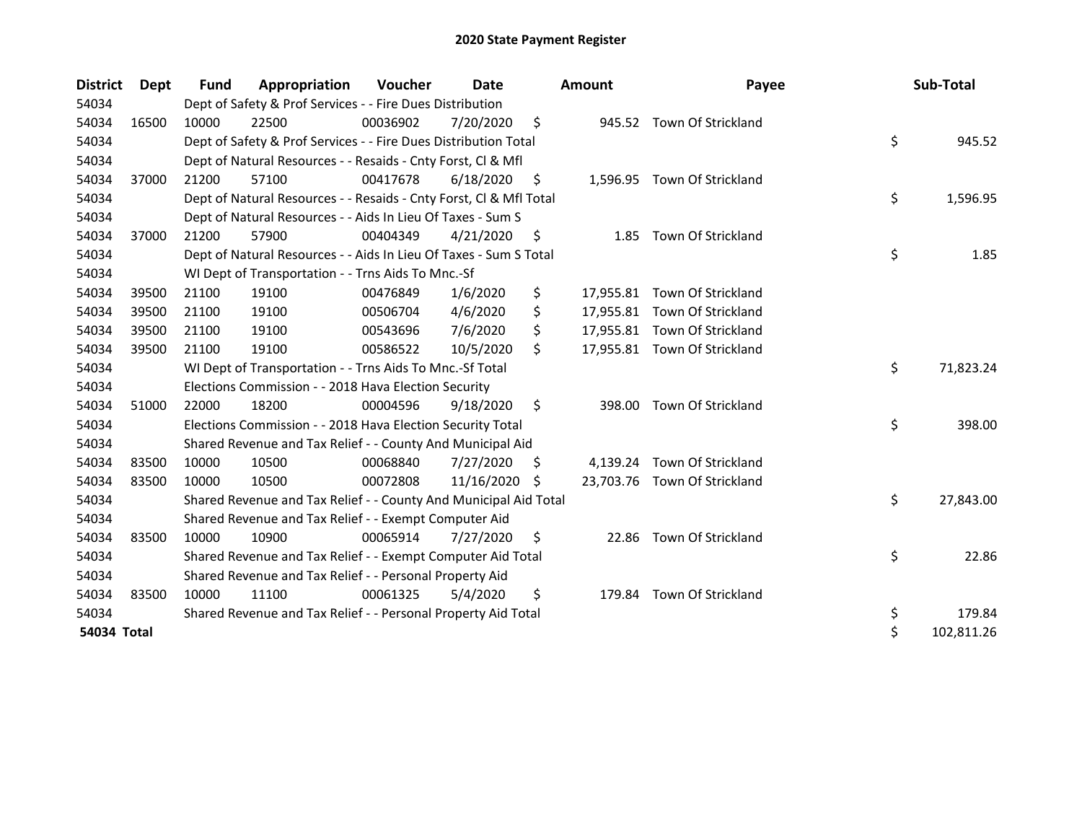| <b>District</b> | <b>Dept</b> | Fund  | Appropriation                                                      | <b>Voucher</b> | Date       |    | <b>Amount</b> | Payee                        | Sub-Total        |
|-----------------|-------------|-------|--------------------------------------------------------------------|----------------|------------|----|---------------|------------------------------|------------------|
| 54034           |             |       | Dept of Safety & Prof Services - - Fire Dues Distribution          |                |            |    |               |                              |                  |
| 54034           | 16500       | 10000 | 22500                                                              | 00036902       | 7/20/2020  | \$ |               | 945.52 Town Of Strickland    |                  |
| 54034           |             |       | Dept of Safety & Prof Services - - Fire Dues Distribution Total    |                |            |    |               |                              | \$<br>945.52     |
| 54034           |             |       | Dept of Natural Resources - - Resaids - Cnty Forst, Cl & Mfl       |                |            |    |               |                              |                  |
| 54034           | 37000       | 21200 | 57100                                                              | 00417678       | 6/18/2020  | \$ |               | 1,596.95 Town Of Strickland  |                  |
| 54034           |             |       | Dept of Natural Resources - - Resaids - Cnty Forst, Cl & Mfl Total |                |            |    |               |                              | \$<br>1,596.95   |
| 54034           |             |       | Dept of Natural Resources - - Aids In Lieu Of Taxes - Sum S        |                |            |    |               |                              |                  |
| 54034           | 37000       | 21200 | 57900                                                              | 00404349       | 4/21/2020  | \$ | 1.85          | Town Of Strickland           |                  |
| 54034           |             |       | Dept of Natural Resources - - Aids In Lieu Of Taxes - Sum S Total  |                |            |    |               |                              | \$<br>1.85       |
| 54034           |             |       | WI Dept of Transportation - - Trns Aids To Mnc.-Sf                 |                |            |    |               |                              |                  |
| 54034           | 39500       | 21100 | 19100                                                              | 00476849       | 1/6/2020   | \$ |               | 17,955.81 Town Of Strickland |                  |
| 54034           | 39500       | 21100 | 19100                                                              | 00506704       | 4/6/2020   | \$ |               | 17,955.81 Town Of Strickland |                  |
| 54034           | 39500       | 21100 | 19100                                                              | 00543696       | 7/6/2020   | \$ |               | 17,955.81 Town Of Strickland |                  |
| 54034           | 39500       | 21100 | 19100                                                              | 00586522       | 10/5/2020  | \$ |               | 17,955.81 Town Of Strickland |                  |
| 54034           |             |       | WI Dept of Transportation - - Trns Aids To Mnc.-Sf Total           |                |            |    |               |                              | \$<br>71,823.24  |
| 54034           |             |       | Elections Commission - - 2018 Hava Election Security               |                |            |    |               |                              |                  |
| 54034           | 51000       | 22000 | 18200                                                              | 00004596       | 9/18/2020  | \$ | 398.00        | Town Of Strickland           |                  |
| 54034           |             |       | Elections Commission - - 2018 Hava Election Security Total         |                |            |    |               |                              | \$<br>398.00     |
| 54034           |             |       | Shared Revenue and Tax Relief - - County And Municipal Aid         |                |            |    |               |                              |                  |
| 54034           | 83500       | 10000 | 10500                                                              | 00068840       | 7/27/2020  | S  |               | 4,139.24 Town Of Strickland  |                  |
| 54034           | 83500       | 10000 | 10500                                                              | 00072808       | 11/16/2020 | .S |               | 23,703.76 Town Of Strickland |                  |
| 54034           |             |       | Shared Revenue and Tax Relief - - County And Municipal Aid Total   |                |            |    |               |                              | \$<br>27,843.00  |
| 54034           |             |       | Shared Revenue and Tax Relief - - Exempt Computer Aid              |                |            |    |               |                              |                  |
| 54034           | 83500       | 10000 | 10900                                                              | 00065914       | 7/27/2020  | \$ | 22.86         | Town Of Strickland           |                  |
| 54034           |             |       | Shared Revenue and Tax Relief - - Exempt Computer Aid Total        |                |            |    |               |                              | \$<br>22.86      |
| 54034           |             |       | Shared Revenue and Tax Relief - - Personal Property Aid            |                |            |    |               |                              |                  |
| 54034           | 83500       | 10000 | 11100                                                              | 00061325       | 5/4/2020   | \$ | 179.84        | Town Of Strickland           |                  |
| 54034           |             |       | Shared Revenue and Tax Relief - - Personal Property Aid Total      |                |            |    |               |                              | \$<br>179.84     |
| 54034 Total     |             |       |                                                                    |                |            |    |               |                              | \$<br>102,811.26 |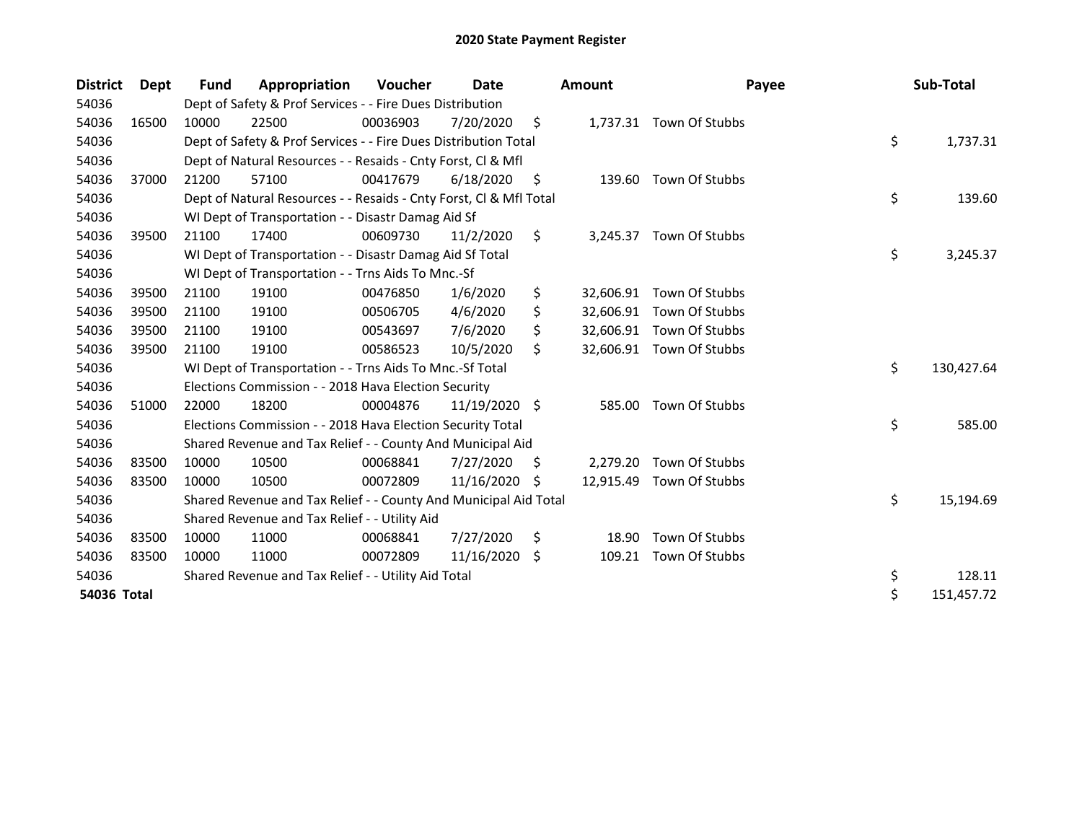| <b>District</b> | Dept  | <b>Fund</b> | Appropriation                                                      | <b>Voucher</b> | Date          |    | <b>Amount</b> | Payee                    | Sub-Total        |
|-----------------|-------|-------------|--------------------------------------------------------------------|----------------|---------------|----|---------------|--------------------------|------------------|
| 54036           |       |             | Dept of Safety & Prof Services - - Fire Dues Distribution          |                |               |    |               |                          |                  |
| 54036           | 16500 | 10000       | 22500                                                              | 00036903       | 7/20/2020     | \$ |               | 1,737.31 Town Of Stubbs  |                  |
| 54036           |       |             | Dept of Safety & Prof Services - - Fire Dues Distribution Total    |                |               |    |               |                          | \$<br>1,737.31   |
| 54036           |       |             | Dept of Natural Resources - - Resaids - Cnty Forst, Cl & Mfl       |                |               |    |               |                          |                  |
| 54036           | 37000 | 21200       | 57100                                                              | 00417679       | 6/18/2020     | \$ | 139.60        | Town Of Stubbs           |                  |
| 54036           |       |             | Dept of Natural Resources - - Resaids - Cnty Forst, CI & Mfl Total |                |               |    |               |                          | \$<br>139.60     |
| 54036           |       |             | WI Dept of Transportation - - Disastr Damag Aid Sf                 |                |               |    |               |                          |                  |
| 54036           | 39500 | 21100       | 17400                                                              | 00609730       | 11/2/2020     | \$ | 3,245.37      | Town Of Stubbs           |                  |
| 54036           |       |             | WI Dept of Transportation - - Disastr Damag Aid Sf Total           |                |               |    |               |                          | \$<br>3,245.37   |
| 54036           |       |             | WI Dept of Transportation - - Trns Aids To Mnc.-Sf                 |                |               |    |               |                          |                  |
| 54036           | 39500 | 21100       | 19100                                                              | 00476850       | 1/6/2020      | \$ | 32,606.91     | Town Of Stubbs           |                  |
| 54036           | 39500 | 21100       | 19100                                                              | 00506705       | 4/6/2020      | \$ |               | 32,606.91 Town Of Stubbs |                  |
| 54036           | 39500 | 21100       | 19100                                                              | 00543697       | 7/6/2020      | \$ |               | 32,606.91 Town Of Stubbs |                  |
| 54036           | 39500 | 21100       | 19100                                                              | 00586523       | 10/5/2020     | \$ |               | 32,606.91 Town Of Stubbs |                  |
| 54036           |       |             | WI Dept of Transportation - - Trns Aids To Mnc.-Sf Total           |                |               |    |               |                          | \$<br>130,427.64 |
| 54036           |       |             | Elections Commission - - 2018 Hava Election Security               |                |               |    |               |                          |                  |
| 54036           | 51000 | 22000       | 18200                                                              | 00004876       | 11/19/2020 \$ |    | 585.00        | Town Of Stubbs           |                  |
| 54036           |       |             | Elections Commission - - 2018 Hava Election Security Total         |                |               |    |               |                          | \$<br>585.00     |
| 54036           |       |             | Shared Revenue and Tax Relief - - County And Municipal Aid         |                |               |    |               |                          |                  |
| 54036           | 83500 | 10000       | 10500                                                              | 00068841       | 7/27/2020     | \$ | 2,279.20      | Town Of Stubbs           |                  |
| 54036           | 83500 | 10000       | 10500                                                              | 00072809       | 11/16/2020    | S  | 12,915.49     | Town Of Stubbs           |                  |
| 54036           |       |             | Shared Revenue and Tax Relief - - County And Municipal Aid Total   |                |               |    |               |                          | \$<br>15,194.69  |
| 54036           |       |             | Shared Revenue and Tax Relief - - Utility Aid                      |                |               |    |               |                          |                  |
| 54036           | 83500 | 10000       | 11000                                                              | 00068841       | 7/27/2020     | \$ | 18.90         | Town Of Stubbs           |                  |
| 54036           | 83500 | 10000       | 11000                                                              | 00072809       | 11/16/2020    | \$ | 109.21        | Town Of Stubbs           |                  |
| 54036           |       |             | Shared Revenue and Tax Relief - - Utility Aid Total                |                |               |    |               |                          | \$<br>128.11     |
| 54036 Total     |       |             |                                                                    |                |               |    |               |                          | \$<br>151,457.72 |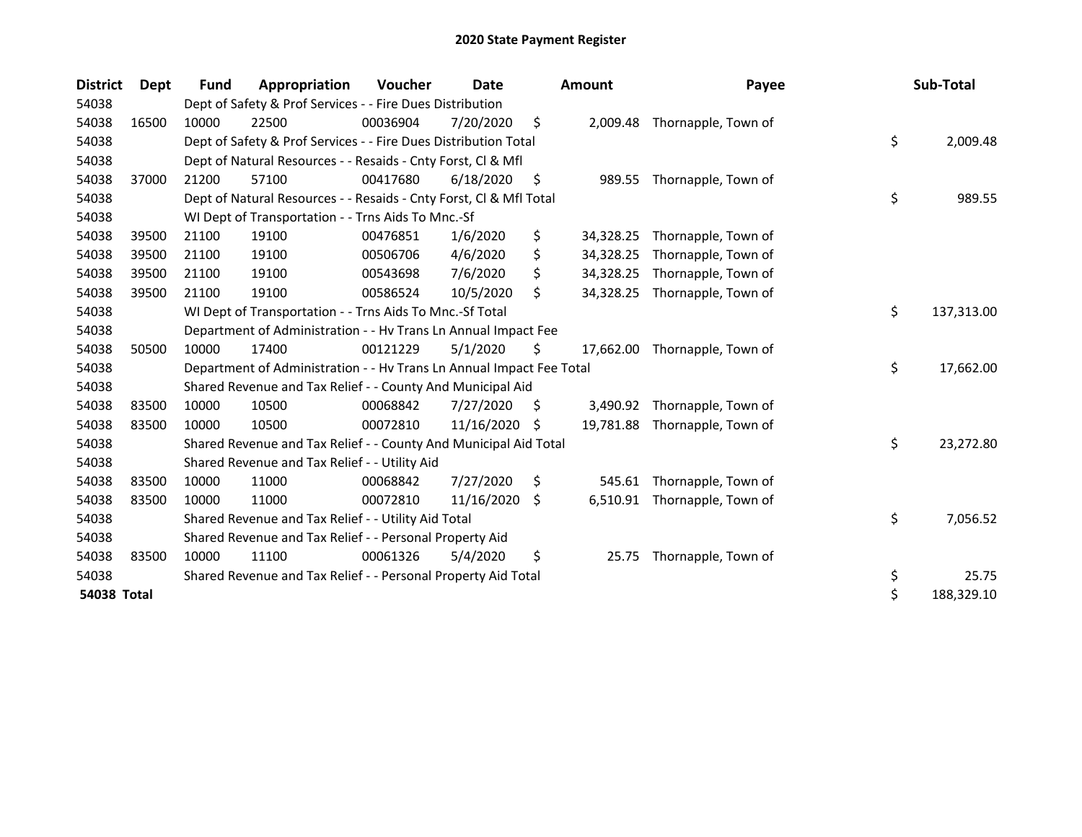| <b>District</b>    | <b>Dept</b> | Fund  | Appropriation                                                        | Voucher  | Date       |    | <b>Amount</b> | Payee               | Sub-Total        |
|--------------------|-------------|-------|----------------------------------------------------------------------|----------|------------|----|---------------|---------------------|------------------|
| 54038              |             |       | Dept of Safety & Prof Services - - Fire Dues Distribution            |          |            |    |               |                     |                  |
| 54038              | 16500       | 10000 | 22500                                                                | 00036904 | 7/20/2020  | \$ | 2,009.48      | Thornapple, Town of |                  |
| 54038              |             |       | Dept of Safety & Prof Services - - Fire Dues Distribution Total      |          |            |    |               |                     | \$<br>2,009.48   |
| 54038              |             |       | Dept of Natural Resources - - Resaids - Cnty Forst, Cl & Mfl         |          |            |    |               |                     |                  |
| 54038              | 37000       | 21200 | 57100                                                                | 00417680 | 6/18/2020  | \$ | 989.55        | Thornapple, Town of |                  |
| 54038              |             |       | Dept of Natural Resources - - Resaids - Cnty Forst, Cl & Mfl Total   |          |            |    |               |                     | \$<br>989.55     |
| 54038              |             |       | WI Dept of Transportation - - Trns Aids To Mnc.-Sf                   |          |            |    |               |                     |                  |
| 54038              | 39500       | 21100 | 19100                                                                | 00476851 | 1/6/2020   | \$ | 34,328.25     | Thornapple, Town of |                  |
| 54038              | 39500       | 21100 | 19100                                                                | 00506706 | 4/6/2020   | \$ | 34,328.25     | Thornapple, Town of |                  |
| 54038              | 39500       | 21100 | 19100                                                                | 00543698 | 7/6/2020   | \$ | 34,328.25     | Thornapple, Town of |                  |
| 54038              | 39500       | 21100 | 19100                                                                | 00586524 | 10/5/2020  | \$ | 34,328.25     | Thornapple, Town of |                  |
| 54038              |             |       | WI Dept of Transportation - - Trns Aids To Mnc.-Sf Total             |          |            |    |               |                     | \$<br>137,313.00 |
| 54038              |             |       | Department of Administration - - Hv Trans Ln Annual Impact Fee       |          |            |    |               |                     |                  |
| 54038              | 50500       | 10000 | 17400                                                                | 00121229 | 5/1/2020   | \$ | 17,662.00     | Thornapple, Town of |                  |
| 54038              |             |       | Department of Administration - - Hv Trans Ln Annual Impact Fee Total |          |            |    |               |                     | \$<br>17,662.00  |
| 54038              |             |       | Shared Revenue and Tax Relief - - County And Municipal Aid           |          |            |    |               |                     |                  |
| 54038              | 83500       | 10000 | 10500                                                                | 00068842 | 7/27/2020  | S. | 3,490.92      | Thornapple, Town of |                  |
| 54038              | 83500       | 10000 | 10500                                                                | 00072810 | 11/16/2020 | S  | 19,781.88     | Thornapple, Town of |                  |
| 54038              |             |       | Shared Revenue and Tax Relief - - County And Municipal Aid Total     |          |            |    |               |                     | \$<br>23,272.80  |
| 54038              |             |       | Shared Revenue and Tax Relief - - Utility Aid                        |          |            |    |               |                     |                  |
| 54038              | 83500       | 10000 | 11000                                                                | 00068842 | 7/27/2020  | \$ | 545.61        | Thornapple, Town of |                  |
| 54038              | 83500       | 10000 | 11000                                                                | 00072810 | 11/16/2020 | \$ | 6,510.91      | Thornapple, Town of |                  |
| 54038              |             |       | Shared Revenue and Tax Relief - - Utility Aid Total                  |          |            |    |               |                     | \$<br>7,056.52   |
| 54038              |             |       | Shared Revenue and Tax Relief - - Personal Property Aid              |          |            |    |               |                     |                  |
| 54038              | 83500       | 10000 | 11100                                                                | 00061326 | 5/4/2020   | \$ | 25.75         | Thornapple, Town of |                  |
| 54038              |             |       | Shared Revenue and Tax Relief - - Personal Property Aid Total        |          |            |    |               |                     | \$<br>25.75      |
| <b>54038 Total</b> |             |       |                                                                      |          |            |    |               |                     | \$<br>188,329.10 |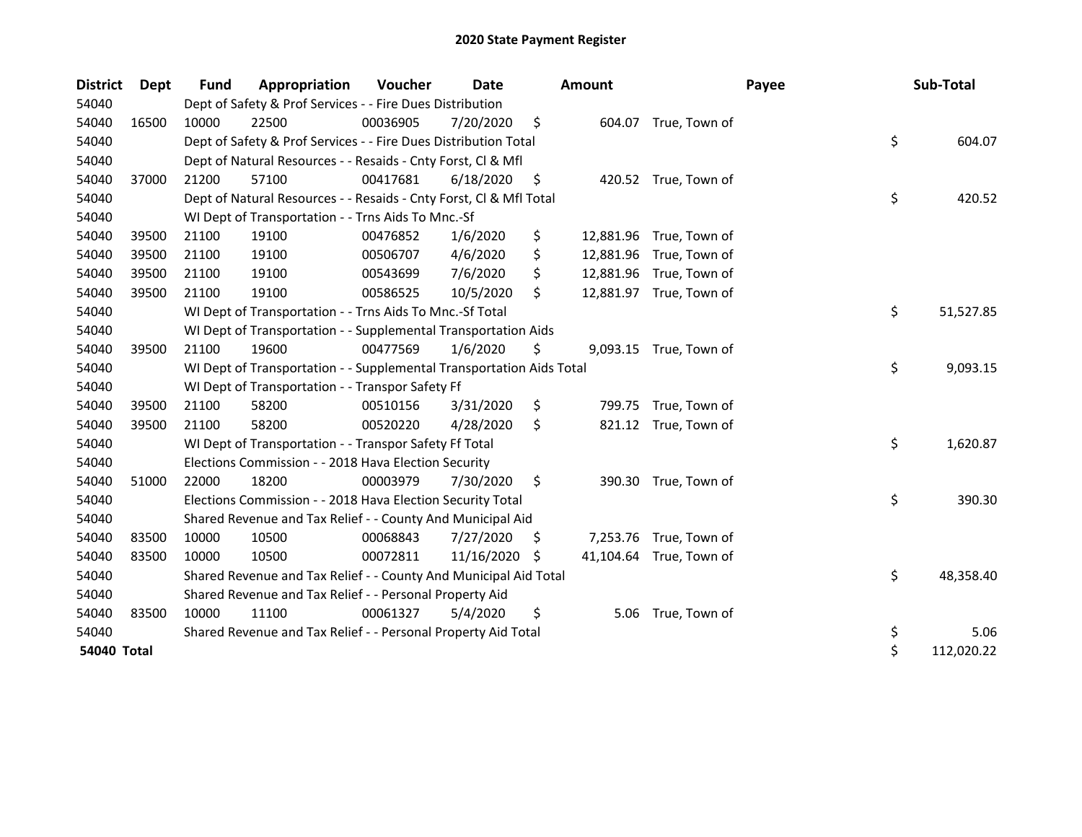| <b>District</b>    | <b>Dept</b> | <b>Fund</b> | Appropriation                                                        | Voucher  | Date       |    | Amount |                         | Payee | Sub-Total        |
|--------------------|-------------|-------------|----------------------------------------------------------------------|----------|------------|----|--------|-------------------------|-------|------------------|
| 54040              |             |             | Dept of Safety & Prof Services - - Fire Dues Distribution            |          |            |    |        |                         |       |                  |
| 54040              | 16500       | 10000       | 22500                                                                | 00036905 | 7/20/2020  | \$ |        | 604.07 True, Town of    |       |                  |
| 54040              |             |             | Dept of Safety & Prof Services - - Fire Dues Distribution Total      |          |            |    |        |                         |       | \$<br>604.07     |
| 54040              |             |             | Dept of Natural Resources - - Resaids - Cnty Forst, CI & Mfl         |          |            |    |        |                         |       |                  |
| 54040              | 37000       | 21200       | 57100                                                                | 00417681 | 6/18/2020  | \$ |        | 420.52 True, Town of    |       |                  |
| 54040              |             |             | Dept of Natural Resources - - Resaids - Cnty Forst, Cl & Mfl Total   |          |            |    |        |                         |       | \$<br>420.52     |
| 54040              |             |             | WI Dept of Transportation - - Trns Aids To Mnc.-Sf                   |          |            |    |        |                         |       |                  |
| 54040              | 39500       | 21100       | 19100                                                                | 00476852 | 1/6/2020   | \$ |        | 12,881.96 True, Town of |       |                  |
| 54040              | 39500       | 21100       | 19100                                                                | 00506707 | 4/6/2020   | \$ |        | 12,881.96 True, Town of |       |                  |
| 54040              | 39500       | 21100       | 19100                                                                | 00543699 | 7/6/2020   | \$ |        | 12,881.96 True, Town of |       |                  |
| 54040              | 39500       | 21100       | 19100                                                                | 00586525 | 10/5/2020  | \$ |        | 12,881.97 True, Town of |       |                  |
| 54040              |             |             | WI Dept of Transportation - - Trns Aids To Mnc.-Sf Total             |          |            |    |        |                         |       | \$<br>51,527.85  |
| 54040              |             |             | WI Dept of Transportation - - Supplemental Transportation Aids       |          |            |    |        |                         |       |                  |
| 54040              | 39500       | 21100       | 19600                                                                | 00477569 | 1/6/2020   | \$ |        | 9,093.15 True, Town of  |       |                  |
| 54040              |             |             | WI Dept of Transportation - - Supplemental Transportation Aids Total |          |            |    |        |                         |       | \$<br>9,093.15   |
| 54040              |             |             | WI Dept of Transportation - - Transpor Safety Ff                     |          |            |    |        |                         |       |                  |
| 54040              | 39500       | 21100       | 58200                                                                | 00510156 | 3/31/2020  | \$ |        | 799.75 True, Town of    |       |                  |
| 54040              | 39500       | 21100       | 58200                                                                | 00520220 | 4/28/2020  | \$ |        | 821.12 True, Town of    |       |                  |
| 54040              |             |             | WI Dept of Transportation - - Transpor Safety Ff Total               |          |            |    |        |                         |       | \$<br>1,620.87   |
| 54040              |             |             | Elections Commission - - 2018 Hava Election Security                 |          |            |    |        |                         |       |                  |
| 54040              | 51000       | 22000       | 18200                                                                | 00003979 | 7/30/2020  | \$ | 390.30 | True, Town of           |       |                  |
| 54040              |             |             | Elections Commission - - 2018 Hava Election Security Total           |          |            |    |        |                         |       | \$<br>390.30     |
| 54040              |             |             | Shared Revenue and Tax Relief - - County And Municipal Aid           |          |            |    |        |                         |       |                  |
| 54040              | 83500       | 10000       | 10500                                                                | 00068843 | 7/27/2020  | S  |        | 7,253.76 True, Town of  |       |                  |
| 54040              | 83500       | 10000       | 10500                                                                | 00072811 | 11/16/2020 | S  |        | 41,104.64 True, Town of |       |                  |
| 54040              |             |             | Shared Revenue and Tax Relief - - County And Municipal Aid Total     |          |            |    |        |                         |       | \$<br>48,358.40  |
| 54040              |             |             | Shared Revenue and Tax Relief - - Personal Property Aid              |          |            |    |        |                         |       |                  |
| 54040              | 83500       | 10000       | 11100                                                                | 00061327 | 5/4/2020   | \$ | 5.06   | True, Town of           |       |                  |
| 54040              |             |             | Shared Revenue and Tax Relief - - Personal Property Aid Total        |          |            |    |        |                         |       | \$<br>5.06       |
| <b>54040 Total</b> |             |             |                                                                      |          |            |    |        |                         |       | \$<br>112,020.22 |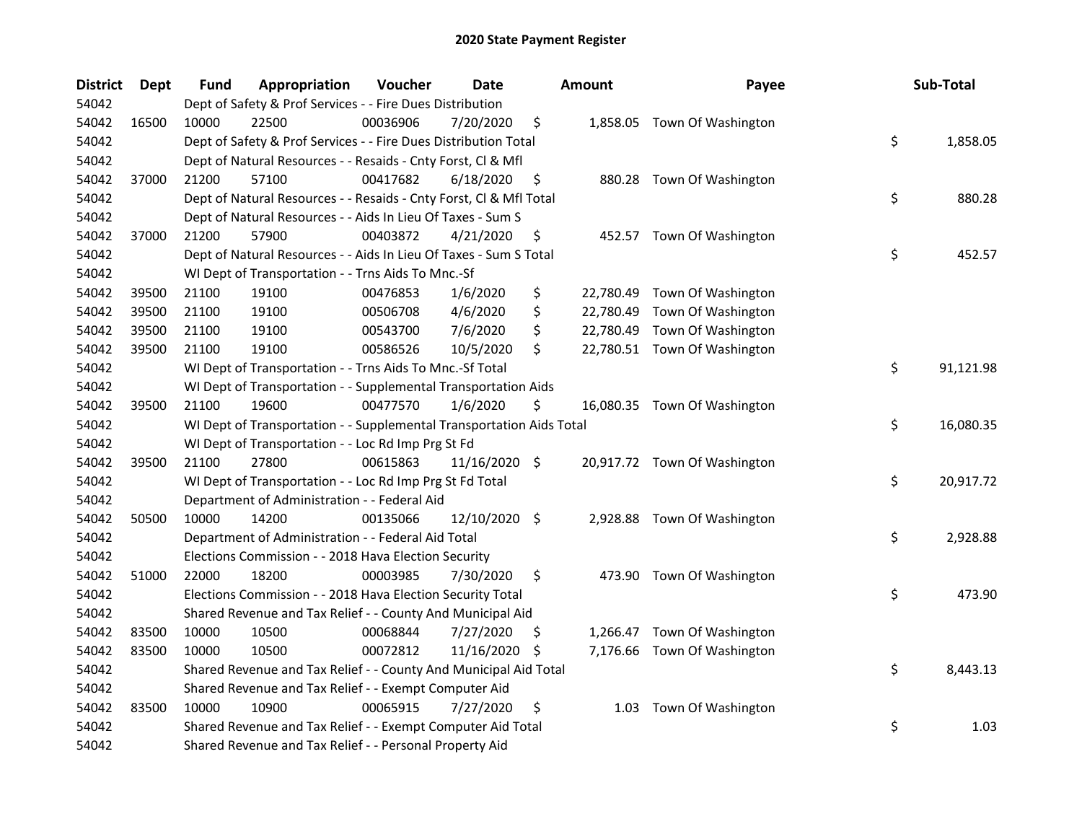| <b>District</b> | Dept  | Fund  | Appropriation                                                        | Voucher  | <b>Date</b>   |     | <b>Amount</b> | Payee                        | Sub-Total       |
|-----------------|-------|-------|----------------------------------------------------------------------|----------|---------------|-----|---------------|------------------------------|-----------------|
| 54042           |       |       | Dept of Safety & Prof Services - - Fire Dues Distribution            |          |               |     |               |                              |                 |
| 54042           | 16500 | 10000 | 22500                                                                | 00036906 | 7/20/2020     | \$  |               | 1,858.05 Town Of Washington  |                 |
| 54042           |       |       | Dept of Safety & Prof Services - - Fire Dues Distribution Total      |          |               |     |               |                              | \$<br>1,858.05  |
| 54042           |       |       | Dept of Natural Resources - - Resaids - Cnty Forst, Cl & Mfl         |          |               |     |               |                              |                 |
| 54042           | 37000 | 21200 | 57100                                                                | 00417682 | 6/18/2020     | \$  |               | 880.28 Town Of Washington    |                 |
| 54042           |       |       | Dept of Natural Resources - - Resaids - Cnty Forst, Cl & Mfl Total   |          |               |     |               |                              | \$<br>880.28    |
| 54042           |       |       | Dept of Natural Resources - - Aids In Lieu Of Taxes - Sum S          |          |               |     |               |                              |                 |
| 54042           | 37000 | 21200 | 57900                                                                | 00403872 | 4/21/2020     | \$  |               | 452.57 Town Of Washington    |                 |
| 54042           |       |       | Dept of Natural Resources - - Aids In Lieu Of Taxes - Sum S Total    |          |               |     |               |                              | \$<br>452.57    |
| 54042           |       |       | WI Dept of Transportation - - Trns Aids To Mnc.-Sf                   |          |               |     |               |                              |                 |
| 54042           | 39500 | 21100 | 19100                                                                | 00476853 | 1/6/2020      | \$  |               | 22,780.49 Town Of Washington |                 |
| 54042           | 39500 | 21100 | 19100                                                                | 00506708 | 4/6/2020      | \$  | 22,780.49     | Town Of Washington           |                 |
| 54042           | 39500 | 21100 | 19100                                                                | 00543700 | 7/6/2020      | \$  | 22,780.49     | Town Of Washington           |                 |
| 54042           | 39500 | 21100 | 19100                                                                | 00586526 | 10/5/2020     | \$  |               | 22,780.51 Town Of Washington |                 |
| 54042           |       |       | WI Dept of Transportation - - Trns Aids To Mnc.-Sf Total             |          |               |     |               |                              | \$<br>91,121.98 |
| 54042           |       |       | WI Dept of Transportation - - Supplemental Transportation Aids       |          |               |     |               |                              |                 |
| 54042           | 39500 | 21100 | 19600                                                                | 00477570 | 1/6/2020      | \$  |               | 16,080.35 Town Of Washington |                 |
| 54042           |       |       | WI Dept of Transportation - - Supplemental Transportation Aids Total |          |               |     |               |                              | \$<br>16,080.35 |
| 54042           |       |       | WI Dept of Transportation - - Loc Rd Imp Prg St Fd                   |          |               |     |               |                              |                 |
| 54042           | 39500 | 21100 | 27800                                                                | 00615863 | 11/16/2020 \$ |     |               | 20,917.72 Town Of Washington |                 |
| 54042           |       |       | WI Dept of Transportation - - Loc Rd Imp Prg St Fd Total             |          |               |     |               |                              | \$<br>20,917.72 |
| 54042           |       |       | Department of Administration - - Federal Aid                         |          |               |     |               |                              |                 |
| 54042           | 50500 | 10000 | 14200                                                                | 00135066 | 12/10/2020 \$ |     |               | 2,928.88 Town Of Washington  |                 |
| 54042           |       |       | Department of Administration - - Federal Aid Total                   |          |               |     |               |                              | \$<br>2,928.88  |
| 54042           |       |       | Elections Commission - - 2018 Hava Election Security                 |          |               |     |               |                              |                 |
| 54042           | 51000 | 22000 | 18200                                                                | 00003985 | 7/30/2020     | \$  |               | 473.90 Town Of Washington    |                 |
| 54042           |       |       | Elections Commission - - 2018 Hava Election Security Total           |          |               |     |               |                              | \$<br>473.90    |
| 54042           |       |       | Shared Revenue and Tax Relief - - County And Municipal Aid           |          |               |     |               |                              |                 |
| 54042           | 83500 | 10000 | 10500                                                                | 00068844 | 7/27/2020     | Ş   |               | 1,266.47 Town Of Washington  |                 |
| 54042           | 83500 | 10000 | 10500                                                                | 00072812 | 11/16/2020    | \$. | 7,176.66      | Town Of Washington           |                 |
| 54042           |       |       | Shared Revenue and Tax Relief - - County And Municipal Aid Total     |          |               |     |               |                              | \$<br>8,443.13  |
| 54042           |       |       | Shared Revenue and Tax Relief - - Exempt Computer Aid                |          |               |     |               |                              |                 |
| 54042           | 83500 | 10000 | 10900                                                                | 00065915 | 7/27/2020     | \$  | 1.03          | Town Of Washington           |                 |
| 54042           |       |       | Shared Revenue and Tax Relief - - Exempt Computer Aid Total          |          |               |     |               |                              | \$<br>1.03      |
| 54042           |       |       | Shared Revenue and Tax Relief - - Personal Property Aid              |          |               |     |               |                              |                 |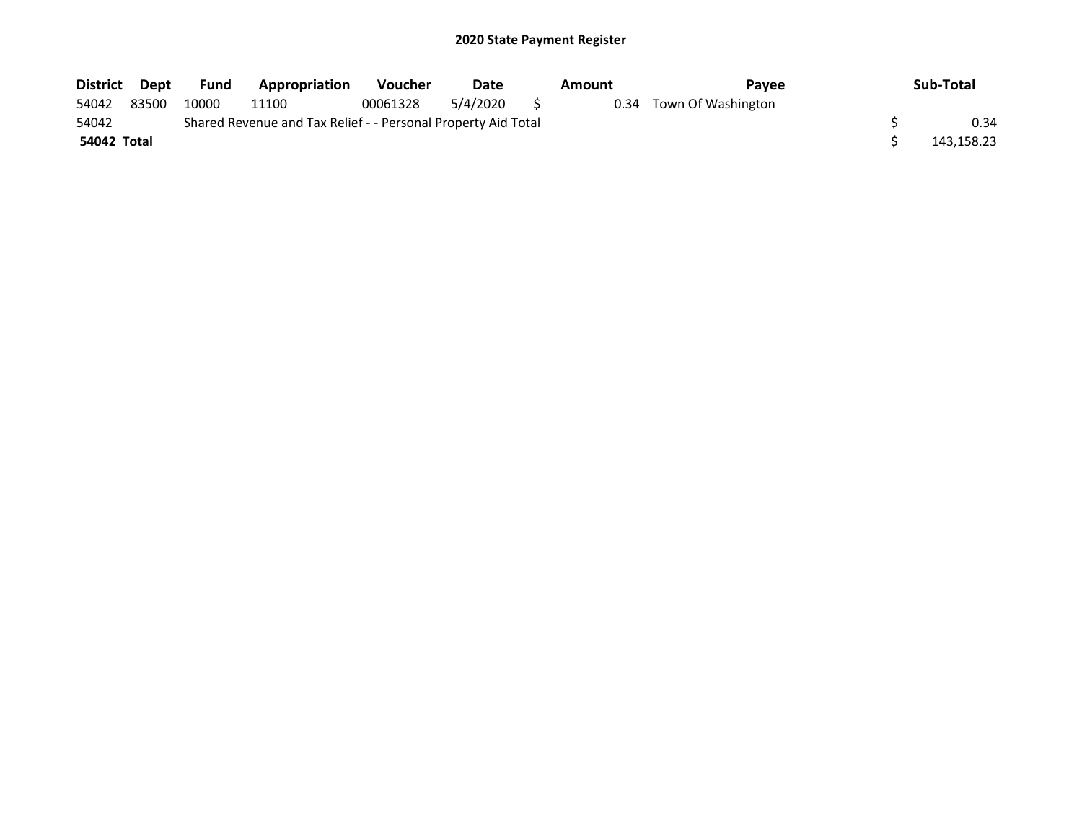| District Dept |       | <b>Fund</b> | Appropriation                                                 | <b>Voucher</b> | Date     | Amount | <b>Pavee</b>            | Sub-Total  |
|---------------|-------|-------------|---------------------------------------------------------------|----------------|----------|--------|-------------------------|------------|
| 54042         | 83500 | 10000       | 11100                                                         | 00061328       | 5/4/2020 |        | 0.34 Town Of Washington |            |
| 54042         |       |             | Shared Revenue and Tax Relief - - Personal Property Aid Total |                |          |        |                         | 0.34       |
| 54042 Total   |       |             |                                                               |                |          |        |                         | 143,158.23 |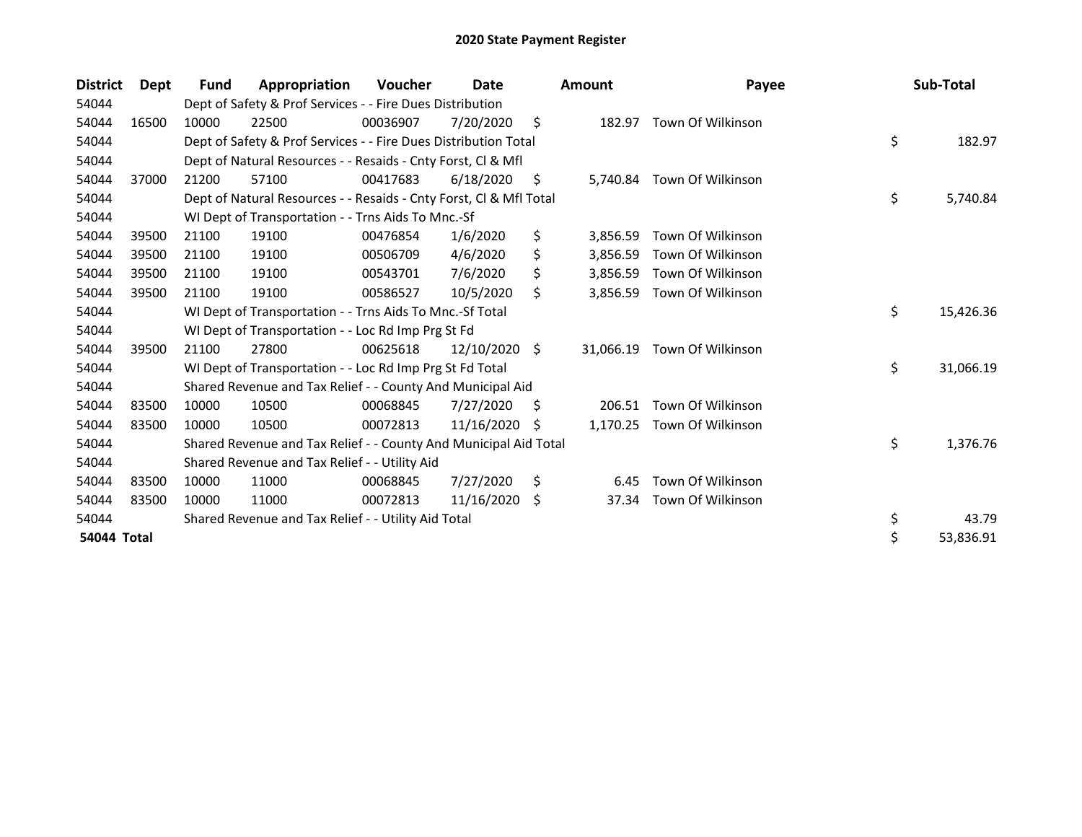| <b>District</b>    | Dept  | Fund  | Appropriation                                                      | <b>Voucher</b> | Date          |     | <b>Amount</b> | Payee                    | Sub-Total       |
|--------------------|-------|-------|--------------------------------------------------------------------|----------------|---------------|-----|---------------|--------------------------|-----------------|
| 54044              |       |       | Dept of Safety & Prof Services - - Fire Dues Distribution          |                |               |     |               |                          |                 |
| 54044              | 16500 | 10000 | 22500                                                              | 00036907       | 7/20/2020     | \$  |               | 182.97 Town Of Wilkinson |                 |
| 54044              |       |       | Dept of Safety & Prof Services - - Fire Dues Distribution Total    |                |               |     |               |                          | \$<br>182.97    |
| 54044              |       |       | Dept of Natural Resources - - Resaids - Cnty Forst, Cl & Mfl       |                |               |     |               |                          |                 |
| 54044              | 37000 | 21200 | 57100                                                              | 00417683       | 6/18/2020     | \$. | 5,740.84      | Town Of Wilkinson        |                 |
| 54044              |       |       | Dept of Natural Resources - - Resaids - Cnty Forst, Cl & Mfl Total |                |               |     |               |                          | \$<br>5,740.84  |
| 54044              |       |       | WI Dept of Transportation - - Trns Aids To Mnc.-Sf                 |                |               |     |               |                          |                 |
| 54044              | 39500 | 21100 | 19100                                                              | 00476854       | 1/6/2020      | \$  | 3,856.59      | Town Of Wilkinson        |                 |
| 54044              | 39500 | 21100 | 19100                                                              | 00506709       | 4/6/2020      | \$  | 3.856.59      | Town Of Wilkinson        |                 |
| 54044              | 39500 | 21100 | 19100                                                              | 00543701       | 7/6/2020      |     | 3,856.59      | Town Of Wilkinson        |                 |
| 54044              | 39500 | 21100 | 19100                                                              | 00586527       | 10/5/2020     | \$  | 3,856.59      | Town Of Wilkinson        |                 |
| 54044              |       |       | WI Dept of Transportation - - Trns Aids To Mnc.-Sf Total           |                |               |     |               |                          | \$<br>15,426.36 |
| 54044              |       |       | WI Dept of Transportation - - Loc Rd Imp Prg St Fd                 |                |               |     |               |                          |                 |
| 54044              | 39500 | 21100 | 27800                                                              | 00625618       | 12/10/2020 \$ |     | 31,066.19     | Town Of Wilkinson        |                 |
| 54044              |       |       | WI Dept of Transportation - - Loc Rd Imp Prg St Fd Total           |                |               |     |               |                          | \$<br>31,066.19 |
| 54044              |       |       | Shared Revenue and Tax Relief - - County And Municipal Aid         |                |               |     |               |                          |                 |
| 54044              | 83500 | 10000 | 10500                                                              | 00068845       | 7/27/2020     | \$  | 206.51        | Town Of Wilkinson        |                 |
| 54044              | 83500 | 10000 | 10500                                                              | 00072813       | 11/16/2020    | .S  | 1,170.25      | Town Of Wilkinson        |                 |
| 54044              |       |       | Shared Revenue and Tax Relief - - County And Municipal Aid Total   |                |               |     |               |                          | \$<br>1,376.76  |
| 54044              |       |       | Shared Revenue and Tax Relief - - Utility Aid                      |                |               |     |               |                          |                 |
| 54044              | 83500 | 10000 | 11000                                                              | 00068845       | 7/27/2020     | \$  | 6.45          | Town Of Wilkinson        |                 |
| 54044              | 83500 | 10000 | 11000                                                              | 00072813       | 11/16/2020    | S.  | 37.34         | Town Of Wilkinson        |                 |
| 54044              |       |       | Shared Revenue and Tax Relief - - Utility Aid Total                |                |               |     |               |                          | \$<br>43.79     |
| <b>54044 Total</b> |       |       |                                                                    |                |               |     |               |                          | 53,836.91       |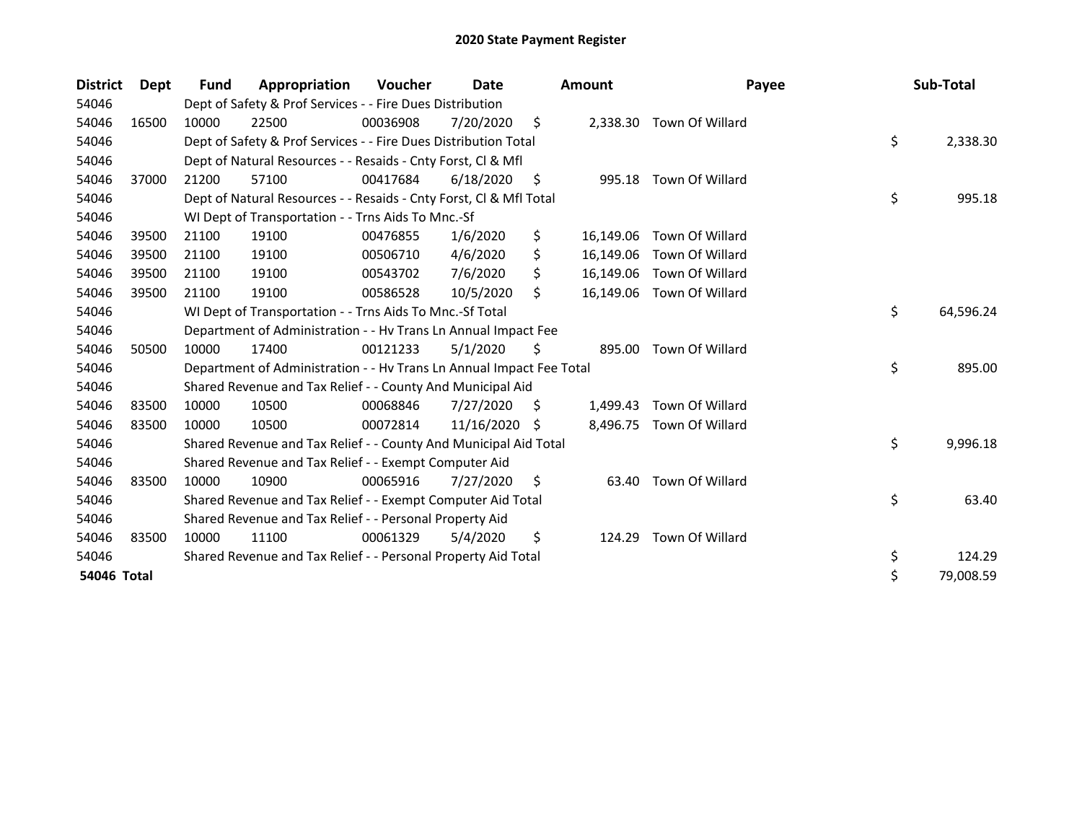| <b>District</b> | <b>Dept</b> | <b>Fund</b> | Appropriation                                                        | Voucher  | Date       |     | <b>Amount</b> | Payee                    | Sub-Total       |
|-----------------|-------------|-------------|----------------------------------------------------------------------|----------|------------|-----|---------------|--------------------------|-----------------|
| 54046           |             |             | Dept of Safety & Prof Services - - Fire Dues Distribution            |          |            |     |               |                          |                 |
| 54046           | 16500       | 10000       | 22500                                                                | 00036908 | 7/20/2020  | \$  |               | 2,338.30 Town Of Willard |                 |
| 54046           |             |             | Dept of Safety & Prof Services - - Fire Dues Distribution Total      |          |            |     |               |                          | \$<br>2,338.30  |
| 54046           |             |             | Dept of Natural Resources - - Resaids - Cnty Forst, Cl & Mfl         |          |            |     |               |                          |                 |
| 54046           | 37000       | 21200       | 57100                                                                | 00417684 | 6/18/2020  | S   |               | 995.18 Town Of Willard   |                 |
| 54046           |             |             | Dept of Natural Resources - - Resaids - Cnty Forst, CI & Mfl Total   |          |            |     |               |                          | \$<br>995.18    |
| 54046           |             |             | WI Dept of Transportation - - Trns Aids To Mnc.-Sf                   |          |            |     |               |                          |                 |
| 54046           | 39500       | 21100       | 19100                                                                | 00476855 | 1/6/2020   | \$  | 16,149.06     | Town Of Willard          |                 |
| 54046           | 39500       | 21100       | 19100                                                                | 00506710 | 4/6/2020   | \$  | 16,149.06     | Town Of Willard          |                 |
| 54046           | 39500       | 21100       | 19100                                                                | 00543702 | 7/6/2020   | \$  | 16,149.06     | Town Of Willard          |                 |
| 54046           | 39500       | 21100       | 19100                                                                | 00586528 | 10/5/2020  | \$  | 16,149.06     | Town Of Willard          |                 |
| 54046           |             |             | WI Dept of Transportation - - Trns Aids To Mnc.-Sf Total             |          |            |     |               |                          | \$<br>64,596.24 |
| 54046           |             |             | Department of Administration - - Hv Trans Ln Annual Impact Fee       |          |            |     |               |                          |                 |
| 54046           | 50500       | 10000       | 17400                                                                | 00121233 | 5/1/2020   | \$  | 895.00        | Town Of Willard          |                 |
| 54046           |             |             | Department of Administration - - Hv Trans Ln Annual Impact Fee Total |          |            |     |               |                          | \$<br>895.00    |
| 54046           |             |             | Shared Revenue and Tax Relief - - County And Municipal Aid           |          |            |     |               |                          |                 |
| 54046           | 83500       | 10000       | 10500                                                                | 00068846 | 7/27/2020  | \$  | 1,499.43      | Town Of Willard          |                 |
| 54046           | 83500       | 10000       | 10500                                                                | 00072814 | 11/16/2020 | S.  | 8,496.75      | Town Of Willard          |                 |
| 54046           |             |             | Shared Revenue and Tax Relief - - County And Municipal Aid Total     |          |            |     |               |                          | \$<br>9,996.18  |
| 54046           |             |             | Shared Revenue and Tax Relief - - Exempt Computer Aid                |          |            |     |               |                          |                 |
| 54046           | 83500       | 10000       | 10900                                                                | 00065916 | 7/27/2020  | \$. | 63.40         | Town Of Willard          |                 |
| 54046           |             |             | Shared Revenue and Tax Relief - - Exempt Computer Aid Total          |          |            |     |               |                          | \$<br>63.40     |
| 54046           |             |             | Shared Revenue and Tax Relief - - Personal Property Aid              |          |            |     |               |                          |                 |
| 54046           | 83500       | 10000       | 11100                                                                | 00061329 | 5/4/2020   | \$  | 124.29        | Town Of Willard          |                 |
| 54046           |             |             | Shared Revenue and Tax Relief - - Personal Property Aid Total        |          |            |     |               |                          | \$<br>124.29    |
| 54046 Total     |             |             |                                                                      |          |            |     |               |                          | \$<br>79,008.59 |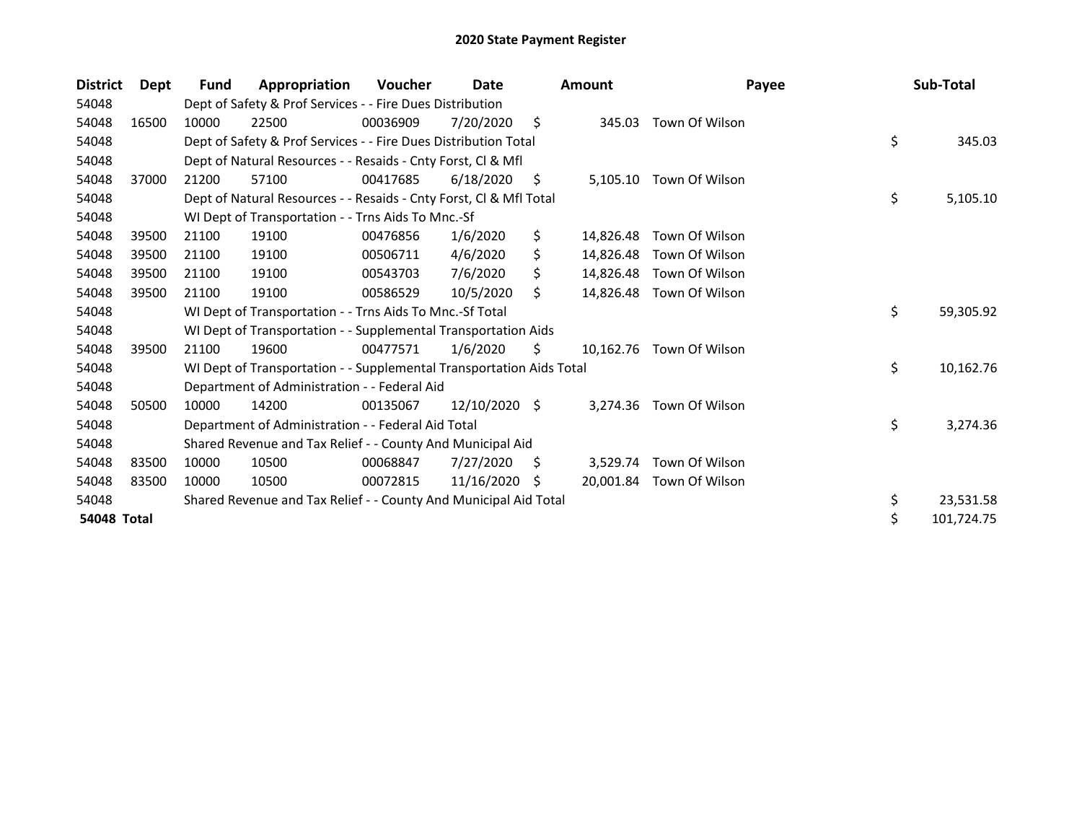| <b>District</b>    | Dept  | Fund  | Appropriation                                                        | <b>Voucher</b> | Date            |    | <b>Amount</b> | Payee                    | Sub-Total       |
|--------------------|-------|-------|----------------------------------------------------------------------|----------------|-----------------|----|---------------|--------------------------|-----------------|
| 54048              |       |       | Dept of Safety & Prof Services - - Fire Dues Distribution            |                |                 |    |               |                          |                 |
| 54048              | 16500 | 10000 | 22500                                                                | 00036909       | 7/20/2020       | \$ | 345.03        | Town Of Wilson           |                 |
| 54048              |       |       | Dept of Safety & Prof Services - - Fire Dues Distribution Total      |                |                 |    |               |                          | \$<br>345.03    |
| 54048              |       |       | Dept of Natural Resources - - Resaids - Cnty Forst, Cl & Mfl         |                |                 |    |               |                          |                 |
| 54048              | 37000 | 21200 | 57100                                                                | 00417685       | 6/18/2020       | S  |               | 5,105.10 Town Of Wilson  |                 |
| 54048              |       |       | Dept of Natural Resources - - Resaids - Cnty Forst, Cl & Mfl Total   |                |                 |    |               |                          | \$<br>5,105.10  |
| 54048              |       |       | WI Dept of Transportation - - Trns Aids To Mnc.-Sf                   |                |                 |    |               |                          |                 |
| 54048              | 39500 | 21100 | 19100                                                                | 00476856       | 1/6/2020        | \$ | 14,826.48     | Town Of Wilson           |                 |
| 54048              | 39500 | 21100 | 19100                                                                | 00506711       | 4/6/2020        | Ś  | 14,826.48     | Town Of Wilson           |                 |
| 54048              | 39500 | 21100 | 19100                                                                | 00543703       | 7/6/2020        | S  | 14,826.48     | Town Of Wilson           |                 |
| 54048              | 39500 | 21100 | 19100                                                                | 00586529       | 10/5/2020       | \$ | 14,826.48     | Town Of Wilson           |                 |
| 54048              |       |       | WI Dept of Transportation - - Trns Aids To Mnc.-Sf Total             |                |                 |    |               |                          | \$<br>59,305.92 |
| 54048              |       |       | WI Dept of Transportation - - Supplemental Transportation Aids       |                |                 |    |               |                          |                 |
| 54048              | 39500 | 21100 | 19600                                                                | 00477571       | 1/6/2020        | \$ | 10,162.76     | Town Of Wilson           |                 |
| 54048              |       |       | WI Dept of Transportation - - Supplemental Transportation Aids Total |                |                 |    |               |                          | \$<br>10,162.76 |
| 54048              |       |       | Department of Administration - - Federal Aid                         |                |                 |    |               |                          |                 |
| 54048              | 50500 | 10000 | 14200                                                                | 00135067       | $12/10/2020$ \$ |    | 3,274.36      | Town Of Wilson           |                 |
| 54048              |       |       | Department of Administration - - Federal Aid Total                   |                |                 |    |               |                          | \$<br>3,274.36  |
| 54048              |       |       | Shared Revenue and Tax Relief - - County And Municipal Aid           |                |                 |    |               |                          |                 |
| 54048              | 83500 | 10000 | 10500                                                                | 00068847       | 7/27/2020       | S  | 3,529.74      | Town Of Wilson           |                 |
| 54048              | 83500 | 10000 | 10500                                                                | 00072815       | 11/16/2020      | S  |               | 20,001.84 Town Of Wilson |                 |
| 54048              |       |       | Shared Revenue and Tax Relief - - County And Municipal Aid Total     |                |                 |    |               |                          | \$<br>23,531.58 |
| <b>54048 Total</b> |       |       |                                                                      |                |                 |    |               |                          | 101,724.75      |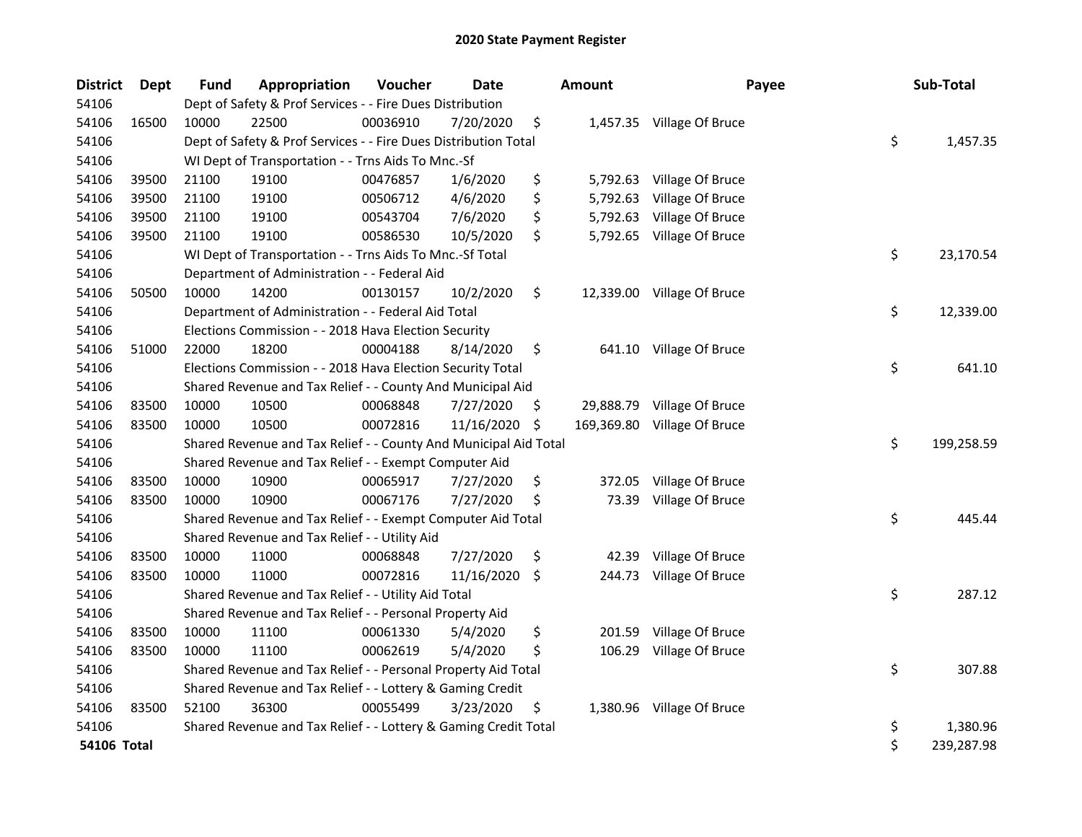| <b>District</b>    | <b>Dept</b> | Fund  | Appropriation                                                    | Voucher  | Date       | <b>Amount</b>    | Payee                      | Sub-Total        |
|--------------------|-------------|-------|------------------------------------------------------------------|----------|------------|------------------|----------------------------|------------------|
| 54106              |             |       | Dept of Safety & Prof Services - - Fire Dues Distribution        |          |            |                  |                            |                  |
| 54106              | 16500       | 10000 | 22500                                                            | 00036910 | 7/20/2020  | \$               | 1,457.35 Village Of Bruce  |                  |
| 54106              |             |       | Dept of Safety & Prof Services - - Fire Dues Distribution Total  |          |            |                  |                            | \$<br>1,457.35   |
| 54106              |             |       | WI Dept of Transportation - - Trns Aids To Mnc.-Sf               |          |            |                  |                            |                  |
| 54106              | 39500       | 21100 | 19100                                                            | 00476857 | 1/6/2020   | \$               | 5,792.63 Village Of Bruce  |                  |
| 54106              | 39500       | 21100 | 19100                                                            | 00506712 | 4/6/2020   | \$<br>5,792.63   | Village Of Bruce           |                  |
| 54106              | 39500       | 21100 | 19100                                                            | 00543704 | 7/6/2020   | \$               | 5,792.63 Village Of Bruce  |                  |
| 54106              | 39500       | 21100 | 19100                                                            | 00586530 | 10/5/2020  | \$               | 5,792.65 Village Of Bruce  |                  |
| 54106              |             |       | WI Dept of Transportation - - Trns Aids To Mnc.-Sf Total         |          |            |                  |                            | \$<br>23,170.54  |
| 54106              |             |       | Department of Administration - - Federal Aid                     |          |            |                  |                            |                  |
| 54106              | 50500       | 10000 | 14200                                                            | 00130157 | 10/2/2020  | \$               | 12,339.00 Village Of Bruce |                  |
| 54106              |             |       | Department of Administration - - Federal Aid Total               |          |            |                  |                            | \$<br>12,339.00  |
| 54106              |             |       | Elections Commission - - 2018 Hava Election Security             |          |            |                  |                            |                  |
| 54106              | 51000       | 22000 | 18200                                                            | 00004188 | 8/14/2020  | \$               | 641.10 Village Of Bruce    |                  |
| 54106              |             |       | Elections Commission - - 2018 Hava Election Security Total       |          |            |                  |                            | \$<br>641.10     |
| 54106              |             |       | Shared Revenue and Tax Relief - - County And Municipal Aid       |          |            |                  |                            |                  |
| 54106              | 83500       | 10000 | 10500                                                            | 00068848 | 7/27/2020  | \$<br>29,888.79  | Village Of Bruce           |                  |
| 54106              | 83500       | 10000 | 10500                                                            | 00072816 | 11/16/2020 | \$<br>169,369.80 | Village Of Bruce           |                  |
| 54106              |             |       | Shared Revenue and Tax Relief - - County And Municipal Aid Total |          |            |                  |                            | \$<br>199,258.59 |
| 54106              |             |       | Shared Revenue and Tax Relief - - Exempt Computer Aid            |          |            |                  |                            |                  |
| 54106              | 83500       | 10000 | 10900                                                            | 00065917 | 7/27/2020  | \$<br>372.05     | Village Of Bruce           |                  |
| 54106              | 83500       | 10000 | 10900                                                            | 00067176 | 7/27/2020  | \$<br>73.39      | Village Of Bruce           |                  |
| 54106              |             |       | Shared Revenue and Tax Relief - - Exempt Computer Aid Total      |          |            |                  |                            | \$<br>445.44     |
| 54106              |             |       | Shared Revenue and Tax Relief - - Utility Aid                    |          |            |                  |                            |                  |
| 54106              | 83500       | 10000 | 11000                                                            | 00068848 | 7/27/2020  | \$<br>42.39      | Village Of Bruce           |                  |
| 54106              | 83500       | 10000 | 11000                                                            | 00072816 | 11/16/2020 | \$               | 244.73 Village Of Bruce    |                  |
| 54106              |             |       | Shared Revenue and Tax Relief - - Utility Aid Total              |          |            |                  |                            | \$<br>287.12     |
| 54106              |             |       | Shared Revenue and Tax Relief - - Personal Property Aid          |          |            |                  |                            |                  |
| 54106              | 83500       | 10000 | 11100                                                            | 00061330 | 5/4/2020   | \$<br>201.59     | Village Of Bruce           |                  |
| 54106              | 83500       | 10000 | 11100                                                            | 00062619 | 5/4/2020   | \$<br>106.29     | Village Of Bruce           |                  |
| 54106              |             |       | Shared Revenue and Tax Relief - - Personal Property Aid Total    |          |            |                  |                            | \$<br>307.88     |
| 54106              |             |       | Shared Revenue and Tax Relief - - Lottery & Gaming Credit        |          |            |                  |                            |                  |
| 54106              | 83500       | 52100 | 36300                                                            | 00055499 | 3/23/2020  | \$               | 1,380.96 Village Of Bruce  |                  |
| 54106              |             |       | Shared Revenue and Tax Relief - - Lottery & Gaming Credit Total  |          |            |                  |                            | \$<br>1,380.96   |
| <b>54106 Total</b> |             |       |                                                                  |          |            |                  |                            | \$<br>239,287.98 |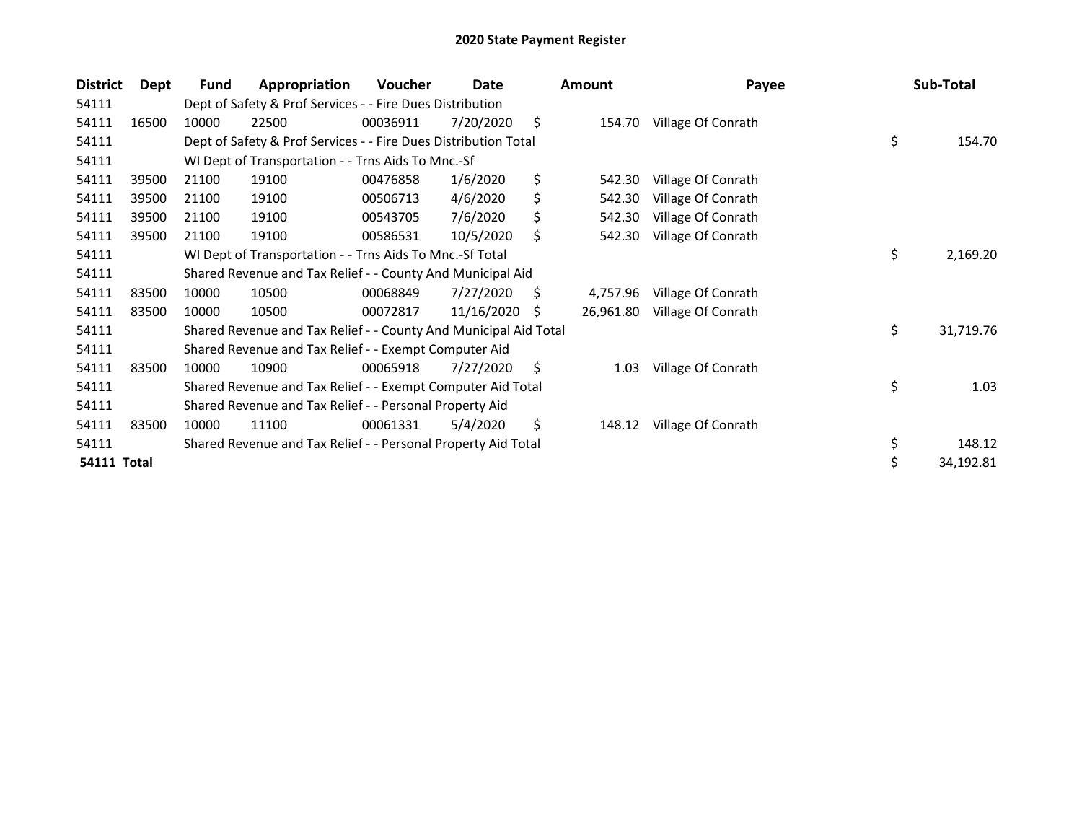| <b>District</b>    | Dept  | Fund  | Appropriation                                                    | Voucher  | Date       |    | <b>Amount</b> | Payee              | Sub-Total       |
|--------------------|-------|-------|------------------------------------------------------------------|----------|------------|----|---------------|--------------------|-----------------|
| 54111              |       |       | Dept of Safety & Prof Services - - Fire Dues Distribution        |          |            |    |               |                    |                 |
| 54111              | 16500 | 10000 | 22500                                                            | 00036911 | 7/20/2020  | \$ | 154.70        | Village Of Conrath |                 |
| 54111              |       |       | Dept of Safety & Prof Services - - Fire Dues Distribution Total  |          |            |    |               |                    | \$<br>154.70    |
| 54111              |       |       | WI Dept of Transportation - - Trns Aids To Mnc.-Sf               |          |            |    |               |                    |                 |
| 54111              | 39500 | 21100 | 19100                                                            | 00476858 | 1/6/2020   | \$ | 542.30        | Village Of Conrath |                 |
| 54111              | 39500 | 21100 | 19100                                                            | 00506713 | 4/6/2020   | \$ | 542.30        | Village Of Conrath |                 |
| 54111              | 39500 | 21100 | 19100                                                            | 00543705 | 7/6/2020   | \$ | 542.30        | Village Of Conrath |                 |
| 54111              | 39500 | 21100 | 19100                                                            | 00586531 | 10/5/2020  | \$ | 542.30        | Village Of Conrath |                 |
| 54111              |       |       | WI Dept of Transportation - - Trns Aids To Mnc.-Sf Total         |          |            |    |               |                    | \$<br>2,169.20  |
| 54111              |       |       | Shared Revenue and Tax Relief - - County And Municipal Aid       |          |            |    |               |                    |                 |
| 54111              | 83500 | 10000 | 10500                                                            | 00068849 | 7/27/2020  | S  | 4,757.96      | Village Of Conrath |                 |
| 54111              | 83500 | 10000 | 10500                                                            | 00072817 | 11/16/2020 | .S | 26,961.80     | Village Of Conrath |                 |
| 54111              |       |       | Shared Revenue and Tax Relief - - County And Municipal Aid Total |          |            |    |               |                    | \$<br>31,719.76 |
| 54111              |       |       | Shared Revenue and Tax Relief - - Exempt Computer Aid            |          |            |    |               |                    |                 |
| 54111              | 83500 | 10000 | 10900                                                            | 00065918 | 7/27/2020  | \$ | 1.03          | Village Of Conrath |                 |
| 54111              |       |       | Shared Revenue and Tax Relief - - Exempt Computer Aid Total      |          |            |    |               |                    | \$<br>1.03      |
| 54111              |       |       | Shared Revenue and Tax Relief - - Personal Property Aid          |          |            |    |               |                    |                 |
| 54111              | 83500 | 10000 | 11100                                                            | 00061331 | 5/4/2020   | \$ | 148.12        | Village Of Conrath |                 |
| 54111              |       |       | Shared Revenue and Tax Relief - - Personal Property Aid Total    |          |            |    |               |                    | \$<br>148.12    |
| <b>54111 Total</b> |       |       |                                                                  |          |            |    |               |                    | \$<br>34,192.81 |
|                    |       |       |                                                                  |          |            |    |               |                    |                 |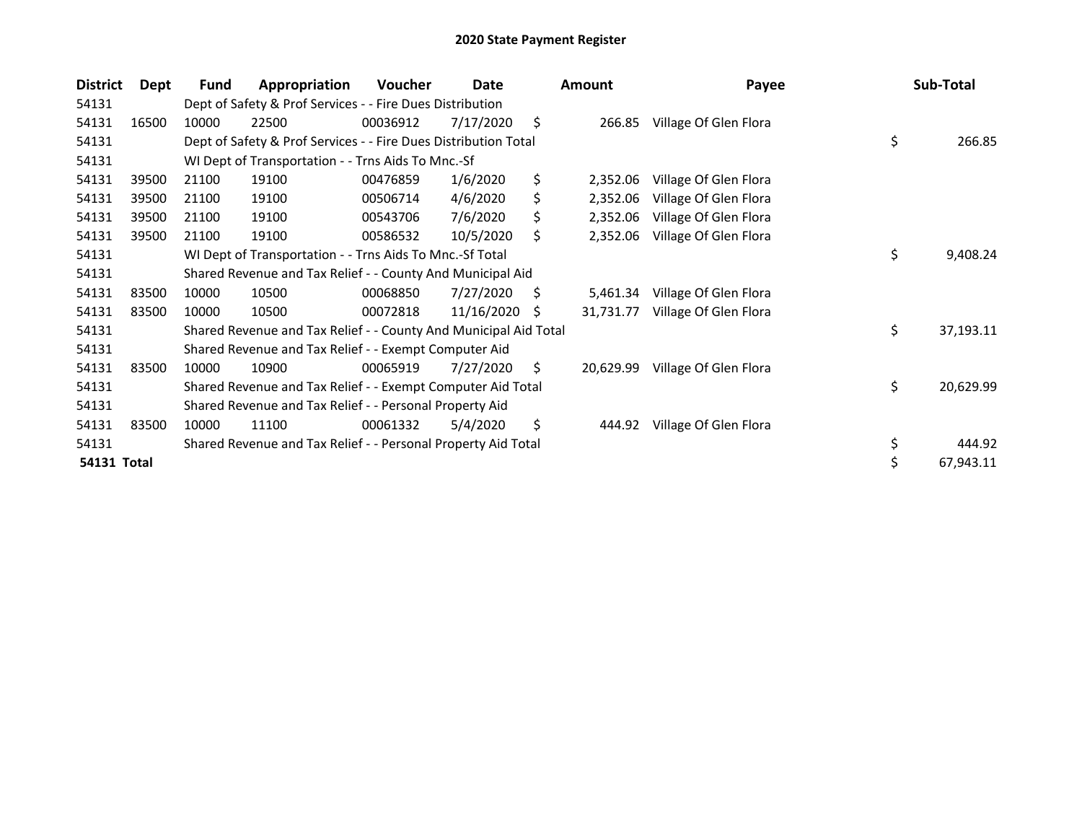| <b>District</b> | Dept  | Fund  | Appropriation                                                    | <b>Voucher</b> | Date       |    | <b>Amount</b> | Payee                 | Sub-Total       |
|-----------------|-------|-------|------------------------------------------------------------------|----------------|------------|----|---------------|-----------------------|-----------------|
| 54131           |       |       | Dept of Safety & Prof Services - - Fire Dues Distribution        |                |            |    |               |                       |                 |
| 54131           | 16500 | 10000 | 22500                                                            | 00036912       | 7/17/2020  | \$ | 266.85        | Village Of Glen Flora |                 |
| 54131           |       |       | Dept of Safety & Prof Services - - Fire Dues Distribution Total  |                |            |    |               |                       | \$<br>266.85    |
| 54131           |       |       | WI Dept of Transportation - - Trns Aids To Mnc.-Sf               |                |            |    |               |                       |                 |
| 54131           | 39500 | 21100 | 19100                                                            | 00476859       | 1/6/2020   | \$ | 2,352.06      | Village Of Glen Flora |                 |
| 54131           | 39500 | 21100 | 19100                                                            | 00506714       | 4/6/2020   | \$ | 2,352.06      | Village Of Glen Flora |                 |
| 54131           | 39500 | 21100 | 19100                                                            | 00543706       | 7/6/2020   | \$ | 2,352.06      | Village Of Glen Flora |                 |
| 54131           | 39500 | 21100 | 19100                                                            | 00586532       | 10/5/2020  | \$ | 2,352.06      | Village Of Glen Flora |                 |
| 54131           |       |       | WI Dept of Transportation - - Trns Aids To Mnc.-Sf Total         |                |            |    |               |                       | \$<br>9,408.24  |
| 54131           |       |       | Shared Revenue and Tax Relief - - County And Municipal Aid       |                |            |    |               |                       |                 |
| 54131           | 83500 | 10000 | 10500                                                            | 00068850       | 7/27/2020  | S  | 5,461.34      | Village Of Glen Flora |                 |
| 54131           | 83500 | 10000 | 10500                                                            | 00072818       | 11/16/2020 | S. | 31,731.77     | Village Of Glen Flora |                 |
| 54131           |       |       | Shared Revenue and Tax Relief - - County And Municipal Aid Total |                |            |    |               |                       | \$<br>37,193.11 |
| 54131           |       |       | Shared Revenue and Tax Relief - - Exempt Computer Aid            |                |            |    |               |                       |                 |
| 54131           | 83500 | 10000 | 10900                                                            | 00065919       | 7/27/2020  | \$ | 20,629.99     | Village Of Glen Flora |                 |
| 54131           |       |       | Shared Revenue and Tax Relief - - Exempt Computer Aid Total      |                |            |    |               |                       | \$<br>20,629.99 |
| 54131           |       |       | Shared Revenue and Tax Relief - - Personal Property Aid          |                |            |    |               |                       |                 |
| 54131           | 83500 | 10000 | 11100                                                            | 00061332       | 5/4/2020   | \$ | 444.92        | Village Of Glen Flora |                 |
| 54131           |       |       | Shared Revenue and Tax Relief - - Personal Property Aid Total    |                |            |    |               |                       | \$<br>444.92    |
| 54131 Total     |       |       |                                                                  |                |            |    |               |                       | \$<br>67,943.11 |
|                 |       |       |                                                                  |                |            |    |               |                       |                 |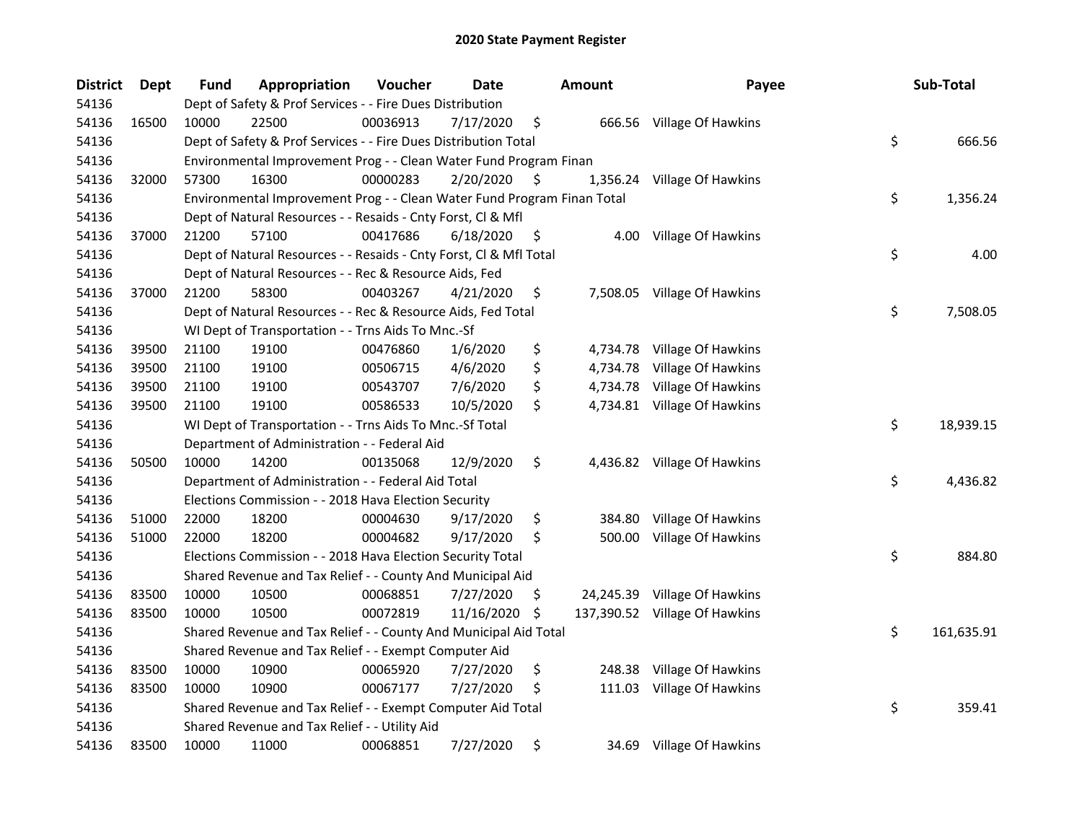| <b>District</b> | Dept  | <b>Fund</b> | Appropriation                                                           | Voucher  | <b>Date</b> |     | <b>Amount</b> | Payee                         | Sub-Total        |
|-----------------|-------|-------------|-------------------------------------------------------------------------|----------|-------------|-----|---------------|-------------------------------|------------------|
| 54136           |       |             | Dept of Safety & Prof Services - - Fire Dues Distribution               |          |             |     |               |                               |                  |
| 54136           | 16500 | 10000       | 22500                                                                   | 00036913 | 7/17/2020   | \$  |               | 666.56 Village Of Hawkins     |                  |
| 54136           |       |             | Dept of Safety & Prof Services - - Fire Dues Distribution Total         |          |             |     |               |                               | \$<br>666.56     |
| 54136           |       |             | Environmental Improvement Prog - - Clean Water Fund Program Finan       |          |             |     |               |                               |                  |
| 54136           | 32000 | 57300       | 16300                                                                   | 00000283 | 2/20/2020   | \$, | 1,356.24      | Village Of Hawkins            |                  |
| 54136           |       |             | Environmental Improvement Prog - - Clean Water Fund Program Finan Total |          |             |     |               |                               | \$<br>1,356.24   |
| 54136           |       |             | Dept of Natural Resources - - Resaids - Cnty Forst, Cl & Mfl            |          |             |     |               |                               |                  |
| 54136           | 37000 | 21200       | 57100                                                                   | 00417686 | 6/18/2020   | \$  | 4.00          | Village Of Hawkins            |                  |
| 54136           |       |             | Dept of Natural Resources - - Resaids - Cnty Forst, CI & Mfl Total      |          |             |     |               |                               | \$<br>4.00       |
| 54136           |       |             | Dept of Natural Resources - - Rec & Resource Aids, Fed                  |          |             |     |               |                               |                  |
| 54136           | 37000 | 21200       | 58300                                                                   | 00403267 | 4/21/2020   | \$  |               | 7,508.05 Village Of Hawkins   |                  |
| 54136           |       |             | Dept of Natural Resources - - Rec & Resource Aids, Fed Total            |          |             |     |               |                               | \$<br>7,508.05   |
| 54136           |       |             | WI Dept of Transportation - - Trns Aids To Mnc.-Sf                      |          |             |     |               |                               |                  |
| 54136           | 39500 | 21100       | 19100                                                                   | 00476860 | 1/6/2020    | \$  | 4,734.78      | Village Of Hawkins            |                  |
| 54136           | 39500 | 21100       | 19100                                                                   | 00506715 | 4/6/2020    | \$  | 4,734.78      | Village Of Hawkins            |                  |
| 54136           | 39500 | 21100       | 19100                                                                   | 00543707 | 7/6/2020    | \$  | 4,734.78      | Village Of Hawkins            |                  |
| 54136           | 39500 | 21100       | 19100                                                                   | 00586533 | 10/5/2020   | \$  |               | 4,734.81 Village Of Hawkins   |                  |
| 54136           |       |             | WI Dept of Transportation - - Trns Aids To Mnc.-Sf Total                |          |             |     |               |                               | \$<br>18,939.15  |
| 54136           |       |             | Department of Administration - - Federal Aid                            |          |             |     |               |                               |                  |
| 54136           | 50500 | 10000       | 14200                                                                   | 00135068 | 12/9/2020   | \$  |               | 4,436.82 Village Of Hawkins   |                  |
| 54136           |       |             | Department of Administration - - Federal Aid Total                      |          |             |     |               |                               | \$<br>4,436.82   |
| 54136           |       |             | Elections Commission - - 2018 Hava Election Security                    |          |             |     |               |                               |                  |
| 54136           | 51000 | 22000       | 18200                                                                   | 00004630 | 9/17/2020   | \$  | 384.80        | Village Of Hawkins            |                  |
| 54136           | 51000 | 22000       | 18200                                                                   | 00004682 | 9/17/2020   | \$  | 500.00        | Village Of Hawkins            |                  |
| 54136           |       |             | Elections Commission - - 2018 Hava Election Security Total              |          |             |     |               |                               | \$<br>884.80     |
| 54136           |       |             | Shared Revenue and Tax Relief - - County And Municipal Aid              |          |             |     |               |                               |                  |
| 54136           | 83500 | 10000       | 10500                                                                   | 00068851 | 7/27/2020   | \$, |               | 24,245.39 Village Of Hawkins  |                  |
| 54136           | 83500 | 10000       | 10500                                                                   | 00072819 | 11/16/2020  | \$  |               | 137,390.52 Village Of Hawkins |                  |
| 54136           |       |             | Shared Revenue and Tax Relief - - County And Municipal Aid Total        |          |             |     |               |                               | \$<br>161,635.91 |
| 54136           |       |             | Shared Revenue and Tax Relief - - Exempt Computer Aid                   |          |             |     |               |                               |                  |
| 54136           | 83500 | 10000       | 10900                                                                   | 00065920 | 7/27/2020   | \$  | 248.38        | Village Of Hawkins            |                  |
| 54136           | 83500 | 10000       | 10900                                                                   | 00067177 | 7/27/2020   | \$  | 111.03        | Village Of Hawkins            |                  |
| 54136           |       |             | Shared Revenue and Tax Relief - - Exempt Computer Aid Total             |          |             |     |               |                               | \$<br>359.41     |
| 54136           |       |             | Shared Revenue and Tax Relief - - Utility Aid                           |          |             |     |               |                               |                  |
| 54136           | 83500 | 10000       | 11000                                                                   | 00068851 | 7/27/2020   | \$  | 34.69         | Village Of Hawkins            |                  |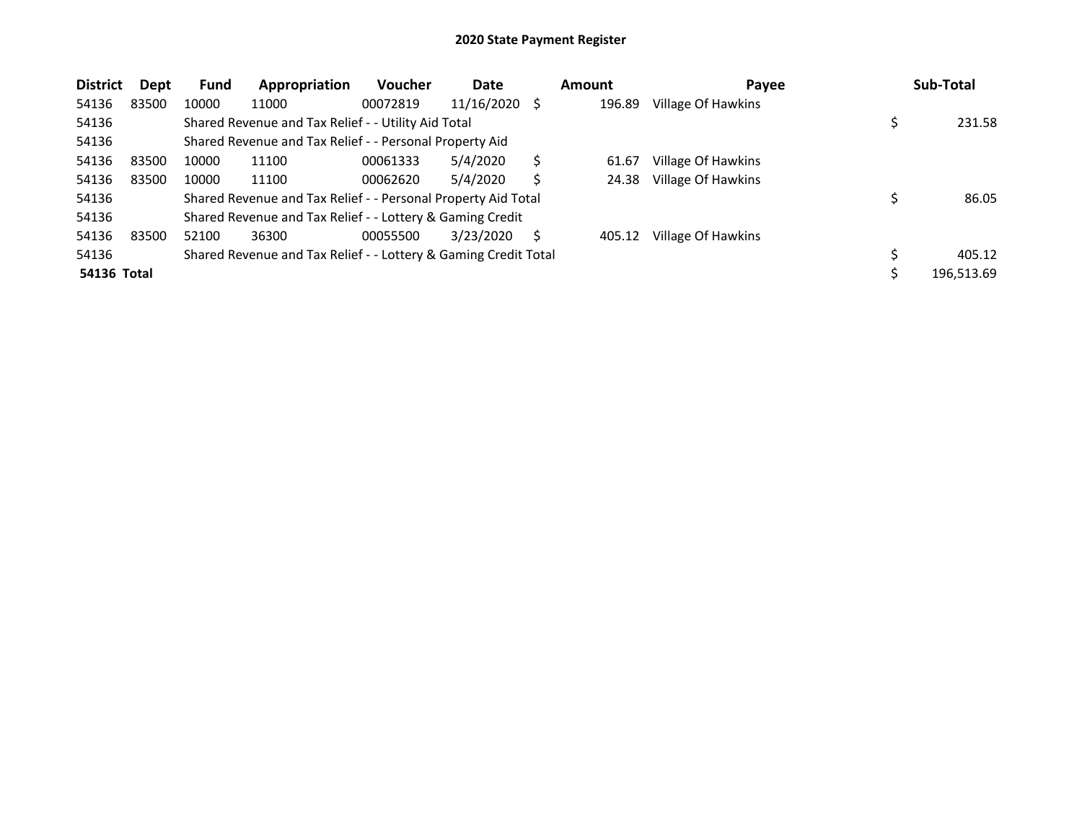| <b>District</b>    | Dept  | <b>Fund</b> | Appropriation                                                   | <b>Voucher</b> | Date       |    | Amount | Payee              | Sub-Total  |
|--------------------|-------|-------------|-----------------------------------------------------------------|----------------|------------|----|--------|--------------------|------------|
| 54136              | 83500 | 10000       | 11000                                                           | 00072819       | 11/16/2020 | -S | 196.89 | Village Of Hawkins |            |
| 54136              |       |             | Shared Revenue and Tax Relief - - Utility Aid Total             |                |            |    |        |                    | 231.58     |
| 54136              |       |             | Shared Revenue and Tax Relief - - Personal Property Aid         |                |            |    |        |                    |            |
| 54136              | 83500 | 10000       | 11100                                                           | 00061333       | 5/4/2020   |    | 61.67  | Village Of Hawkins |            |
| 54136              | 83500 | 10000       | 11100                                                           | 00062620       | 5/4/2020   |    | 24.38  | Village Of Hawkins |            |
| 54136              |       |             | Shared Revenue and Tax Relief - - Personal Property Aid Total   |                |            |    |        |                    | 86.05      |
| 54136              |       |             | Shared Revenue and Tax Relief - - Lottery & Gaming Credit       |                |            |    |        |                    |            |
| 54136              | 83500 | 52100       | 36300                                                           | 00055500       | 3/23/2020  | S  | 405.12 | Village Of Hawkins |            |
| 54136              |       |             | Shared Revenue and Tax Relief - - Lottery & Gaming Credit Total |                |            |    |        |                    | 405.12     |
| <b>54136 Total</b> |       |             |                                                                 |                |            |    |        |                    | 196,513.69 |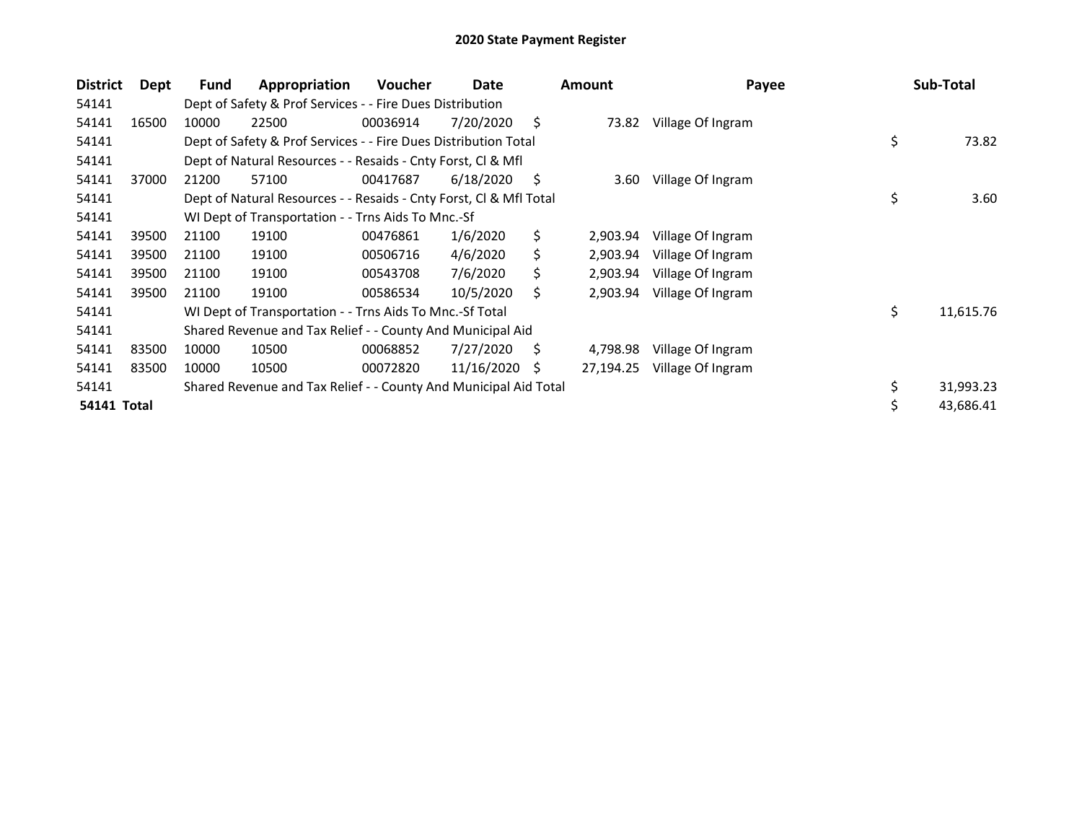| <b>District</b> | Dept  | Fund  | Appropriation                                                      | <b>Voucher</b> | Date       |    | <b>Amount</b> | Payee             | Sub-Total       |
|-----------------|-------|-------|--------------------------------------------------------------------|----------------|------------|----|---------------|-------------------|-----------------|
| 54141           |       |       | Dept of Safety & Prof Services - - Fire Dues Distribution          |                |            |    |               |                   |                 |
| 54141           | 16500 | 10000 | 22500                                                              | 00036914       | 7/20/2020  | \$ | 73.82         | Village Of Ingram |                 |
| 54141           |       |       | Dept of Safety & Prof Services - - Fire Dues Distribution Total    |                |            |    |               |                   | \$<br>73.82     |
| 54141           |       |       | Dept of Natural Resources - - Resaids - Cnty Forst, Cl & Mfl       |                |            |    |               |                   |                 |
| 54141           | 37000 | 21200 | 57100                                                              | 00417687       | 6/18/2020  | S  | 3.60          | Village Of Ingram |                 |
| 54141           |       |       | Dept of Natural Resources - - Resaids - Cnty Forst, CI & Mfl Total |                |            |    |               |                   | \$<br>3.60      |
| 54141           |       |       | WI Dept of Transportation - - Trns Aids To Mnc.-Sf                 |                |            |    |               |                   |                 |
| 54141           | 39500 | 21100 | 19100                                                              | 00476861       | 1/6/2020   | \$ | 2,903.94      | Village Of Ingram |                 |
| 54141           | 39500 | 21100 | 19100                                                              | 00506716       | 4/6/2020   | Ś  | 2,903.94      | Village Of Ingram |                 |
| 54141           | 39500 | 21100 | 19100                                                              | 00543708       | 7/6/2020   | S  | 2,903.94      | Village Of Ingram |                 |
| 54141           | 39500 | 21100 | 19100                                                              | 00586534       | 10/5/2020  | Ś. | 2,903.94      | Village Of Ingram |                 |
| 54141           |       |       | WI Dept of Transportation - - Trns Aids To Mnc.-Sf Total           |                |            |    |               |                   | \$<br>11,615.76 |
| 54141           |       |       | Shared Revenue and Tax Relief - - County And Municipal Aid         |                |            |    |               |                   |                 |
| 54141           | 83500 | 10000 | 10500                                                              | 00068852       | 7/27/2020  | Ś  | 4,798.98      | Village Of Ingram |                 |
| 54141           | 83500 | 10000 | 10500                                                              | 00072820       | 11/16/2020 | S  | 27,194.25     | Village Of Ingram |                 |
| 54141           |       |       | Shared Revenue and Tax Relief - - County And Municipal Aid Total   |                |            |    |               |                   | \$<br>31,993.23 |
| 54141 Total     |       |       |                                                                    |                |            |    |               |                   | \$<br>43,686.41 |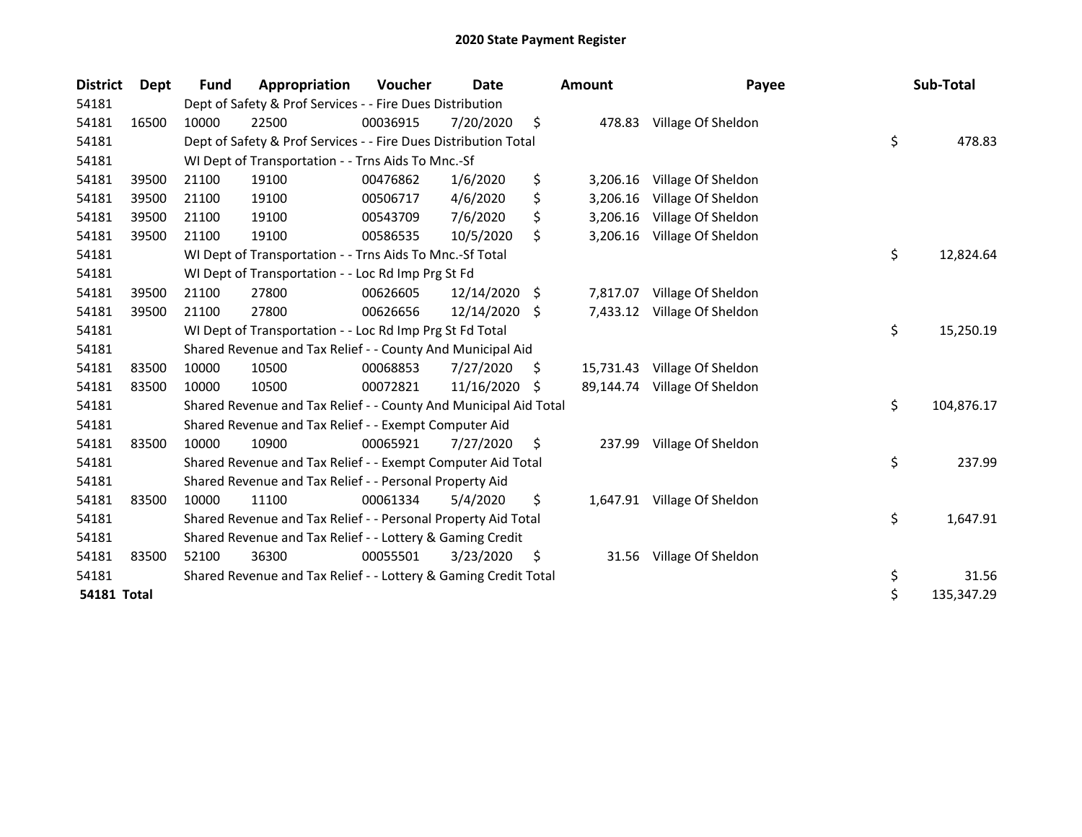| <b>District</b> | Dept  | <b>Fund</b> | Appropriation                                                    | Voucher  | <b>Date</b>   |     | <b>Amount</b> | Payee                       | Sub-Total        |
|-----------------|-------|-------------|------------------------------------------------------------------|----------|---------------|-----|---------------|-----------------------------|------------------|
| 54181           |       |             | Dept of Safety & Prof Services - - Fire Dues Distribution        |          |               |     |               |                             |                  |
| 54181           | 16500 | 10000       | 22500                                                            | 00036915 | 7/20/2020     | \$  | 478.83        | Village Of Sheldon          |                  |
| 54181           |       |             | Dept of Safety & Prof Services - - Fire Dues Distribution Total  |          |               |     |               |                             | \$<br>478.83     |
| 54181           |       |             | WI Dept of Transportation - - Trns Aids To Mnc.-Sf               |          |               |     |               |                             |                  |
| 54181           | 39500 | 21100       | 19100                                                            | 00476862 | 1/6/2020      | \$  | 3,206.16      | Village Of Sheldon          |                  |
| 54181           | 39500 | 21100       | 19100                                                            | 00506717 | 4/6/2020      | \$  | 3,206.16      | Village Of Sheldon          |                  |
| 54181           | 39500 | 21100       | 19100                                                            | 00543709 | 7/6/2020      | \$  | 3,206.16      | Village Of Sheldon          |                  |
| 54181           | 39500 | 21100       | 19100                                                            | 00586535 | 10/5/2020     | \$  | 3,206.16      | Village Of Sheldon          |                  |
| 54181           |       |             | WI Dept of Transportation - - Trns Aids To Mnc.-Sf Total         |          |               |     |               |                             | \$<br>12,824.64  |
| 54181           |       |             | WI Dept of Transportation - - Loc Rd Imp Prg St Fd               |          |               |     |               |                             |                  |
| 54181           | 39500 | 21100       | 27800                                                            | 00626605 | 12/14/2020    | \$  | 7,817.07      | Village Of Sheldon          |                  |
| 54181           | 39500 | 21100       | 27800                                                            | 00626656 | 12/14/2020 \$ |     | 7,433.12      | Village Of Sheldon          |                  |
| 54181           |       |             | WI Dept of Transportation - - Loc Rd Imp Prg St Fd Total         |          |               |     |               |                             | \$<br>15,250.19  |
| 54181           |       |             | Shared Revenue and Tax Relief - - County And Municipal Aid       |          |               |     |               |                             |                  |
| 54181           | 83500 | 10000       | 10500                                                            | 00068853 | 7/27/2020     | \$. | 15,731.43     | Village Of Sheldon          |                  |
| 54181           | 83500 | 10000       | 10500                                                            | 00072821 | 11/16/2020    | -S  | 89,144.74     | Village Of Sheldon          |                  |
| 54181           |       |             | Shared Revenue and Tax Relief - - County And Municipal Aid Total |          |               |     |               |                             | \$<br>104,876.17 |
| 54181           |       |             | Shared Revenue and Tax Relief - - Exempt Computer Aid            |          |               |     |               |                             |                  |
| 54181           | 83500 | 10000       | 10900                                                            | 00065921 | 7/27/2020     | \$  | 237.99        | Village Of Sheldon          |                  |
| 54181           |       |             | Shared Revenue and Tax Relief - - Exempt Computer Aid Total      |          |               |     |               |                             | \$<br>237.99     |
| 54181           |       |             | Shared Revenue and Tax Relief - - Personal Property Aid          |          |               |     |               |                             |                  |
| 54181           | 83500 | 10000       | 11100                                                            | 00061334 | 5/4/2020      | \$  |               | 1,647.91 Village Of Sheldon |                  |
| 54181           |       |             | Shared Revenue and Tax Relief - - Personal Property Aid Total    |          |               |     |               |                             | \$<br>1,647.91   |
| 54181           |       |             | Shared Revenue and Tax Relief - - Lottery & Gaming Credit        |          |               |     |               |                             |                  |
| 54181           | 83500 | 52100       | 36300                                                            | 00055501 | 3/23/2020     | \$  | 31.56         | Village Of Sheldon          |                  |
| 54181           |       |             | Shared Revenue and Tax Relief - - Lottery & Gaming Credit Total  |          |               |     |               |                             | \$<br>31.56      |
| 54181 Total     |       |             |                                                                  |          |               |     |               |                             | \$<br>135,347.29 |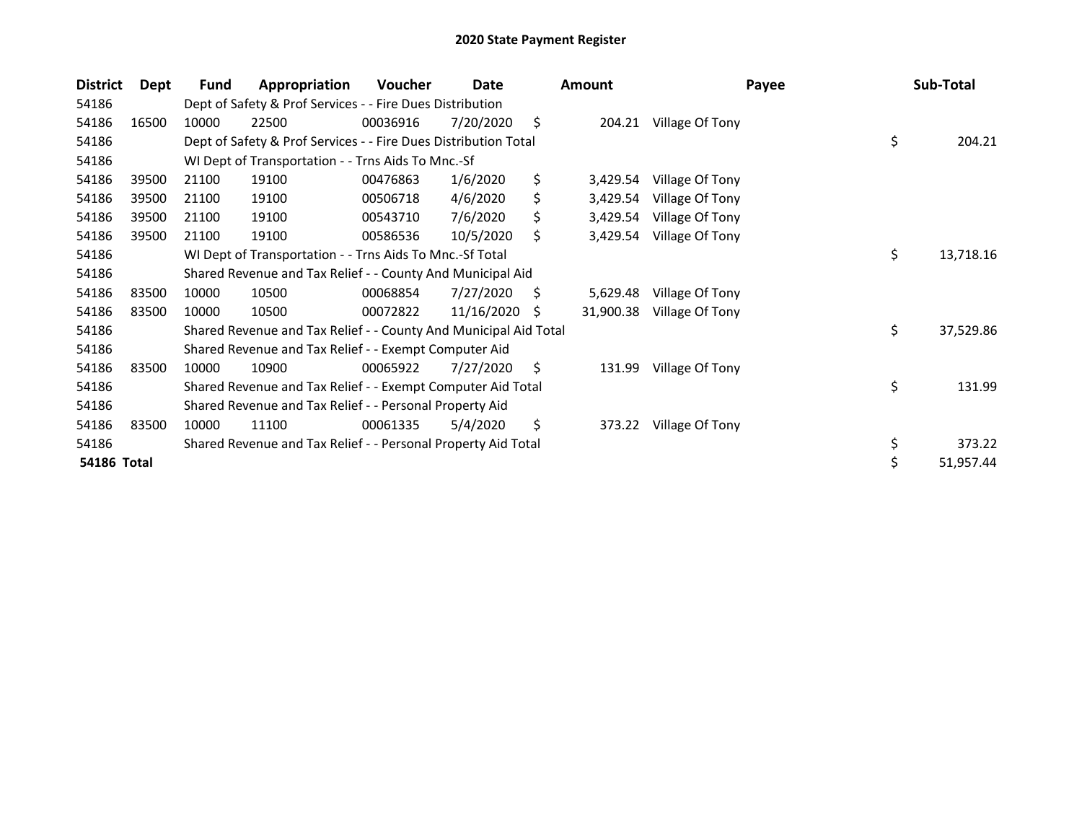| <b>District</b> | Dept  | Fund                                                        | Appropriation                                                    | <b>Voucher</b> | Date       |     | <b>Amount</b> | Payee           |    | Sub-Total |  |
|-----------------|-------|-------------------------------------------------------------|------------------------------------------------------------------|----------------|------------|-----|---------------|-----------------|----|-----------|--|
| 54186           |       | Dept of Safety & Prof Services - - Fire Dues Distribution   |                                                                  |                |            |     |               |                 |    |           |  |
| 54186           | 16500 | 10000                                                       | 22500                                                            | 00036916       | 7/20/2020  | \$  | 204.21        | Village Of Tony |    |           |  |
| 54186           |       |                                                             | Dept of Safety & Prof Services - - Fire Dues Distribution Total  |                |            |     |               |                 | \$ | 204.21    |  |
| 54186           |       |                                                             | WI Dept of Transportation - - Trns Aids To Mnc.-Sf               |                |            |     |               |                 |    |           |  |
| 54186           | 39500 | 21100                                                       | 19100                                                            | 00476863       | 1/6/2020   | \$  | 3,429.54      | Village Of Tony |    |           |  |
| 54186           | 39500 | 21100                                                       | 19100                                                            | 00506718       | 4/6/2020   | \$  | 3,429.54      | Village Of Tony |    |           |  |
| 54186           | 39500 | 21100                                                       | 19100                                                            | 00543710       | 7/6/2020   | \$  | 3,429.54      | Village Of Tony |    |           |  |
| 54186           | 39500 | 21100                                                       | 19100                                                            | 00586536       | 10/5/2020  | \$. | 3,429.54      | Village Of Tony |    |           |  |
| 54186           |       |                                                             | WI Dept of Transportation - - Trns Aids To Mnc.-Sf Total         |                |            |     |               |                 | \$ | 13,718.16 |  |
| 54186           |       |                                                             | Shared Revenue and Tax Relief - - County And Municipal Aid       |                |            |     |               |                 |    |           |  |
| 54186           | 83500 | 10000                                                       | 10500                                                            | 00068854       | 7/27/2020  | S   | 5,629.48      | Village Of Tony |    |           |  |
| 54186           | 83500 | 10000                                                       | 10500                                                            | 00072822       | 11/16/2020 | S   | 31,900.38     | Village Of Tony |    |           |  |
| 54186           |       |                                                             | Shared Revenue and Tax Relief - - County And Municipal Aid Total |                |            |     |               |                 | \$ | 37,529.86 |  |
| 54186           |       |                                                             | Shared Revenue and Tax Relief - - Exempt Computer Aid            |                |            |     |               |                 |    |           |  |
| 54186           | 83500 | 10000                                                       | 10900                                                            | 00065922       | 7/27/2020  | S   | 131.99        | Village Of Tony |    |           |  |
| 54186           |       | Shared Revenue and Tax Relief - - Exempt Computer Aid Total |                                                                  |                |            |     |               |                 |    | 131.99    |  |
| 54186           |       | Shared Revenue and Tax Relief - - Personal Property Aid     |                                                                  |                |            |     |               |                 |    |           |  |
| 54186           | 83500 | 10000                                                       | 11100                                                            | 00061335       | 5/4/2020   | \$  | 373.22        | Village Of Tony |    |           |  |
| 54186           |       |                                                             | Shared Revenue and Tax Relief - - Personal Property Aid Total    |                |            |     |               |                 | \$ | 373.22    |  |
| 54186 Total     |       |                                                             |                                                                  |                |            |     |               |                 | \$ | 51,957.44 |  |
|                 |       |                                                             |                                                                  |                |            |     |               |                 |    |           |  |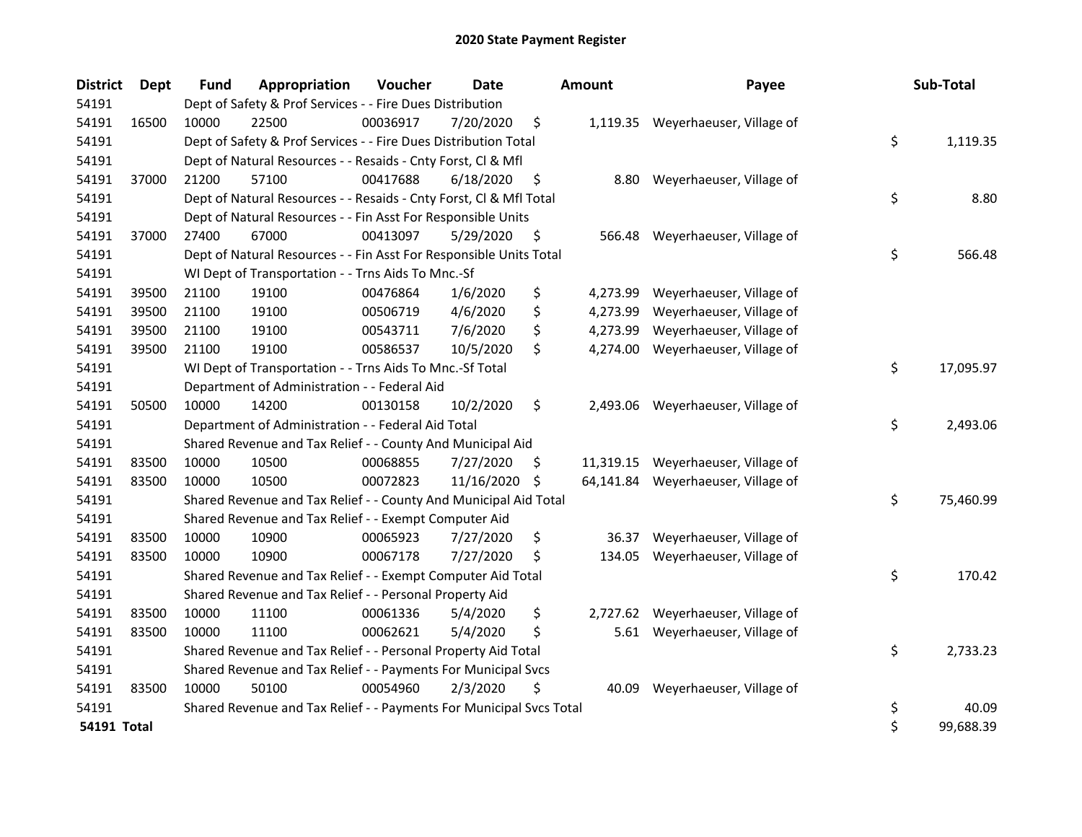| <b>District</b>    | <b>Dept</b> | Fund                                                                  | Appropriation                                                       | Voucher  | <b>Date</b> |    | <b>Amount</b> | Payee                              |    | Sub-Total |
|--------------------|-------------|-----------------------------------------------------------------------|---------------------------------------------------------------------|----------|-------------|----|---------------|------------------------------------|----|-----------|
| 54191              |             | Dept of Safety & Prof Services - - Fire Dues Distribution             |                                                                     |          |             |    |               |                                    |    |           |
| 54191              | 16500       | 10000                                                                 | 22500                                                               | 00036917 | 7/20/2020   | \$ |               | 1,119.35 Weyerhaeuser, Village of  |    |           |
| 54191              |             | \$<br>Dept of Safety & Prof Services - - Fire Dues Distribution Total |                                                                     |          |             |    |               |                                    |    |           |
| 54191              |             | Dept of Natural Resources - - Resaids - Cnty Forst, Cl & Mfl          |                                                                     |          |             |    |               |                                    |    |           |
| 54191              | 37000       | 21200                                                                 | 57100                                                               | 00417688 | 6/18/2020   | \$ | 8.80          | Weyerhaeuser, Village of           |    |           |
| 54191              |             |                                                                       | Dept of Natural Resources - - Resaids - Cnty Forst, Cl & Mfl Total  |          |             |    |               |                                    | \$ | 8.80      |
| 54191              |             |                                                                       | Dept of Natural Resources - - Fin Asst For Responsible Units        |          |             |    |               |                                    |    |           |
| 54191              | 37000       | 27400                                                                 | 67000                                                               | 00413097 | 5/29/2020   | \$ | 566.48        | Weyerhaeuser, Village of           |    |           |
| 54191              |             |                                                                       | Dept of Natural Resources - - Fin Asst For Responsible Units Total  |          |             |    |               |                                    | \$ | 566.48    |
| 54191              |             |                                                                       | WI Dept of Transportation - - Trns Aids To Mnc.-Sf                  |          |             |    |               |                                    |    |           |
| 54191              | 39500       | 21100                                                                 | 19100                                                               | 00476864 | 1/6/2020    | \$ | 4,273.99      | Weyerhaeuser, Village of           |    |           |
| 54191              | 39500       | 21100                                                                 | 19100                                                               | 00506719 | 4/6/2020    | \$ | 4,273.99      | Weyerhaeuser, Village of           |    |           |
| 54191              | 39500       | 21100                                                                 | 19100                                                               | 00543711 | 7/6/2020    | \$ | 4,273.99      | Weyerhaeuser, Village of           |    |           |
| 54191              | 39500       | 21100                                                                 | 19100                                                               | 00586537 | 10/5/2020   | \$ | 4,274.00      | Weyerhaeuser, Village of           |    |           |
| 54191              |             |                                                                       | WI Dept of Transportation - - Trns Aids To Mnc.-Sf Total            |          |             |    |               |                                    | \$ | 17,095.97 |
| 54191              |             |                                                                       | Department of Administration - - Federal Aid                        |          |             |    |               |                                    |    |           |
| 54191              | 50500       | 10000                                                                 | 14200                                                               | 00130158 | 10/2/2020   | \$ | 2,493.06      | Weyerhaeuser, Village of           |    |           |
| 54191              |             |                                                                       | Department of Administration - - Federal Aid Total                  |          |             |    |               |                                    | \$ | 2,493.06  |
| 54191              |             |                                                                       | Shared Revenue and Tax Relief - - County And Municipal Aid          |          |             |    |               |                                    |    |           |
| 54191              | 83500       | 10000                                                                 | 10500                                                               | 00068855 | 7/27/2020   | \$ |               | 11,319.15 Weyerhaeuser, Village of |    |           |
| 54191              | 83500       | 10000                                                                 | 10500                                                               | 00072823 | 11/16/2020  | \$ |               | 64,141.84 Weyerhaeuser, Village of |    |           |
| 54191              |             |                                                                       | Shared Revenue and Tax Relief - - County And Municipal Aid Total    |          |             |    |               |                                    | \$ | 75,460.99 |
| 54191              |             |                                                                       | Shared Revenue and Tax Relief - - Exempt Computer Aid               |          |             |    |               |                                    |    |           |
| 54191              | 83500       | 10000                                                                 | 10900                                                               | 00065923 | 7/27/2020   | \$ | 36.37         | Weyerhaeuser, Village of           |    |           |
| 54191              | 83500       | 10000                                                                 | 10900                                                               | 00067178 | 7/27/2020   | \$ | 134.05        | Weyerhaeuser, Village of           |    |           |
| 54191              |             |                                                                       | Shared Revenue and Tax Relief - - Exempt Computer Aid Total         |          |             |    |               |                                    | \$ | 170.42    |
| 54191              |             |                                                                       | Shared Revenue and Tax Relief - - Personal Property Aid             |          |             |    |               |                                    |    |           |
| 54191              | 83500       | 10000                                                                 | 11100                                                               | 00061336 | 5/4/2020    | \$ | 2,727.62      | Weyerhaeuser, Village of           |    |           |
| 54191              | 83500       | 10000                                                                 | 11100                                                               | 00062621 | 5/4/2020    | \$ |               | 5.61 Weyerhaeuser, Village of      |    |           |
| 54191              |             |                                                                       | Shared Revenue and Tax Relief - - Personal Property Aid Total       |          |             |    |               |                                    | \$ | 2,733.23  |
| 54191              |             | Shared Revenue and Tax Relief - - Payments For Municipal Svcs         |                                                                     |          |             |    |               |                                    |    |           |
| 54191              | 83500       | 10000                                                                 | 50100                                                               | 00054960 | 2/3/2020    | \$ | 40.09         | Weyerhaeuser, Village of           |    |           |
| 54191              |             |                                                                       | Shared Revenue and Tax Relief - - Payments For Municipal Svcs Total |          |             |    |               |                                    | \$ | 40.09     |
| <b>54191 Total</b> |             |                                                                       |                                                                     |          |             |    |               |                                    | \$ | 99,688.39 |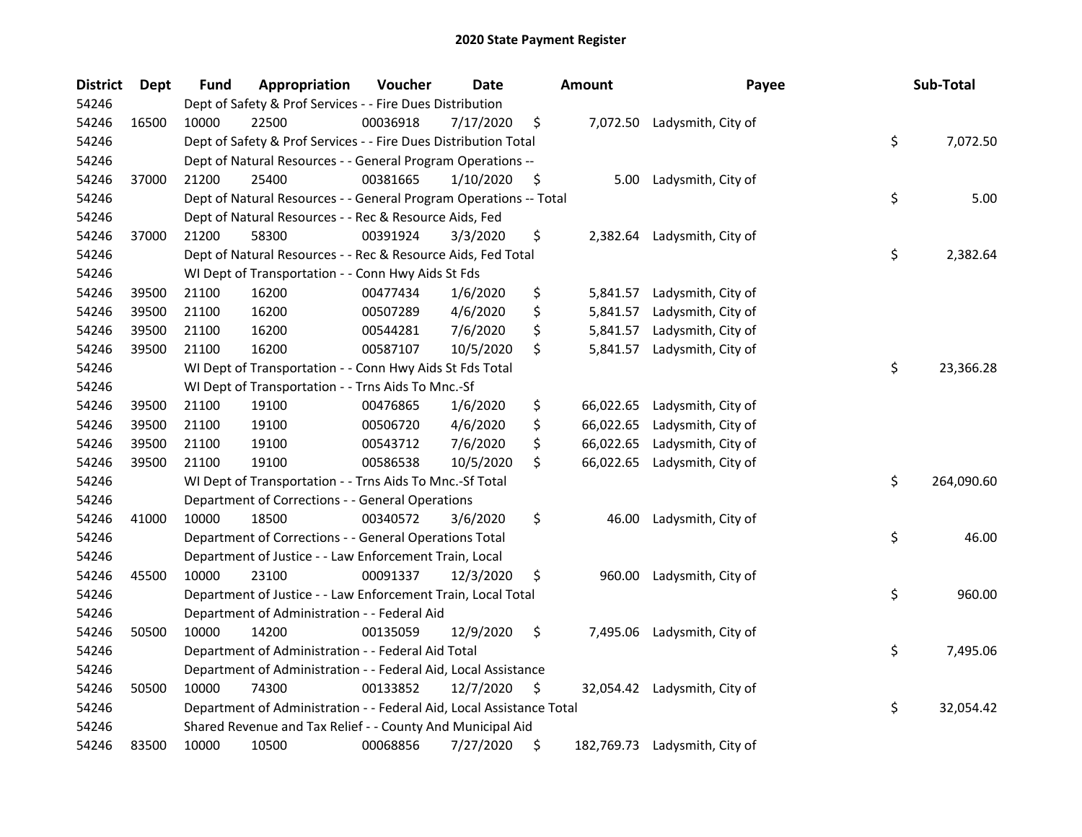| <b>District</b> | Dept  | <b>Fund</b>                                                           | Appropriation                                                        | Voucher  | <b>Date</b> |    | <b>Amount</b> | Payee                         |    | Sub-Total  |
|-----------------|-------|-----------------------------------------------------------------------|----------------------------------------------------------------------|----------|-------------|----|---------------|-------------------------------|----|------------|
| 54246           |       | Dept of Safety & Prof Services - - Fire Dues Distribution             |                                                                      |          |             |    |               |                               |    |            |
| 54246           | 16500 | 10000                                                                 | 22500                                                                | 00036918 | 7/17/2020   | \$ |               | 7,072.50 Ladysmith, City of   |    |            |
| 54246           |       | \$<br>Dept of Safety & Prof Services - - Fire Dues Distribution Total |                                                                      |          |             |    |               |                               |    | 7,072.50   |
| 54246           |       | Dept of Natural Resources - - General Program Operations --           |                                                                      |          |             |    |               |                               |    |            |
| 54246           | 37000 | 21200                                                                 | 25400                                                                | 00381665 | 1/10/2020   | \$ | 5.00          | Ladysmith, City of            |    |            |
| 54246           |       |                                                                       | Dept of Natural Resources - - General Program Operations -- Total    |          |             |    |               |                               | \$ | 5.00       |
| 54246           |       |                                                                       | Dept of Natural Resources - - Rec & Resource Aids, Fed               |          |             |    |               |                               |    |            |
| 54246           | 37000 | 21200                                                                 | 58300                                                                | 00391924 | 3/3/2020    | \$ |               | 2,382.64 Ladysmith, City of   |    |            |
| 54246           |       |                                                                       | Dept of Natural Resources - - Rec & Resource Aids, Fed Total         |          |             |    |               |                               | \$ | 2,382.64   |
| 54246           |       |                                                                       | WI Dept of Transportation - - Conn Hwy Aids St Fds                   |          |             |    |               |                               |    |            |
| 54246           | 39500 | 21100                                                                 | 16200                                                                | 00477434 | 1/6/2020    | \$ | 5,841.57      | Ladysmith, City of            |    |            |
| 54246           | 39500 | 21100                                                                 | 16200                                                                | 00507289 | 4/6/2020    | \$ | 5,841.57      | Ladysmith, City of            |    |            |
| 54246           | 39500 | 21100                                                                 | 16200                                                                | 00544281 | 7/6/2020    | \$ | 5,841.57      | Ladysmith, City of            |    |            |
| 54246           | 39500 | 21100                                                                 | 16200                                                                | 00587107 | 10/5/2020   | \$ | 5,841.57      | Ladysmith, City of            |    |            |
| 54246           |       |                                                                       | WI Dept of Transportation - - Conn Hwy Aids St Fds Total             |          |             |    |               |                               | \$ | 23,366.28  |
| 54246           |       |                                                                       | WI Dept of Transportation - - Trns Aids To Mnc.-Sf                   |          |             |    |               |                               |    |            |
| 54246           | 39500 | 21100                                                                 | 19100                                                                | 00476865 | 1/6/2020    | \$ | 66,022.65     | Ladysmith, City of            |    |            |
| 54246           | 39500 | 21100                                                                 | 19100                                                                | 00506720 | 4/6/2020    | \$ | 66,022.65     | Ladysmith, City of            |    |            |
| 54246           | 39500 | 21100                                                                 | 19100                                                                | 00543712 | 7/6/2020    | \$ | 66,022.65     | Ladysmith, City of            |    |            |
| 54246           | 39500 | 21100                                                                 | 19100                                                                | 00586538 | 10/5/2020   | \$ | 66,022.65     | Ladysmith, City of            |    |            |
| 54246           |       |                                                                       | WI Dept of Transportation - - Trns Aids To Mnc.-Sf Total             |          |             |    |               |                               | \$ | 264,090.60 |
| 54246           |       |                                                                       | Department of Corrections - - General Operations                     |          |             |    |               |                               |    |            |
| 54246           | 41000 | 10000                                                                 | 18500                                                                | 00340572 | 3/6/2020    | \$ | 46.00         | Ladysmith, City of            |    |            |
| 54246           |       |                                                                       | Department of Corrections - - General Operations Total               |          |             |    |               |                               | \$ | 46.00      |
| 54246           |       |                                                                       | Department of Justice - - Law Enforcement Train, Local               |          |             |    |               |                               |    |            |
| 54246           | 45500 | 10000                                                                 | 23100                                                                | 00091337 | 12/3/2020   | \$ | 960.00        | Ladysmith, City of            |    |            |
| 54246           |       |                                                                       | Department of Justice - - Law Enforcement Train, Local Total         |          |             |    |               |                               | \$ | 960.00     |
| 54246           |       |                                                                       | Department of Administration - - Federal Aid                         |          |             |    |               |                               |    |            |
| 54246           | 50500 | 10000                                                                 | 14200                                                                | 00135059 | 12/9/2020   | \$ |               | 7,495.06 Ladysmith, City of   |    |            |
| 54246           |       |                                                                       | Department of Administration - - Federal Aid Total                   |          |             |    |               |                               | \$ | 7,495.06   |
| 54246           |       | Department of Administration - - Federal Aid, Local Assistance        |                                                                      |          |             |    |               |                               |    |            |
| 54246           | 50500 | 10000                                                                 | 74300                                                                | 00133852 | 12/7/2020   | \$ | 32,054.42     | Ladysmith, City of            |    |            |
| 54246           |       |                                                                       | Department of Administration - - Federal Aid, Local Assistance Total |          |             |    |               |                               | \$ | 32,054.42  |
| 54246           |       |                                                                       | Shared Revenue and Tax Relief - - County And Municipal Aid           |          |             |    |               |                               |    |            |
| 54246           | 83500 | 10000                                                                 | 10500                                                                | 00068856 | 7/27/2020   | \$ |               | 182,769.73 Ladysmith, City of |    |            |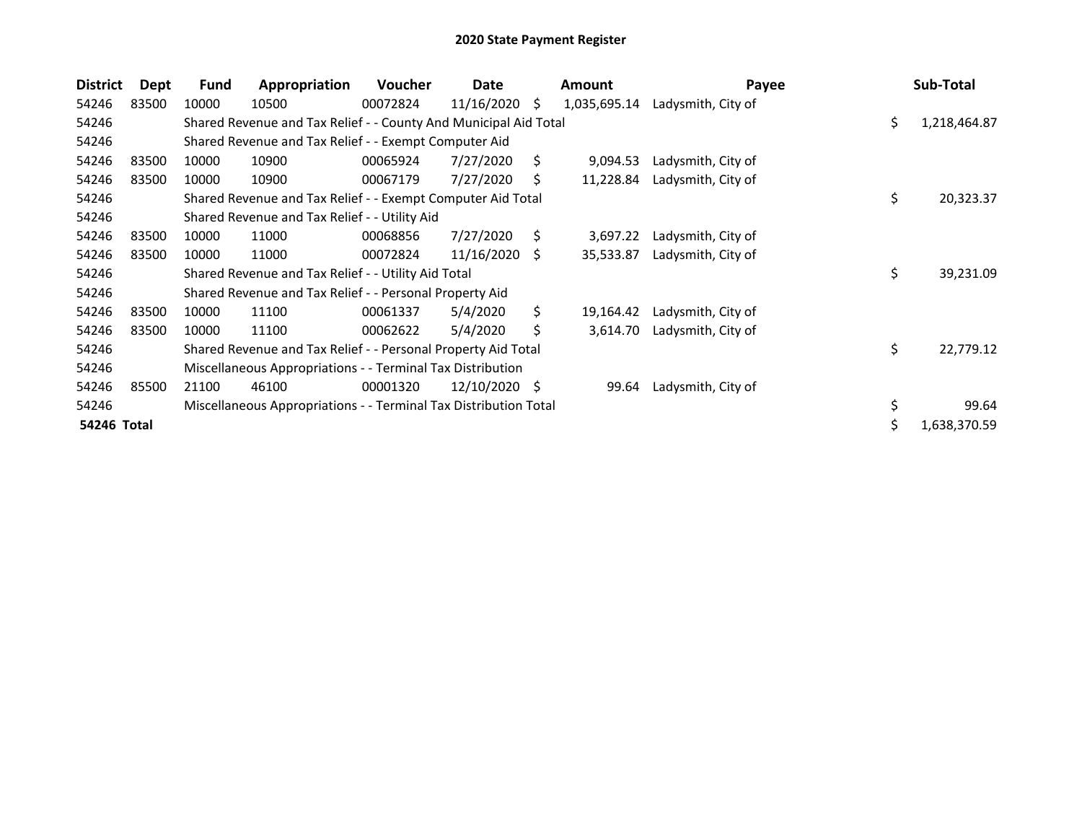| <b>District</b> | Dept  | Fund                                                       | Appropriation                                                    | <b>Voucher</b> | Date            |     | <b>Amount</b> | Payee              |     | Sub-Total    |
|-----------------|-------|------------------------------------------------------------|------------------------------------------------------------------|----------------|-----------------|-----|---------------|--------------------|-----|--------------|
| 54246           | 83500 | 10000                                                      | 10500                                                            | 00072824       | 11/16/2020      | \$. | 1,035,695.14  | Ladysmith, City of |     |              |
| 54246           |       |                                                            | Shared Revenue and Tax Relief - - County And Municipal Aid Total |                |                 |     |               |                    | \$. | 1,218,464.87 |
| 54246           |       | Shared Revenue and Tax Relief - - Exempt Computer Aid      |                                                                  |                |                 |     |               |                    |     |              |
| 54246           | 83500 | 10000                                                      | 10900                                                            | 00065924       | 7/27/2020       | Ś.  | 9,094.53      | Ladysmith, City of |     |              |
| 54246           | 83500 | 10000                                                      | 10900                                                            | 00067179       | 7/27/2020       | S   | 11,228.84     | Ladysmith, City of |     |              |
| 54246           |       |                                                            | Shared Revenue and Tax Relief - - Exempt Computer Aid Total      |                |                 |     |               |                    | \$  | 20,323.37    |
| 54246           |       |                                                            | Shared Revenue and Tax Relief - - Utility Aid                    |                |                 |     |               |                    |     |              |
| 54246           | 83500 | 10000                                                      | 11000                                                            | 00068856       | 7/27/2020       | S.  | 3,697.22      | Ladysmith, City of |     |              |
| 54246           | 83500 | 10000                                                      | 11000                                                            | 00072824       | $11/16/2020$ \$ |     | 35,533.87     | Ladysmith, City of |     |              |
| 54246           |       |                                                            | Shared Revenue and Tax Relief - - Utility Aid Total              |                |                 |     |               |                    | \$  | 39,231.09    |
| 54246           |       |                                                            | Shared Revenue and Tax Relief - - Personal Property Aid          |                |                 |     |               |                    |     |              |
| 54246           | 83500 | 10000                                                      | 11100                                                            | 00061337       | 5/4/2020        | Ŝ.  | 19,164.42     | Ladysmith, City of |     |              |
| 54246           | 83500 | 10000                                                      | 11100                                                            | 00062622       | 5/4/2020        | \$  | 3,614.70      | Ladysmith, City of |     |              |
| 54246           |       |                                                            | Shared Revenue and Tax Relief - - Personal Property Aid Total    |                |                 |     |               |                    | \$  | 22,779.12    |
| 54246           |       | Miscellaneous Appropriations - - Terminal Tax Distribution |                                                                  |                |                 |     |               |                    |     |              |
| 54246           | 85500 | 21100                                                      | 46100                                                            | 00001320       | $12/10/2020$ \$ |     | 99.64         | Ladysmith, City of |     |              |
| 54246           |       |                                                            | Miscellaneous Appropriations - - Terminal Tax Distribution Total |                |                 |     |               |                    | \$  | 99.64        |
| 54246 Total     |       |                                                            |                                                                  |                |                 |     |               |                    | \$  | 1,638,370.59 |